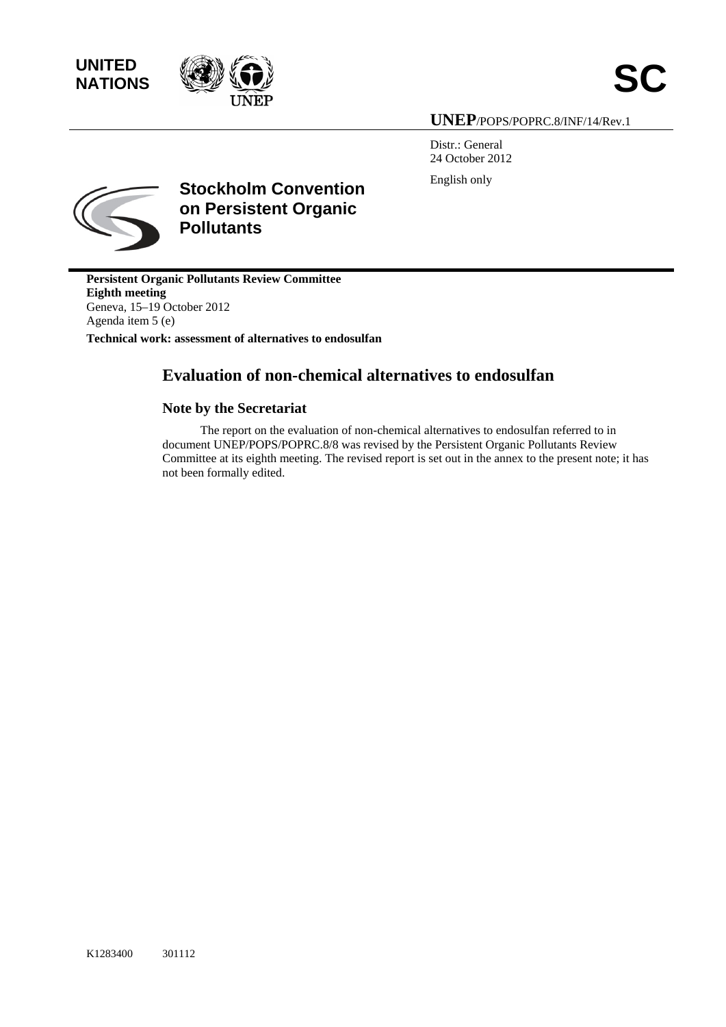



# **UNEP**/POPS/POPRC.8/INF/14/Rev.1

Distr.: General 24 October 2012 English only



**Stockholm Convention on Persistent Organic Pollutants** 

**Persistent Organic Pollutants Review Committee Eighth meeting**  Geneva, 15–19 October 2012 Agenda item 5 (e)

**Technical work: assessment of alternatives to endosulfan** 

# **Evaluation of non-chemical alternatives to endosulfan**

# **Note by the Secretariat**

The report on the evaluation of non-chemical alternatives to endosulfan referred to in document UNEP/POPS/POPRC.8/8 was revised by the Persistent Organic Pollutants Review Committee at its eighth meeting. The revised report is set out in the annex to the present note; it has not been formally edited.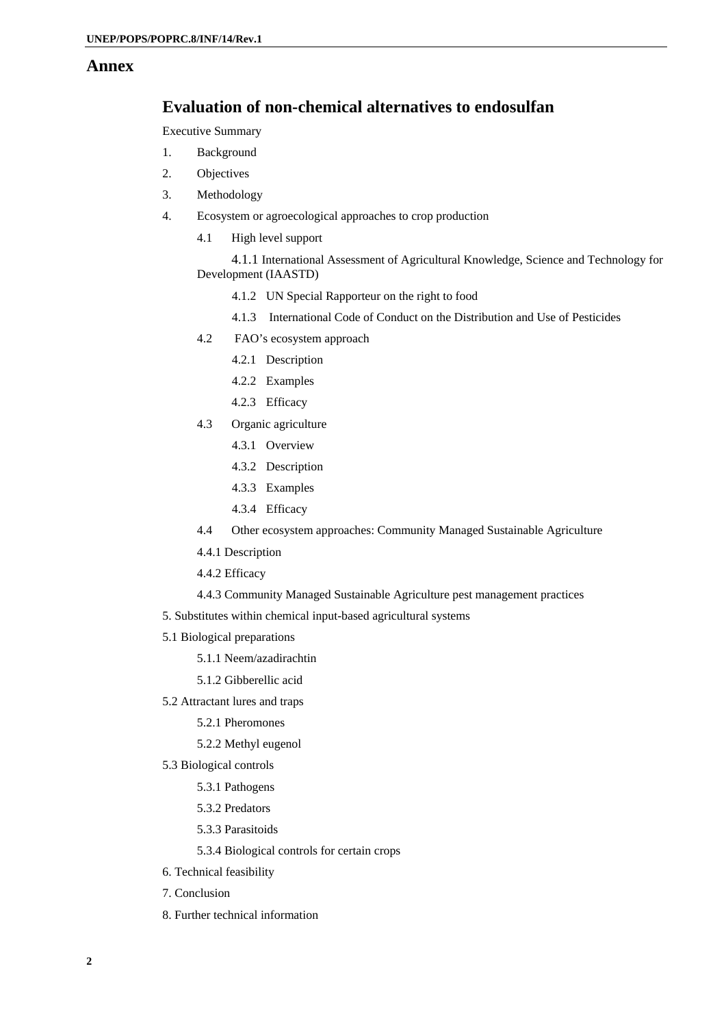# **Annex**

# **Evaluation of non-chemical alternatives to endosulfan**

Executive Summary

- 1. Background
- 2. Objectives
- 3. Methodology
- 4. Ecosystem or agroecological approaches to crop production
	- 4.1 High level support

 4.1.1 International Assessment of Agricultural Knowledge, Science and Technology for Development (IAASTD)

- 4.1.2 UN Special Rapporteur on the right to food
- 4.1.3 International Code of Conduct on the Distribution and Use of Pesticides
- 4.2 FAO's ecosystem approach
	- 4.2.1 Description
	- 4.2.2 Examples
	- 4.2.3 Efficacy
- 4.3 Organic agriculture
	- 4.3.1 Overview
	- 4.3.2 Description
	- 4.3.3 Examples
	- 4.3.4 Efficacy
- 4.4 Other ecosystem approaches: Community Managed Sustainable Agriculture
- 4.4.1 Description
- 4.4.2 Efficacy
- 4.4.3 Community Managed Sustainable Agriculture pest management practices
- 5. Substitutes within chemical input-based agricultural systems
- 5.1 Biological preparations
	- 5.1.1 Neem/azadirachtin
	- 5.1.2 Gibberellic acid
- 5.2 Attractant lures and traps
	- 5.2.1 Pheromones
	- 5.2.2 Methyl eugenol
- 5.3 Biological controls
	- 5.3.1 Pathogens
	- 5.3.2 Predators
	- 5.3.3 Parasitoids
	- 5.3.4 Biological controls for certain crops
- 6. Technical feasibility
- 7. Conclusion
- 8. Further technical information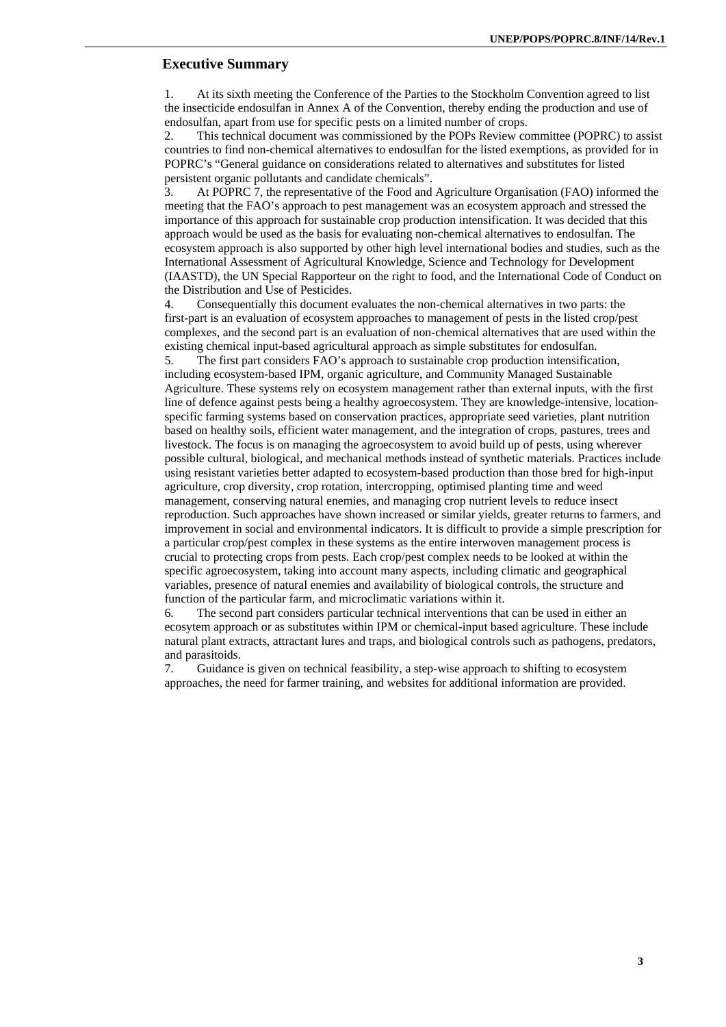## **Executive Summary**

1. At its sixth meeting the Conference of the Parties to the Stockholm Convention agreed to list the insecticide endosulfan in Annex A of the Convention, thereby ending the production and use of endosulfan, apart from use for specific pests on a limited number of crops.

2. This technical document was commissioned by the POPs Review committee (POPRC) to assist countries to find non-chemical alternatives to endosulfan for the listed exemptions, as provided for in POPRC's "General guidance on considerations related to alternatives and substitutes for listed persistent organic pollutants and candidate chemicals".

3. At POPRC 7, the representative of the Food and Agriculture Organisation (FAO) informed the meeting that the FAO's approach to pest management was an ecosystem approach and stressed the importance of this approach for sustainable crop production intensification. It was decided that this approach would be used as the basis for evaluating non-chemical alternatives to endosulfan. The ecosystem approach is also supported by other high level international bodies and studies, such as the International Assessment of Agricultural Knowledge, Science and Technology for Development (IAASTD), the UN Special Rapporteur on the right to food, and the International Code of Conduct on the Distribution and Use of Pesticides.

4. Consequentially this document evaluates the non-chemical alternatives in two parts: the first-part is an evaluation of ecosystem approaches to management of pests in the listed crop/pest complexes, and the second part is an evaluation of non-chemical alternatives that are used within the existing chemical input-based agricultural approach as simple substitutes for endosulfan.

5. The first part considers FAO's approach to sustainable crop production intensification, including ecosystem-based IPM, organic agriculture, and Community Managed Sustainable Agriculture. These systems rely on ecosystem management rather than external inputs, with the first line of defence against pests being a healthy agroecosystem. They are knowledge-intensive, locationspecific farming systems based on conservation practices, appropriate seed varieties, plant nutrition based on healthy soils, efficient water management, and the integration of crops, pastures, trees and livestock. The focus is on managing the agroecosystem to avoid build up of pests, using wherever possible cultural, biological, and mechanical methods instead of synthetic materials. Practices include using resistant varieties better adapted to ecosystem-based production than those bred for high-input agriculture, crop diversity, crop rotation, intercropping, optimised planting time and weed management, conserving natural enemies, and managing crop nutrient levels to reduce insect reproduction. Such approaches have shown increased or similar yields, greater returns to farmers, and improvement in social and environmental indicators. It is difficult to provide a simple prescription for a particular crop/pest complex in these systems as the entire interwoven management process is crucial to protecting crops from pests. Each crop/pest complex needs to be looked at within the specific agroecosystem, taking into account many aspects, including climatic and geographical variables, presence of natural enemies and availability of biological controls, the structure and function of the particular farm, and microclimatic variations within it.

6. The second part considers particular technical interventions that can be used in either an ecosytem approach or as substitutes within IPM or chemical-input based agriculture. These include natural plant extracts, attractant lures and traps, and biological controls such as pathogens, predators, and parasitoids.

7. Guidance is given on technical feasibility, a step-wise approach to shifting to ecosystem approaches, the need for farmer training, and websites for additional information are provided.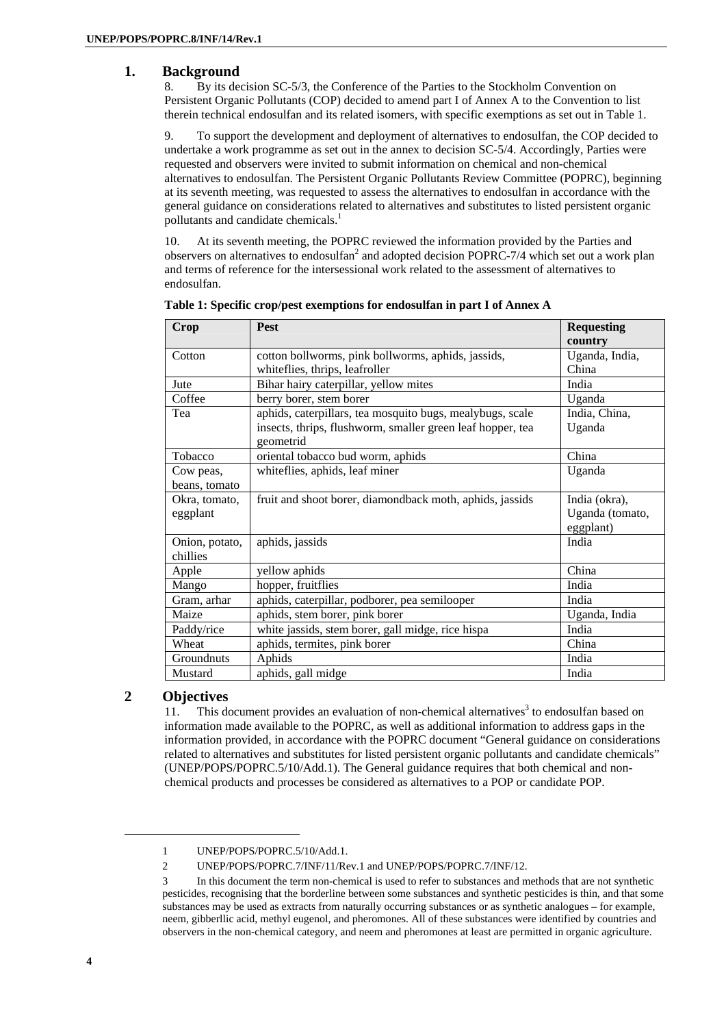# **1. Background**

8. By its decision SC-5/3, the Conference of the Parties to the Stockholm Convention on Persistent Organic Pollutants (COP) decided to amend part I of Annex A to the Convention to list therein technical endosulfan and its related isomers, with specific exemptions as set out in Table 1.

9. To support the development and deployment of alternatives to endosulfan, the COP decided to undertake a work programme as set out in the annex to decision SC-5/4. Accordingly, Parties were requested and observers were invited to submit information on chemical and non-chemical alternatives to endosulfan. The Persistent Organic Pollutants Review Committee (POPRC), beginning at its seventh meeting, was requested to assess the alternatives to endosulfan in accordance with the general guidance on considerations related to alternatives and substitutes to listed persistent organic pollutants and candidate chemicals.<sup>1</sup>

10. At its seventh meeting, the POPRC reviewed the information provided by the Parties and observers on alternatives to endosulfan<sup>2</sup> and adopted decision POPRC-7/4 which set out a work plan and terms of reference for the intersessional work related to the assessment of alternatives to endosulfan.

| Crop           | <b>Pest</b>                                                | <b>Requesting</b> |
|----------------|------------------------------------------------------------|-------------------|
|                |                                                            | country           |
| Cotton         | cotton bollworms, pink bollworms, aphids, jassids,         | Uganda, India,    |
|                | whiteflies, thrips, leafroller                             | China             |
| Jute           | Bihar hairy caterpillar, yellow mites                      | India             |
| Coffee         | berry borer, stem borer                                    | Uganda            |
| Tea            | aphids, caterpillars, tea mosquito bugs, mealybugs, scale  | India, China,     |
|                | insects, thrips, flushworm, smaller green leaf hopper, tea | Uganda            |
|                | geometrid                                                  |                   |
| Tobacco        | oriental tobacco bud worm, aphids                          | China             |
| Cow peas,      | whiteflies, aphids, leaf miner                             | Uganda            |
| beans, tomato  |                                                            |                   |
| Okra, tomato,  | fruit and shoot borer, diamondback moth, aphids, jassids   | India (okra),     |
| eggplant       |                                                            | Uganda (tomato,   |
|                |                                                            | eggplant)         |
| Onion, potato, | aphids, jassids                                            | India             |
| chillies       |                                                            |                   |
| Apple          | yellow aphids                                              | China             |
| Mango          | hopper, fruitflies                                         | India             |
| Gram, arhar    | aphids, caterpillar, podborer, pea semilooper              | India             |
| Maize          | aphids, stem borer, pink borer                             | Uganda, India     |
| Paddy/rice     | white jassids, stem borer, gall midge, rice hispa          | India             |
| Wheat          | aphids, termites, pink borer                               | China             |
| Groundnuts     | Aphids                                                     | India             |
| Mustard        | aphids, gall midge                                         | India             |

**Table 1: Specific crop/pest exemptions for endosulfan in part I of Annex A** 

# **2 Objectives**

11. This document provides an evaluation of non-chemical alternatives<sup>3</sup> to endosulfan based on information made available to the POPRC, as well as additional information to address gaps in the information provided, in accordance with the POPRC document "General guidance on considerations related to alternatives and substitutes for listed persistent organic pollutants and candidate chemicals" (UNEP/POPS/POPRC.5/10/Add.1). The General guidance requires that both chemical and nonchemical products and processes be considered as alternatives to a POP or candidate POP.

l

<sup>1</sup> UNEP/POPS/POPRC.5/10/Add.1.

<sup>2</sup> UNEP/POPS/POPRC.7/INF/11/Rev.1 and UNEP/POPS/POPRC.7/INF/12.

<sup>3</sup> In this document the term non-chemical is used to refer to substances and methods that are not synthetic pesticides, recognising that the borderline between some substances and synthetic pesticides is thin, and that some substances may be used as extracts from naturally occurring substances or as synthetic analogues – for example, neem, gibberllic acid, methyl eugenol, and pheromones. All of these substances were identified by countries and observers in the non-chemical category, and neem and pheromones at least are permitted in organic agriculture.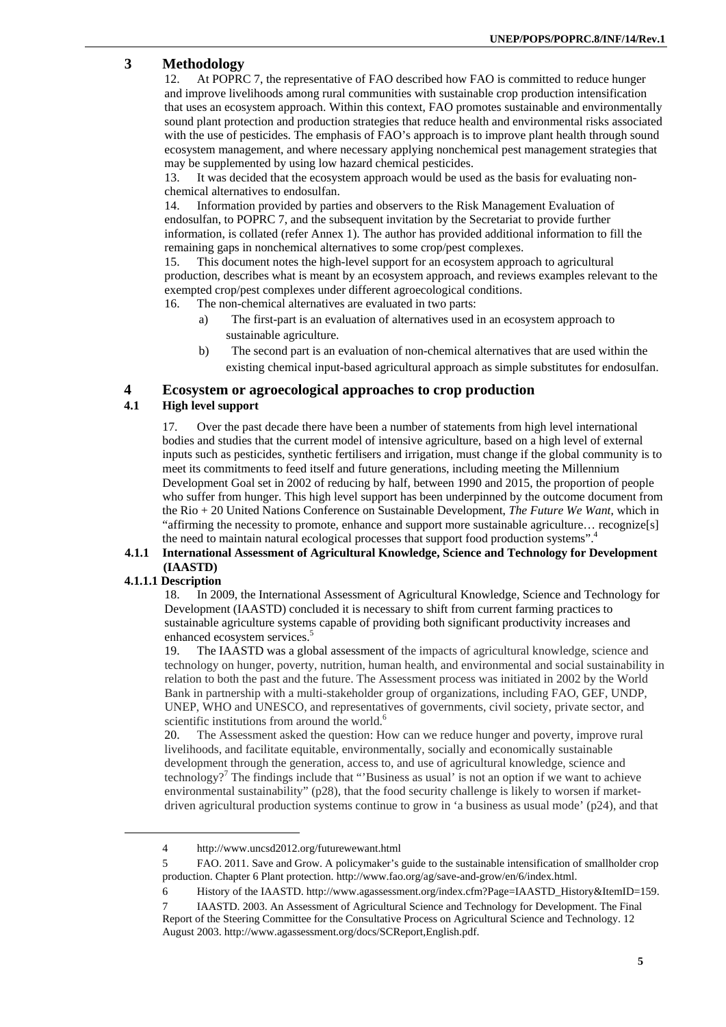# **3 Methodology**

12. At POPRC 7, the representative of FAO described how FAO is committed to reduce hunger and improve livelihoods among rural communities with sustainable crop production intensification that uses an ecosystem approach. Within this context, FAO promotes sustainable and environmentally sound plant protection and production strategies that reduce health and environmental risks associated with the use of pesticides. The emphasis of FAO's approach is to improve plant health through sound ecosystem management, and where necessary applying nonchemical pest management strategies that may be supplemented by using low hazard chemical pesticides.

13. It was decided that the ecosystem approach would be used as the basis for evaluating nonchemical alternatives to endosulfan.

14. Information provided by parties and observers to the Risk Management Evaluation of endosulfan, to POPRC 7, and the subsequent invitation by the Secretariat to provide further information, is collated (refer Annex 1). The author has provided additional information to fill the remaining gaps in nonchemical alternatives to some crop/pest complexes.

15. This document notes the high-level support for an ecosystem approach to agricultural production, describes what is meant by an ecosystem approach, and reviews examples relevant to the exempted crop/pest complexes under different agroecological conditions.

- 16. The non-chemical alternatives are evaluated in two parts:
	- a) The first-part is an evaluation of alternatives used in an ecosystem approach to sustainable agriculture.
	- b) The second part is an evaluation of non-chemical alternatives that are used within the existing chemical input-based agricultural approach as simple substitutes for endosulfan.

### **4 Ecosystem or agroecological approaches to crop production**

### **4.1 High level support**

17. Over the past decade there have been a number of statements from high level international bodies and studies that the current model of intensive agriculture, based on a high level of external inputs such as pesticides, synthetic fertilisers and irrigation, must change if the global community is to meet its commitments to feed itself and future generations, including meeting the Millennium Development Goal set in 2002 of reducing by half, between 1990 and 2015, the proportion of people who suffer from hunger. This high level support has been underpinned by the outcome document from the Rio + 20 United Nations Conference on Sustainable Development, *The Future We Want*, which in "affirming the necessity to promote, enhance and support more sustainable agriculture… recognize[s] the need to maintain natural ecological processes that support food production systems".<sup>4</sup>

### **4.1.1 International Assessment of Agricultural Knowledge, Science and Technology for Development (IAASTD)**

### **4.1.1.1 Description**

 $\overline{a}$ 

18. In 2009, the International Assessment of Agricultural Knowledge, Science and Technology for Development (IAASTD) concluded it is necessary to shift from current farming practices to sustainable agriculture systems capable of providing both significant productivity increases and enhanced ecosystem services.<sup>5</sup>

19. The IAASTD was a global assessment of the impacts of agricultural knowledge, science and technology on hunger, poverty, nutrition, human health, and environmental and social sustainability in relation to both the past and the future. The Assessment process was initiated in 2002 by the World Bank in partnership with a multi-stakeholder group of organizations, including FAO, GEF, UNDP, UNEP, WHO and UNESCO, and representatives of governments, civil society, private sector, and scientific institutions from around the world.<sup>6</sup>

20. The Assessment asked the question: How can we reduce hunger and poverty, improve rural livelihoods, and facilitate equitable, environmentally, socially and economically sustainable development through the generation, access to, and use of agricultural knowledge, science and technology?<sup>7</sup> The findings include that "Business as usual' is not an option if we want to achieve environmental sustainability" (p28), that the food security challenge is likely to worsen if marketdriven agricultural production systems continue to grow in 'a business as usual mode' (p24), and that

<sup>4</sup> http://www.uncsd2012.org/futurewewant.html

<sup>5</sup> FAO. 2011. Save and Grow. A policymaker's guide to the sustainable intensification of smallholder crop production. Chapter 6 Plant protection. http://www.fao.org/ag/save-and-grow/en/6/index.html.

<sup>6</sup> History of the IAASTD. http://www.agassessment.org/index.cfm?Page=IAASTD\_History&ItemID=159.

<sup>7</sup> IAASTD. 2003. An Assessment of Agricultural Science and Technology for Development. The Final Report of the Steering Committee for the Consultative Process on Agricultural Science and Technology. 12 August 2003. http://www.agassessment.org/docs/SCReport,English.pdf.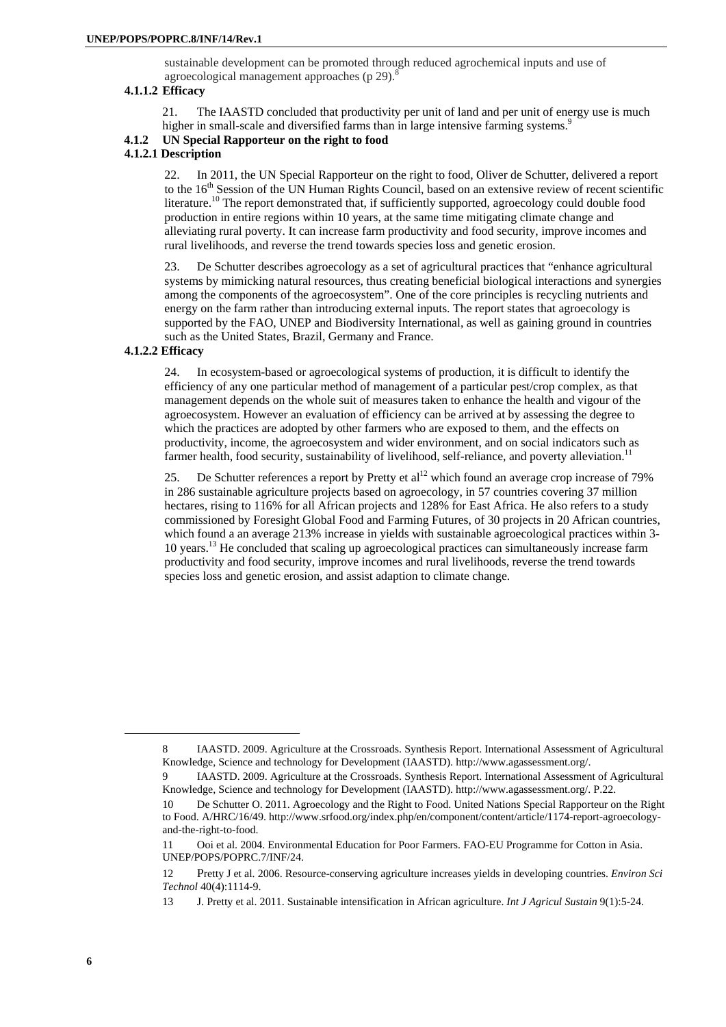sustainable development can be promoted through reduced agrochemical inputs and use of agroecological management approaches (p  $29$ ).<sup>8</sup>

### **4.1.1.2 Efficacy**

21. The IAASTD concluded that productivity per unit of land and per unit of energy use is much higher in small-scale and diversified farms than in large intensive farming systems.<sup>9</sup>

# **4.1.2 UN Special Rapporteur on the right to food**

# **4.1.2.1 Description**

22. In 2011, the UN Special Rapporteur on the right to food, Oliver de Schutter, delivered a report to the 16<sup>th</sup> Session of the UN Human Rights Council, based on an extensive review of recent scientific literature.<sup>10</sup> The report demonstrated that, if sufficiently supported, agroecology could double food production in entire regions within 10 years, at the same time mitigating climate change and alleviating rural poverty. It can increase farm productivity and food security, improve incomes and rural livelihoods, and reverse the trend towards species loss and genetic erosion.

23. De Schutter describes agroecology as a set of agricultural practices that "enhance agricultural systems by mimicking natural resources, thus creating beneficial biological interactions and synergies among the components of the agroecosystem". One of the core principles is recycling nutrients and energy on the farm rather than introducing external inputs. The report states that agroecology is supported by the FAO, UNEP and Biodiversity International, as well as gaining ground in countries such as the United States, Brazil, Germany and France.

### **4.1.2.2 Efficacy**

24. In ecosystem-based or agroecological systems of production, it is difficult to identify the efficiency of any one particular method of management of a particular pest/crop complex, as that management depends on the whole suit of measures taken to enhance the health and vigour of the agroecosystem. However an evaluation of efficiency can be arrived at by assessing the degree to which the practices are adopted by other farmers who are exposed to them, and the effects on productivity, income, the agroecosystem and wider environment, and on social indicators such as farmer health, food security, sustainability of livelihood, self-reliance, and poverty alleviation.<sup>11</sup>

25. De Schutter references a report by Pretty et al<sup>12</sup> which found an average crop increase of 79% in 286 sustainable agriculture projects based on agroecology, in 57 countries covering 37 million hectares, rising to 116% for all African projects and 128% for East Africa. He also refers to a study commissioned by Foresight Global Food and Farming Futures, of 30 projects in 20 African countries, which found a an average 213% increase in yields with sustainable agroecological practices within 3-10 years.13 He concluded that scaling up agroecological practices can simultaneously increase farm productivity and food security, improve incomes and rural livelihoods, reverse the trend towards species loss and genetic erosion, and assist adaption to climate change.

<sup>8</sup> IAASTD. 2009. Agriculture at the Crossroads. Synthesis Report. International Assessment of Agricultural Knowledge, Science and technology for Development (IAASTD). http://www.agassessment.org/.

<sup>9</sup> IAASTD. 2009. Agriculture at the Crossroads. Synthesis Report. International Assessment of Agricultural Knowledge, Science and technology for Development (IAASTD). http://www.agassessment.org/. P.22.

<sup>10</sup> De Schutter O. 2011. Agroecology and the Right to Food. United Nations Special Rapporteur on the Right to Food. A/HRC/16/49. http://www.srfood.org/index.php/en/component/content/article/1174-report-agroecologyand-the-right-to-food.

<sup>11</sup> Ooi et al. 2004. Environmental Education for Poor Farmers. FAO-EU Programme for Cotton in Asia. UNEP/POPS/POPRC.7/INF/24.

<sup>12</sup> Pretty J et al. 2006. Resource-conserving agriculture increases yields in developing countries. *Environ Sci Technol* 40(4):1114-9.

<sup>13</sup> J. Pretty et al. 2011. Sustainable intensification in African agriculture. *Int J Agricul Sustain* 9(1):5-24.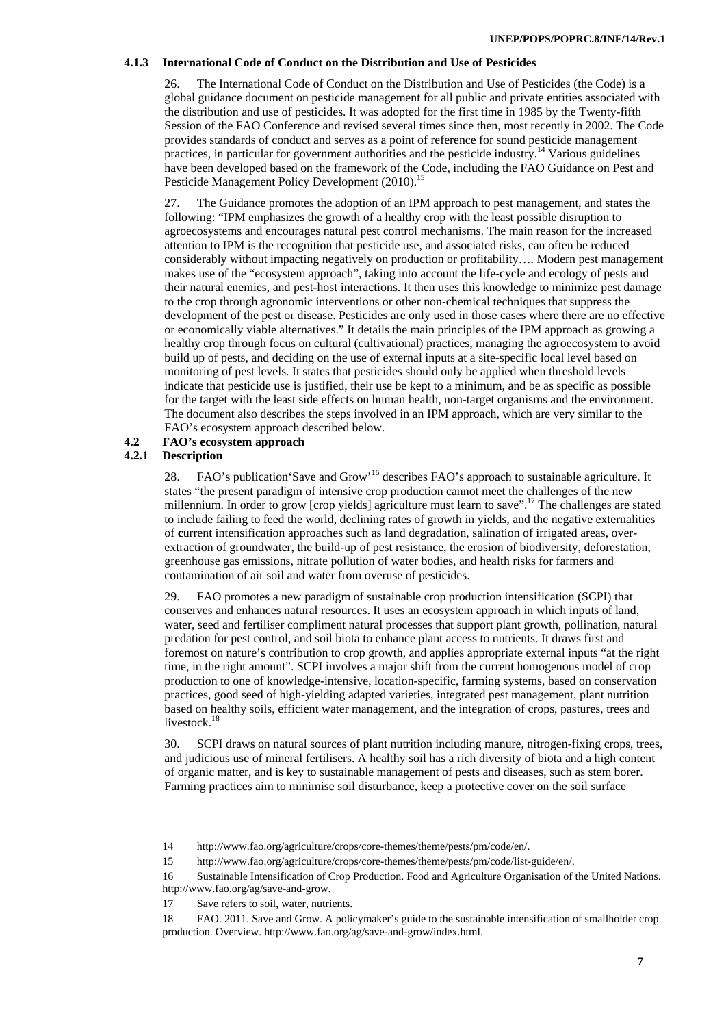### **4.1.3 International Code of Conduct on the Distribution and Use of Pesticides**

26. The International Code of Conduct on the Distribution and Use of Pesticides (the Code) is a global guidance document on pesticide management for all public and private entities associated with the distribution and use of pesticides. It was adopted for the first time in 1985 by the Twenty-fifth Session of the FAO Conference and revised several times since then, most recently in 2002. The Code provides standards of conduct and serves as a point of reference for sound pesticide management practices, in particular for government authorities and the pesticide industry.<sup>14</sup> Various guidelines have been developed based on the framework of the Code, including the FAO Guidance on Pest and Pesticide Management Policy Development (2010).<sup>15</sup>

27. The Guidance promotes the adoption of an IPM approach to pest management, and states the following: "IPM emphasizes the growth of a healthy crop with the least possible disruption to agroecosystems and encourages natural pest control mechanisms. The main reason for the increased attention to IPM is the recognition that pesticide use, and associated risks, can often be reduced considerably without impacting negatively on production or profitability…. Modern pest management makes use of the "ecosystem approach", taking into account the life-cycle and ecology of pests and their natural enemies, and pest-host interactions. It then uses this knowledge to minimize pest damage to the crop through agronomic interventions or other non-chemical techniques that suppress the development of the pest or disease. Pesticides are only used in those cases where there are no effective or economically viable alternatives." It details the main principles of the IPM approach as growing a healthy crop through focus on cultural (cultivational) practices, managing the agroecosystem to avoid build up of pests, and deciding on the use of external inputs at a site-specific local level based on monitoring of pest levels. It states that pesticides should only be applied when threshold levels indicate that pesticide use is justified, their use be kept to a minimum, and be as specific as possible for the target with the least side effects on human health, non-target organisms and the environment. The document also describes the steps involved in an IPM approach, which are very similar to the FAO's ecosystem approach described below.

### **4.2 FAO's ecosystem approach**

### **4.2.1 Description**

l

28. FAO's publication 'Save and Grow'<sup>16</sup> describes FAO's approach to sustainable agriculture. It states "the present paradigm of intensive crop production cannot meet the challenges of the new millennium. In order to grow [crop yields] agriculture must learn to save".<sup>17</sup> The challenges are stated to include failing to feed the world, declining rates of growth in yields, and the negative externalities of **c**urrent intensification approaches such as land degradation, salination of irrigated areas, overextraction of groundwater, the build-up of pest resistance, the erosion of biodiversity, deforestation, greenhouse gas emissions, nitrate pollution of water bodies, and health risks for farmers and contamination of air soil and water from overuse of pesticides.

29. FAO promotes a new paradigm of sustainable crop production intensification (SCPI) that conserves and enhances natural resources. It uses an ecosystem approach in which inputs of land, water, seed and fertiliser compliment natural processes that support plant growth, pollination, natural predation for pest control, and soil biota to enhance plant access to nutrients. It draws first and foremost on nature's contribution to crop growth, and applies appropriate external inputs "at the right time, in the right amount". SCPI involves a major shift from the current homogenous model of crop production to one of knowledge-intensive, location-specific, farming systems, based on conservation practices, good seed of high-yielding adapted varieties, integrated pest management, plant nutrition based on healthy soils, efficient water management, and the integration of crops, pastures, trees and livestock.<sup>18</sup>

30. SCPI draws on natural sources of plant nutrition including manure, nitrogen-fixing crops, trees, and judicious use of mineral fertilisers. A healthy soil has a rich diversity of biota and a high content of organic matter, and is key to sustainable management of pests and diseases, such as stem borer. Farming practices aim to minimise soil disturbance, keep a protective cover on the soil surface

<sup>14</sup> http://www.fao.org/agriculture/crops/core-themes/theme/pests/pm/code/en/.

<sup>15</sup> http://www.fao.org/agriculture/crops/core-themes/theme/pests/pm/code/list-guide/en/.

<sup>16</sup> Sustainable Intensification of Crop Production. Food and Agriculture Organisation of the United Nations. http://www.fao.org/ag/save-and-grow.

<sup>17</sup> Save refers to soil, water, nutrients.

<sup>18</sup> FAO. 2011. Save and Grow. A policymaker's guide to the sustainable intensification of smallholder crop production. Overview. http://www.fao.org/ag/save-and-grow/index.html.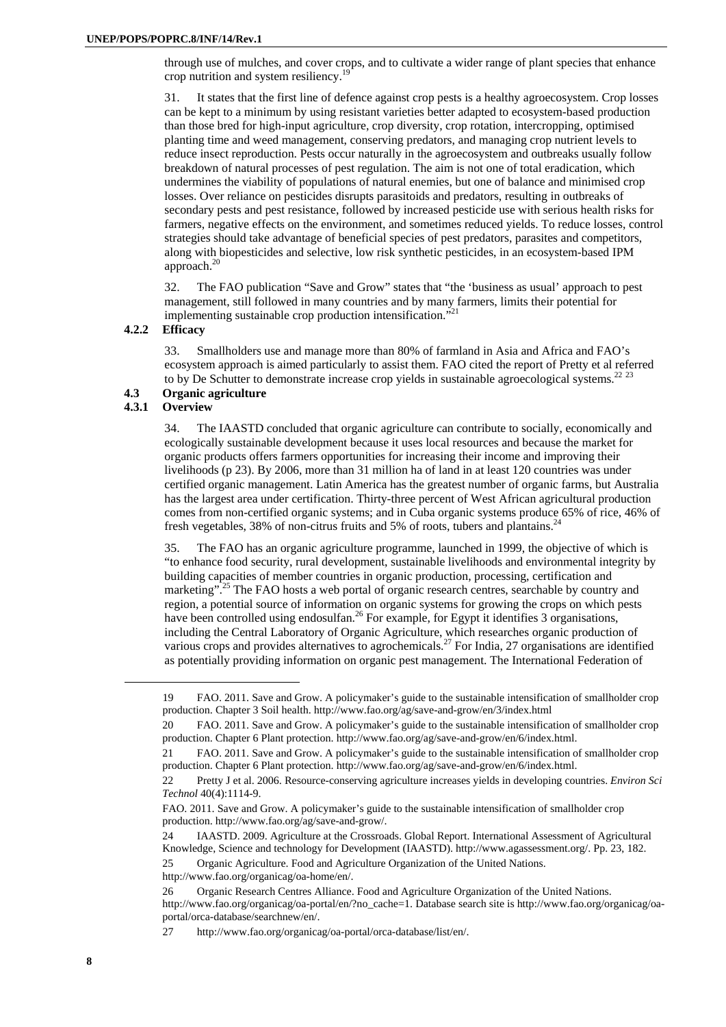through use of mulches, and cover crops, and to cultivate a wider range of plant species that enhance crop nutrition and system resiliency.<sup>1</sup>

31. It states that the first line of defence against crop pests is a healthy agroecosystem. Crop losses can be kept to a minimum by using resistant varieties better adapted to ecosystem-based production than those bred for high-input agriculture, crop diversity, crop rotation, intercropping, optimised planting time and weed management, conserving predators, and managing crop nutrient levels to reduce insect reproduction. Pests occur naturally in the agroecosystem and outbreaks usually follow breakdown of natural processes of pest regulation. The aim is not one of total eradication, which undermines the viability of populations of natural enemies, but one of balance and minimised crop losses. Over reliance on pesticides disrupts parasitoids and predators, resulting in outbreaks of secondary pests and pest resistance, followed by increased pesticide use with serious health risks for farmers, negative effects on the environment, and sometimes reduced yields. To reduce losses, control strategies should take advantage of beneficial species of pest predators, parasites and competitors, along with biopesticides and selective, low risk synthetic pesticides, in an ecosystem-based IPM approach.<sup>20</sup>

32. The FAO publication "Save and Grow" states that "the 'business as usual' approach to pest management, still followed in many countries and by many farmers, limits their potential for implementing sustainable crop production intensification."

### **4.2.2 Efficacy**

33. Smallholders use and manage more than 80% of farmland in Asia and Africa and FAO's ecosystem approach is aimed particularly to assist them. FAO cited the report of Pretty et al referred to by De Schutter to demonstrate increase crop yields in sustainable agroecological systems. $22^{23}$ 

### **4.3 Organic agriculture**

## **4.3.1 Overview**

34. The IAASTD concluded that organic agriculture can contribute to socially, economically and ecologically sustainable development because it uses local resources and because the market for organic products offers farmers opportunities for increasing their income and improving their livelihoods (p 23). By 2006, more than 31 million ha of land in at least 120 countries was under certified organic management. Latin America has the greatest number of organic farms, but Australia has the largest area under certification. Thirty-three percent of West African agricultural production comes from non-certified organic systems; and in Cuba organic systems produce 65% of rice, 46% of fresh vegetables, 38% of non-citrus fruits and 5% of roots, tubers and plantains.<sup>24</sup>

35. The FAO has an organic agriculture programme, launched in 1999, the objective of which is "to enhance food security, rural development, sustainable livelihoods and environmental integrity by building capacities of member countries in organic production, processing, certification and marketing".<sup>25</sup> The FAO hosts a web portal of organic research centres, searchable by country and region, a potential source of information on organic systems for growing the crops on which pests have been controlled using endosulfan.<sup>26</sup> For example, for Egypt it identifies 3 organisations, including the Central Laboratory of Organic Agriculture, which researches organic production of various crops and provides alternatives to agrochemicals.<sup>27</sup> For India, 27 organisations are identified as potentially providing information on organic pest management. The International Federation of

<sup>19</sup> FAO. 2011. Save and Grow. A policymaker's guide to the sustainable intensification of smallholder crop production. Chapter 3 Soil health. http://www.fao.org/ag/save-and-grow/en/3/index.html

<sup>20</sup> FAO. 2011. Save and Grow. A policymaker's guide to the sustainable intensification of smallholder crop production. Chapter 6 Plant protection. http://www.fao.org/ag/save-and-grow/en/6/index.html.

<sup>21</sup> FAO. 2011. Save and Grow. A policymaker's guide to the sustainable intensification of smallholder crop production. Chapter 6 Plant protection. http://www.fao.org/ag/save-and-grow/en/6/index.html.

<sup>22</sup> Pretty J et al. 2006. Resource-conserving agriculture increases yields in developing countries. *Environ Sci Technol* 40(4):1114-9.

FAO. 2011. Save and Grow. A policymaker's guide to the sustainable intensification of smallholder crop production. http://www.fao.org/ag/save-and-grow/.

<sup>24</sup> IAASTD. 2009. Agriculture at the Crossroads. Global Report. International Assessment of Agricultural Knowledge, Science and technology for Development (IAASTD). http://www.agassessment.org/. Pp. 23, 182.

<sup>25</sup> Organic Agriculture. Food and Agriculture Organization of the United Nations.

http://www.fao.org/organicag/oa-home/en/.

<sup>26</sup> Organic Research Centres Alliance. Food and Agriculture Organization of the United Nations. http://www.fao.org/organicag/oa-portal/en/?no\_cache=1. Database search site is http://www.fao.org/organicag/oaportal/orca-database/searchnew/en/.

<sup>27</sup> http://www.fao.org/organicag/oa-portal/orca-database/list/en/.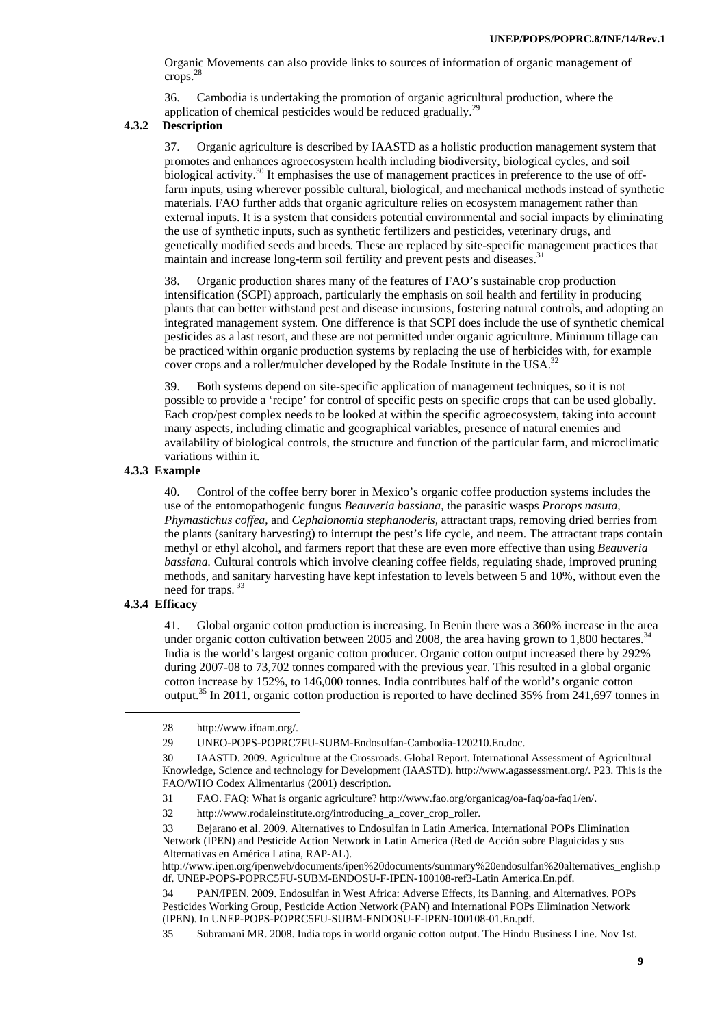Organic Movements can also provide links to sources of information of organic management of crops.28

36. Cambodia is undertaking the promotion of organic agricultural production, where the application of chemical pesticides would be reduced gradually.<sup>29</sup>

### **4.3.2 Description**

37. Organic agriculture is described by IAASTD as a holistic production management system that promotes and enhances agroecosystem health including biodiversity, biological cycles, and soil biological activity.<sup>30</sup> It emphasises the use of management practices in preference to the use of offfarm inputs, using wherever possible cultural, biological, and mechanical methods instead of synthetic materials. FAO further adds that organic agriculture relies on ecosystem management rather than external inputs. It is a system that considers potential environmental and social impacts by eliminating the use of synthetic inputs, such as synthetic fertilizers and pesticides, veterinary drugs, and genetically modified seeds and breeds. These are replaced by site-specific management practices that maintain and increase long-term soil fertility and prevent pests and diseases.<sup>31</sup>

38. Organic production shares many of the features of FAO's sustainable crop production intensification (SCPI) approach, particularly the emphasis on soil health and fertility in producing plants that can better withstand pest and disease incursions, fostering natural controls, and adopting an integrated management system. One difference is that SCPI does include the use of synthetic chemical pesticides as a last resort, and these are not permitted under organic agriculture. Minimum tillage can be practiced within organic production systems by replacing the use of herbicides with, for example cover crops and a roller/mulcher developed by the Rodale Institute in the USA.<sup>32</sup>

39. Both systems depend on site-specific application of management techniques, so it is not possible to provide a 'recipe' for control of specific pests on specific crops that can be used globally. Each crop/pest complex needs to be looked at within the specific agroecosystem, taking into account many aspects, including climatic and geographical variables, presence of natural enemies and availability of biological controls, the structure and function of the particular farm, and microclimatic variations within it.

### **4.3.3 Example**

40. Control of the coffee berry borer in Mexico's organic coffee production systems includes the use of the entomopathogenic fungus *Beauveria bassiana*, the parasitic wasps *Prorops nasuta, Phymastichus coffea*, and *Cephalonomia stephanoderis,* attractant traps, removing dried berries from the plants (sanitary harvesting) to interrupt the pest's life cycle, and neem. The attractant traps contain methyl or ethyl alcohol, and farmers report that these are even more effective than using *Beauveria bassiana.* Cultural controls which involve cleaning coffee fields, regulating shade, improved pruning methods, and sanitary harvesting have kept infestation to levels between 5 and 10%, without even the need for traps.<sup>33</sup>

### **4.3.4 Efficacy**

 $\overline{a}$ 

41. Global organic cotton production is increasing. In Benin there was a 360% increase in the area under organic cotton cultivation between 2005 and 2008, the area having grown to  $1,800$  hectares.<sup>34</sup> India is the world's largest organic cotton producer. Organic cotton output increased there by 292% during 2007-08 to 73,702 tonnes compared with the previous year. This resulted in a global organic cotton increase by 152%, to 146,000 tonnes. India contributes half of the world's organic cotton output.35 In 2011, organic cotton production is reported to have declined 35% from 241,697 tonnes in

<sup>28</sup> http://www.ifoam.org/.

<sup>29</sup> UNEO-POPS-POPRC7FU-SUBM-Endosulfan-Cambodia-120210.En.doc.

<sup>30</sup> IAASTD. 2009. Agriculture at the Crossroads. Global Report. International Assessment of Agricultural Knowledge, Science and technology for Development (IAASTD). http://www.agassessment.org/. P23. This is the FAO/WHO Codex Alimentarius (2001) description.

<sup>31</sup> FAO. FAQ: What is organic agriculture? http://www.fao.org/organicag/oa-faq/oa-faq1/en/.

<sup>32</sup> http://www.rodaleinstitute.org/introducing\_a\_cover\_crop\_roller.

<sup>33</sup> Bejarano et al. 2009. Alternatives to Endosulfan in Latin America. International POPs Elimination Network (IPEN) and Pesticide Action Network in Latin America (Red de Acción sobre Plaguicidas y sus Alternativas en América Latina, RAP-AL).

http://www.ipen.org/ipenweb/documents/ipen%20documents/summary%20endosulfan%20alternatives\_english.p df. UNEP-POPS-POPRC5FU-SUBM-ENDOSU-F-IPEN-100108-ref3-Latin America.En.pdf.

<sup>34</sup> PAN/IPEN. 2009. Endosulfan in West Africa: Adverse Effects, its Banning, and Alternatives. POPs Pesticides Working Group, Pesticide Action Network (PAN) and International POPs Elimination Network (IPEN). In UNEP-POPS-POPRC5FU-SUBM-ENDOSU-F-IPEN-100108-01.En.pdf.

<sup>35</sup> Subramani MR. 2008. India tops in world organic cotton output. The Hindu Business Line. Nov 1st.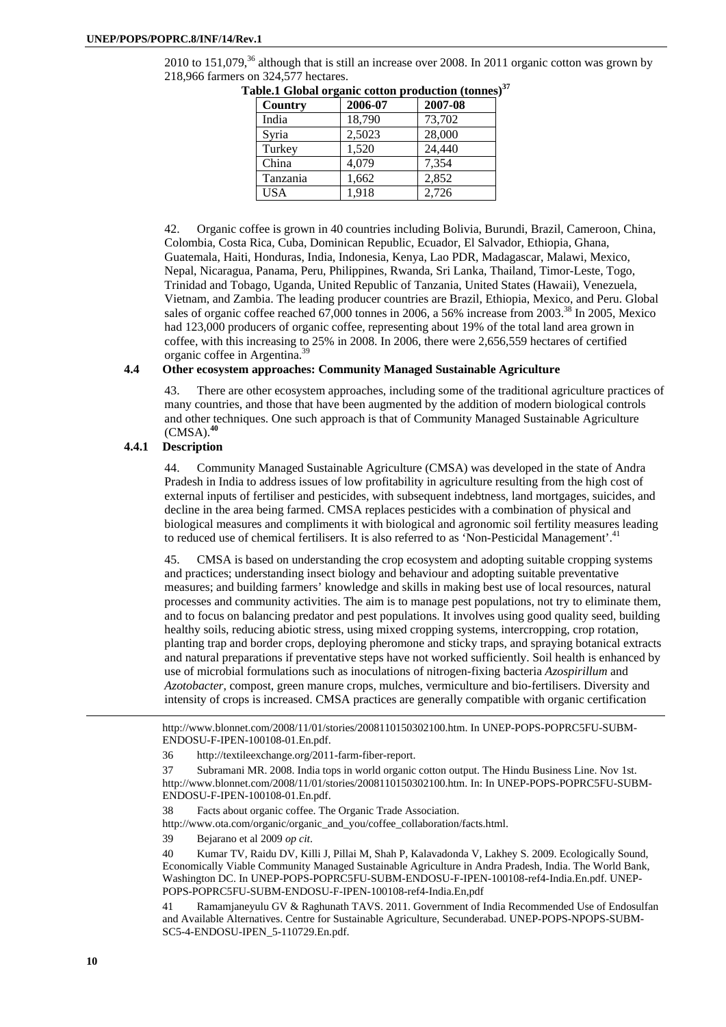2010 to  $151,079$ ,<sup>36</sup> although that is still an increase over 2008. In 2011 organic cotton was grown by 218,966 farmers on 324,577 hectares.

| Country    | 2006-07 | 2007-08 |
|------------|---------|---------|
| India      | 18,790  | 73,702  |
| Syria      | 2,5023  | 28,000  |
| Turkey     | 1,520   | 24,440  |
| China      | 4,079   | 7,354   |
| Tanzania   | 1,662   | 2,852   |
| <b>USA</b> | 1,918   | 2,726   |

Table.1 Global organic cotton production (tonnes)<sup>37</sup>

42. Organic coffee is grown in 40 countries including Bolivia, Burundi, Brazil, Cameroon, China, Colombia, Costa Rica, Cuba, Dominican Republic, Ecuador, El Salvador, Ethiopia, Ghana, Guatemala, Haiti, Honduras, India, Indonesia, Kenya, Lao PDR, Madagascar, Malawi, Mexico, Nepal, Nicaragua, Panama, Peru, Philippines, Rwanda, Sri Lanka, Thailand, Timor-Leste, Togo, Trinidad and Tobago, Uganda, United Republic of Tanzania, United States (Hawaii), Venezuela, Vietnam, and Zambia. The leading producer countries are Brazil, Ethiopia, Mexico, and Peru. Global sales of organic coffee reached 67,000 tonnes in 2006, a 56% increase from 2003.<sup>38</sup> In 2005, Mexico had 123,000 producers of organic coffee, representing about 19% of the total land area grown in coffee, with this increasing to 25% in 2008. In 2006, there were 2,656,559 hectares of certified organic coffee in Argentina.39

### **4.4 Other ecosystem approaches: Community Managed Sustainable Agriculture**

43. There are other ecosystem approaches, including some of the traditional agriculture practices of many countries, and those that have been augmented by the addition of modern biological controls and other techniques. One such approach is that of Community Managed Sustainable Agriculture (CMSA).**<sup>40</sup>**

### **4.4.1 Description**

44. Community Managed Sustainable Agriculture (CMSA) was developed in the state of Andra Pradesh in India to address issues of low profitability in agriculture resulting from the high cost of external inputs of fertiliser and pesticides, with subsequent indebtness, land mortgages, suicides, and decline in the area being farmed. CMSA replaces pesticides with a combination of physical and biological measures and compliments it with biological and agronomic soil fertility measures leading to reduced use of chemical fertilisers. It is also referred to as 'Non-Pesticidal Management'.<sup>41</sup>

45. CMSA is based on understanding the crop ecosystem and adopting suitable cropping systems and practices; understanding insect biology and behaviour and adopting suitable preventative measures; and building farmers' knowledge and skills in making best use of local resources, natural processes and community activities. The aim is to manage pest populations, not try to eliminate them, and to focus on balancing predator and pest populations. It involves using good quality seed, building healthy soils, reducing abiotic stress, using mixed cropping systems, intercropping, crop rotation, planting trap and border crops, deploying pheromone and sticky traps, and spraying botanical extracts and natural preparations if preventative steps have not worked sufficiently. Soil health is enhanced by use of microbial formulations such as inoculations of nitrogen-fixing bacteria *Azospirillum* and *Azotobacter*, compost, green manure crops, mulches, vermiculture and bio-fertilisers. Diversity and intensity of crops is increased. CMSA practices are generally compatible with organic certification

http://www.blonnet.com/2008/11/01/stories/2008110150302100.htm. In UNEP-POPS-POPRC5FU-SUBM-ENDOSU-F-IPEN-100108-01.En.pdf.

38 Facts about organic coffee. The Organic Trade Association.

http://www.ota.com/organic/organic\_and\_you/coffee\_collaboration/facts.html.

39 Bejarano et al 2009 *op cit*.

40 Kumar TV, Raidu DV, Killi J, Pillai M, Shah P, Kalavadonda V, Lakhey S. 2009. Ecologically Sound, Economically Viable Community Managed Sustainable Agriculture in Andra Pradesh, India. The World Bank, Washington DC. In UNEP-POPS-POPRC5FU-SUBM-ENDOSU-F-IPEN-100108-ref4-India.En.pdf. UNEP-POPS-POPRC5FU-SUBM-ENDOSU-F-IPEN-100108-ref4-India.En,pdf

41 Ramamjaneyulu GV & Raghunath TAVS. 2011. Government of India Recommended Use of Endosulfan and Available Alternatives. Centre for Sustainable Agriculture, Secunderabad. UNEP-POPS-NPOPS-SUBM-SC5-4-ENDOSU-IPEN\_5-110729.En.pdf.

1

<sup>36</sup> http://textileexchange.org/2011-farm-fiber-report.

<sup>37</sup> Subramani MR. 2008. India tops in world organic cotton output. The Hindu Business Line. Nov 1st. http://www.blonnet.com/2008/11/01/stories/2008110150302100.htm. In: In UNEP-POPS-POPRC5FU-SUBM-ENDOSU-F-IPEN-100108-01.En.pdf.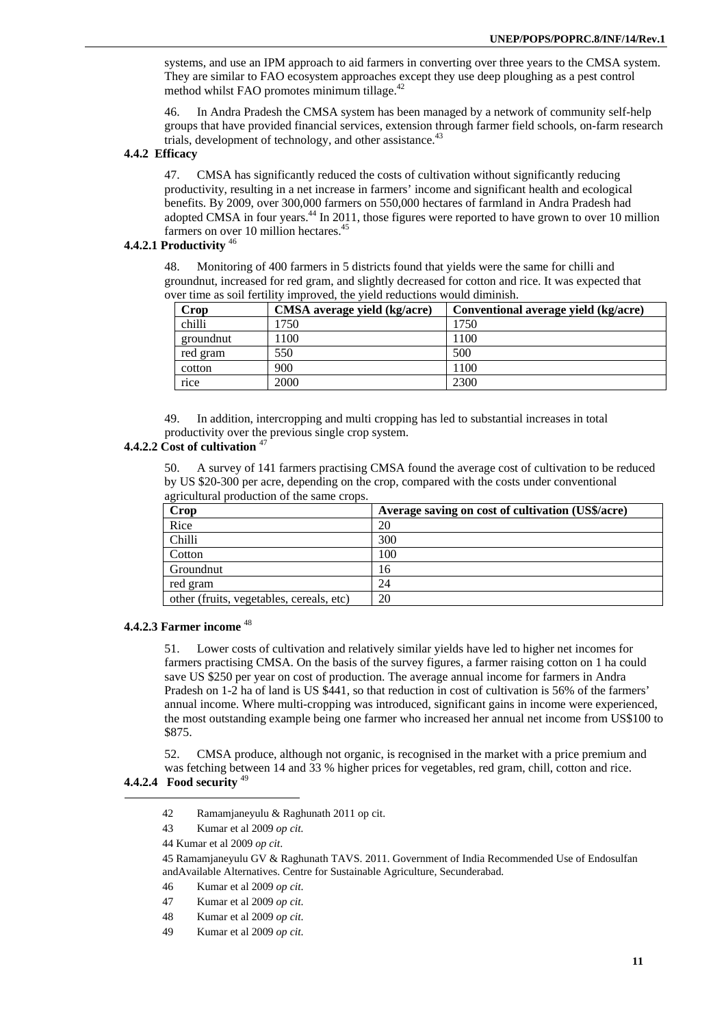systems, and use an IPM approach to aid farmers in converting over three years to the CMSA system. They are similar to FAO ecosystem approaches except they use deep ploughing as a pest control method whilst FAO promotes minimum tillage. $42$ 

46. In Andra Pradesh the CMSA system has been managed by a network of community self-help groups that have provided financial services, extension through farmer field schools, on-farm research trials, development of technology, and other assistance.<sup>43</sup>

### **4.4.2 Efficacy**

47. CMSA has significantly reduced the costs of cultivation without significantly reducing productivity, resulting in a net increase in farmers' income and significant health and ecological benefits. By 2009, over 300,000 farmers on 550,000 hectares of farmland in Andra Pradesh had adopted CMSA in four years.<sup>44</sup> In 2011, those figures were reported to have grown to over 10 million farmers on over 10 million hectares.<sup>45</sup>

# **4.4.2.1 Productivity** <sup>46</sup>

48. Monitoring of 400 farmers in 5 districts found that yields were the same for chilli and groundnut, increased for red gram, and slightly decreased for cotton and rice. It was expected that over time as soil fertility improved, the yield reductions would diminish.

| Crop      | CMSA average yield (kg/acre) | Conventional average yield (kg/acre) |
|-----------|------------------------------|--------------------------------------|
| chilli    | 1750                         | 1750                                 |
| groundnut | 1100                         | 1100                                 |
| red gram  | 550                          | 500                                  |
| cotton    | 900                          | 1100                                 |
| rice      | 2000                         | 2300                                 |

49. In addition, intercropping and multi cropping has led to substantial increases in total productivity over the previous single crop system.

# **4.4.2.2 Cost of cultivation** <sup>47</sup>

50. A survey of 141 farmers practising CMSA found the average cost of cultivation to be reduced by US \$20-300 per acre, depending on the crop, compared with the costs under conventional agricultural production of the same crops.

| Crop                                     | Average saving on cost of cultivation (US\$/acre) |
|------------------------------------------|---------------------------------------------------|
| Rice                                     | 20                                                |
| Chilli                                   | 300                                               |
| Cotton                                   | 100                                               |
| Groundnut                                | 16                                                |
| red gram                                 | 24                                                |
| other (fruits, vegetables, cereals, etc) | 20                                                |

### **4.4.2.3 Farmer income** <sup>48</sup>

51. Lower costs of cultivation and relatively similar yields have led to higher net incomes for farmers practising CMSA. On the basis of the survey figures, a farmer raising cotton on 1 ha could save US \$250 per year on cost of production. The average annual income for farmers in Andra Pradesh on 1-2 ha of land is US \$441, so that reduction in cost of cultivation is 56% of the farmers' annual income. Where multi-cropping was introduced, significant gains in income were experienced, the most outstanding example being one farmer who increased her annual net income from US\$100 to \$875.

52. CMSA produce, although not organic, is recognised in the market with a price premium and was fetching between 14 and 33 % higher prices for vegetables, red gram, chill, cotton and rice.

### **4.4.2.4 Food security** <sup>49</sup>  $\overline{a}$

- 42 Ramamjaneyulu & Raghunath 2011 op cit.
- 43 Kumar et al 2009 *op cit.*

45 Ramamjaneyulu GV & Raghunath TAVS. 2011. Government of India Recommended Use of Endosulfan andAvailable Alternatives. Centre for Sustainable Agriculture, Secunderabad.

- 46 Kumar et al 2009 *op cit*.
- 47 Kumar et al 2009 *op cit*.
- 48 Kumar et al 2009 *op cit*.
- 49 Kumar et al 2009 *op cit*.

<sup>44</sup> Kumar et al 2009 *op cit*.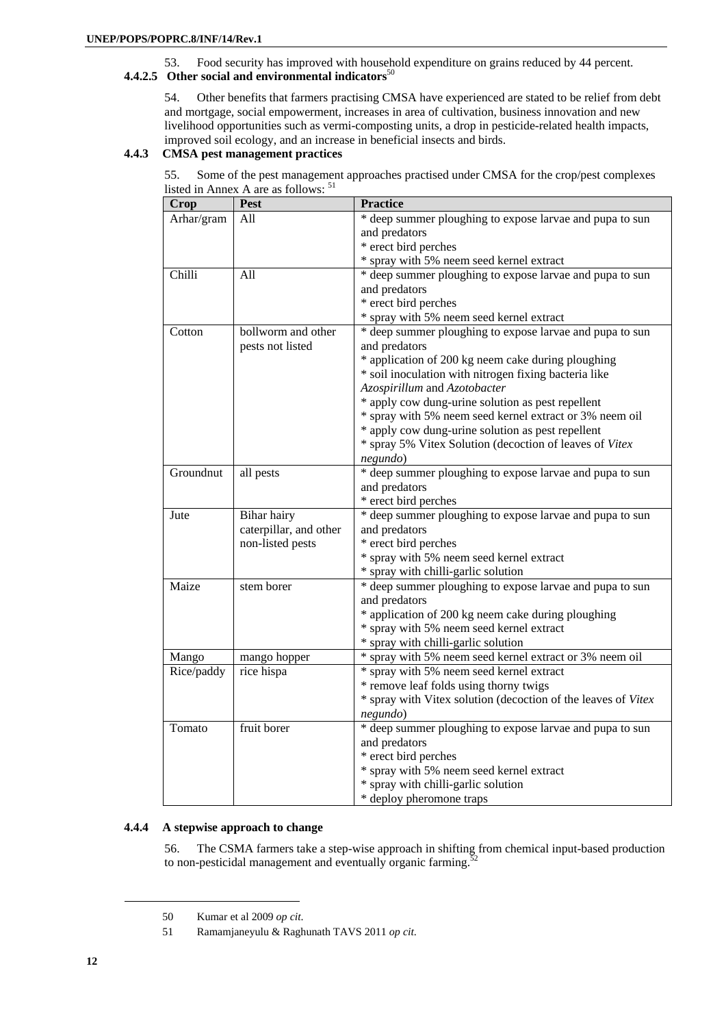# 53. Food security has improved with household expenditure on grains reduced by 44 percent. **4.4.2.5 Other social and environmental indicators**<sup>50</sup>

54. Other benefits that farmers practising CMSA have experienced are stated to be relief from debt and mortgage, social empowerment, increases in area of cultivation, business innovation and new livelihood opportunities such as vermi-composting units, a drop in pesticide-related health impacts, improved soil ecology, and an increase in beneficial insects and birds.

# **4.4.3 CMSA pest management practices**

| 55. Some of the pest management approaches practised under CMSA for the crop/pest complexes |  |  |
|---------------------------------------------------------------------------------------------|--|--|
| listed in Annex A are as follows: <sup>51</sup>                                             |  |  |

| <b>Crop</b> | Pest                   | <b>Practice</b>                                               |
|-------------|------------------------|---------------------------------------------------------------|
| Arhar/gram  | All                    | * deep summer ploughing to expose larvae and pupa to sun      |
|             |                        | and predators                                                 |
|             |                        | * erect bird perches                                          |
|             |                        | * spray with 5% neem seed kernel extract                      |
| Chilli      | All                    | * deep summer ploughing to expose larvae and pupa to sun      |
|             |                        | and predators                                                 |
|             |                        | * erect bird perches                                          |
|             |                        | * spray with 5% neem seed kernel extract                      |
| Cotton      | bollworm and other     | * deep summer ploughing to expose larvae and pupa to sun      |
|             | pests not listed       | and predators                                                 |
|             |                        | * application of 200 kg neem cake during ploughing            |
|             |                        | * soil inoculation with nitrogen fixing bacteria like         |
|             |                        | Azospirillum and Azotobacter                                  |
|             |                        | * apply cow dung-urine solution as pest repellent             |
|             |                        | * spray with 5% neem seed kernel extract or 3% neem oil       |
|             |                        | * apply cow dung-urine solution as pest repellent             |
|             |                        | * spray 5% Vitex Solution (decoction of leaves of Vitex       |
|             |                        | negundo)                                                      |
| Groundnut   | all pests              | * deep summer ploughing to expose larvae and pupa to sun      |
|             |                        | and predators                                                 |
|             |                        | * erect bird perches                                          |
| Jute        | Bihar hairy            | * deep summer ploughing to expose larvae and pupa to sun      |
|             | caterpillar, and other | and predators                                                 |
|             | non-listed pests       | * erect bird perches                                          |
|             |                        | * spray with 5% neem seed kernel extract                      |
|             |                        | * spray with chilli-garlic solution                           |
| Maize       | stem borer             | * deep summer ploughing to expose larvae and pupa to sun      |
|             |                        | and predators                                                 |
|             |                        | * application of 200 kg neem cake during ploughing            |
|             |                        | * spray with 5% neem seed kernel extract                      |
|             |                        | * spray with chilli-garlic solution                           |
| Mango       | mango hopper           | * spray with 5% neem seed kernel extract or 3% neem oil       |
| Rice/paddy  | rice hispa             | * spray with 5% neem seed kernel extract                      |
|             |                        | * remove leaf folds using thorny twigs                        |
|             |                        | * spray with Vitex solution (decoction of the leaves of Vitex |
|             |                        | negundo)                                                      |
| Tomato      | fruit borer            | * deep summer ploughing to expose larvae and pupa to sun      |
|             |                        | and predators                                                 |
|             |                        | * erect bird perches                                          |
|             |                        | * spray with 5% neem seed kernel extract                      |
|             |                        | * spray with chilli-garlic solution                           |
|             |                        | * deploy pheromone traps                                      |

# **4.4.4 A stepwise approach to change**

56. The CSMA farmers take a step-wise approach in shifting from chemical input-based production to non-pesticidal management and eventually organic farming.<sup>52</sup>

l

<sup>50</sup> Kumar et al 2009 *op cit*.

<sup>51</sup> Ramamjaneyulu & Raghunath TAVS 2011 *op cit*.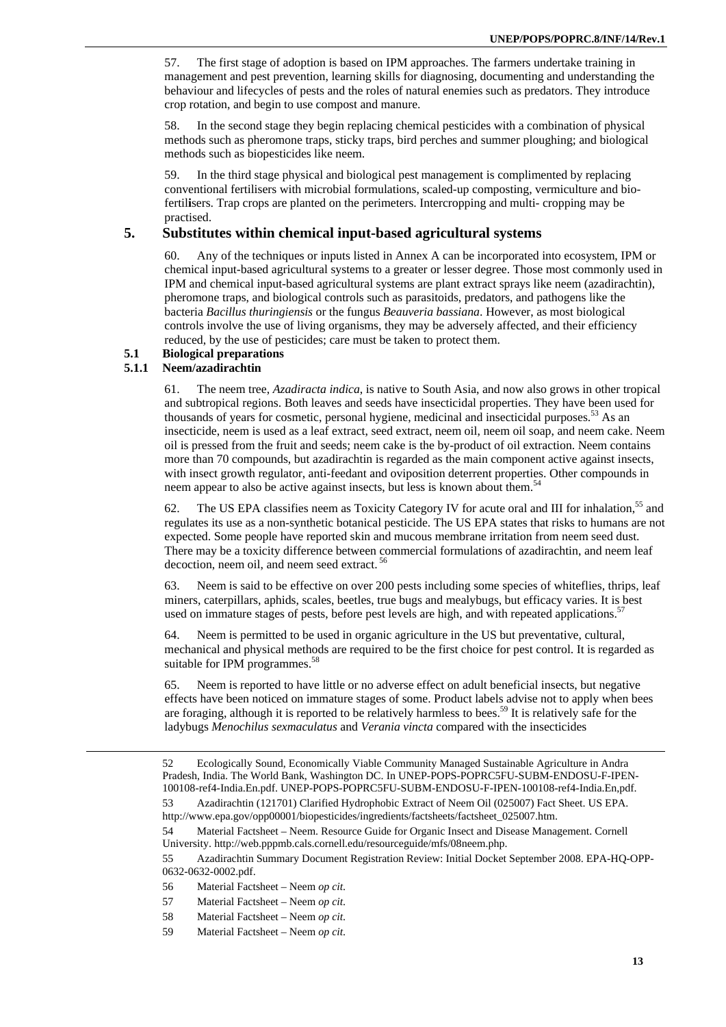57. The first stage of adoption is based on IPM approaches. The farmers undertake training in management and pest prevention, learning skills for diagnosing, documenting and understanding the behaviour and lifecycles of pests and the roles of natural enemies such as predators. They introduce crop rotation, and begin to use compost and manure.

58. In the second stage they begin replacing chemical pesticides with a combination of physical methods such as pheromone traps, sticky traps, bird perches and summer ploughing; and biological methods such as biopesticides like neem.

59. In the third stage physical and biological pest management is complimented by replacing conventional fertilisers with microbial formulations, scaled-up composting, vermiculture and biofertil**i**sers. Trap crops are planted on the perimeters. Intercropping and multi- cropping may be practised.

# **5. Substitutes within chemical input-based agricultural systems**

60. Any of the techniques or inputs listed in Annex A can be incorporated into ecosystem, IPM or chemical input-based agricultural systems to a greater or lesser degree. Those most commonly used in IPM and chemical input-based agricultural systems are plant extract sprays like neem (azadirachtin), pheromone traps, and biological controls such as parasitoids, predators, and pathogens like the bacteria *Bacillus thuringiensis* or the fungus *Beauveria bassiana*. However, as most biological controls involve the use of living organisms, they may be adversely affected, and their efficiency reduced, by the use of pesticides; care must be taken to protect them.

# **5.1 Biological preparations**

# **5.1.1 Neem/azadirachtin**

-

61. The neem tree, *Azadiracta indica*, is native to South Asia, and now also grows in other tropical and subtropical regions. Both leaves and seeds have insecticidal properties. They have been used for thousands of years for cosmetic, personal hygiene, medicinal and insecticidal purposes.<sup>53</sup> As an insecticide, neem is used as a leaf extract, seed extract, neem oil, neem oil soap, and neem cake. Neem oil is pressed from the fruit and seeds; neem cake is the by-product of oil extraction. Neem contains more than 70 compounds, but azadirachtin is regarded as the main component active against insects, with insect growth regulator, anti-feedant and oviposition deterrent properties. Other compounds in neem appear to also be active against insects, but less is known about them.<sup>5</sup>

62. The US EPA classifies neem as Toxicity Category IV for acute oral and III for inhalation,<sup>55</sup> and regulates its use as a non-synthetic botanical pesticide. The US EPA states that risks to humans are not expected. Some people have reported skin and mucous membrane irritation from neem seed dust. There may be a toxicity difference between commercial formulations of azadirachtin, and neem leaf decoction, neem oil, and neem seed extract. 56

63. Neem is said to be effective on over 200 pests including some species of whiteflies, thrips, leaf miners, caterpillars, aphids, scales, beetles, true bugs and mealybugs, but efficacy varies. It is best used on immature stages of pests, before pest levels are high, and with repeated applications.<sup>57</sup>

64. Neem is permitted to be used in organic agriculture in the US but preventative, cultural, mechanical and physical methods are required to be the first choice for pest control. It is regarded as suitable for IPM programmes.<sup>58</sup>

65. Neem is reported to have little or no adverse effect on adult beneficial insects, but negative effects have been noticed on immature stages of some. Product labels advise not to apply when bees are foraging, although it is reported to be relatively harmless to bees.<sup>59</sup> It is relatively safe for the ladybugs *Menochilus sexmaculatus* and *Verania vincta* compared with the insecticides

54 Material Factsheet – Neem. Resource Guide for Organic Insect and Disease Management. Cornell University. http://web.pppmb.cals.cornell.edu/resourceguide/mfs/08neem.php.

55 Azadirachtin Summary Document Registration Review: Initial Docket September 2008. EPA-HQ-OPP-0632-0632-0002.pdf.

<sup>52</sup> Ecologically Sound, Economically Viable Community Managed Sustainable Agriculture in Andra Pradesh, India. The World Bank, Washington DC. In UNEP-POPS-POPRC5FU-SUBM-ENDOSU-F-IPEN-100108-ref4-India.En.pdf. UNEP-POPS-POPRC5FU-SUBM-ENDOSU-F-IPEN-100108-ref4-India.En,pdf.

<sup>53</sup> Azadirachtin (121701) Clarified Hydrophobic Extract of Neem Oil (025007) Fact Sheet. US EPA. http://www.epa.gov/opp00001/biopesticides/ingredients/factsheets/factsheet\_025007.htm.

<sup>56</sup> Material Factsheet – Neem *op cit*.

<sup>57</sup> Material Factsheet – Neem *op cit*.

<sup>58</sup> Material Factsheet – Neem *op cit*.

<sup>59</sup> Material Factsheet – Neem *op cit*.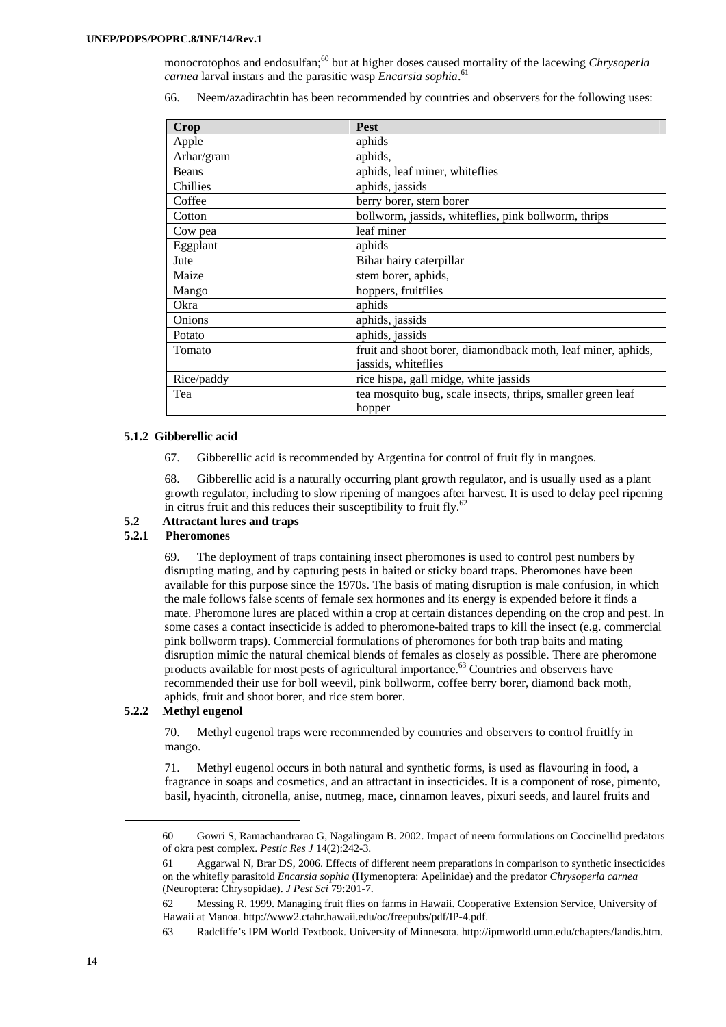monocrotophos and endosulfan;<sup>60</sup> but at higher doses caused mortality of the lacewing *Chrysoperla carnea* larval instars and the parasitic wasp *Encarsia sophia*. 61

66. Neem/azadirachtin has been recommended by countries and observers for the following uses:

| Crop         | <b>Pest</b>                                                  |
|--------------|--------------------------------------------------------------|
| Apple        | aphids                                                       |
| Arhar/gram   | aphids,                                                      |
| <b>Beans</b> | aphids, leaf miner, whiteflies                               |
| Chillies     | aphids, jassids                                              |
| Coffee       | berry borer, stem borer                                      |
| Cotton       | bollworm, jassids, whiteflies, pink bollworm, thrips         |
| Cow pea      | leaf miner                                                   |
| Eggplant     | aphids                                                       |
| Jute         | Bihar hairy caterpillar                                      |
| Maize        | stem borer, aphids,                                          |
| Mango        | hoppers, fruitflies                                          |
| Okra         | aphids                                                       |
| Onions       | aphids, jassids                                              |
| Potato       | aphids, jassids                                              |
| Tomato       | fruit and shoot borer, diamondback moth, leaf miner, aphids, |
|              | jassids, whiteflies                                          |
| Rice/paddy   | rice hispa, gall midge, white jassids                        |
| Tea          | tea mosquito bug, scale insects, thrips, smaller green leaf  |
|              | hopper                                                       |

### **5.1.2 Gibberellic acid**

67. Gibberellic acid is recommended by Argentina for control of fruit fly in mangoes.

68. Gibberellic acid is a naturally occurring plant growth regulator, and is usually used as a plant growth regulator, including to slow ripening of mangoes after harvest. It is used to delay peel ripening in citrus fruit and this reduces their susceptibility to fruit fly. $62$ 

# **5.2 Attractant lures and traps**

# **5.2.1 Pheromones**

69. The deployment of traps containing insect pheromones is used to control pest numbers by disrupting mating, and by capturing pests in baited or sticky board traps. Pheromones have been available for this purpose since the 1970s. The basis of mating disruption is male confusion, in which the male follows false scents of female sex hormones and its energy is expended before it finds a mate. Pheromone lures are placed within a crop at certain distances depending on the crop and pest. In some cases a contact insecticide is added to pheromone-baited traps to kill the insect (e.g. commercial pink bollworm traps). Commercial formulations of pheromones for both trap baits and mating disruption mimic the natural chemical blends of females as closely as possible. There are pheromone products available for most pests of agricultural importance.<sup>63</sup> Countries and observers have recommended their use for boll weevil, pink bollworm, coffee berry borer, diamond back moth, aphids, fruit and shoot borer, and rice stem borer.

### **5.2.2 Methyl eugenol**

70. Methyl eugenol traps were recommended by countries and observers to control fruitlfy in mango.

71. Methyl eugenol occurs in both natural and synthetic forms, is used as flavouring in food, a fragrance in soaps and cosmetics, and an attractant in insecticides. It is a component of rose, pimento, basil, hyacinth, citronella, anise, nutmeg, mace, cinnamon leaves, pixuri seeds, and laurel fruits and

<sup>60</sup> Gowri S, Ramachandrarao G, Nagalingam B. 2002. Impact of neem formulations on Coccinellid predators of okra pest complex. *Pestic Res J* 14(2):242-3.

<sup>61</sup> Aggarwal N, Brar DS, 2006. Effects of different neem preparations in comparison to synthetic insecticides on the whitefly parasitoid *Encarsia sophia* (Hymenoptera: Apelinidae) and the predator *Chrysoperla carnea* (Neuroptera: Chrysopidae). *J Pest Sci* 79:201-7.

<sup>62</sup> Messing R. 1999. Managing fruit flies on farms in Hawaii. Cooperative Extension Service, University of Hawaii at Manoa. http://www2.ctahr.hawaii.edu/oc/freepubs/pdf/IP-4.pdf.

<sup>63</sup> Radcliffe's IPM World Textbook. University of Minnesota. http://ipmworld.umn.edu/chapters/landis.htm.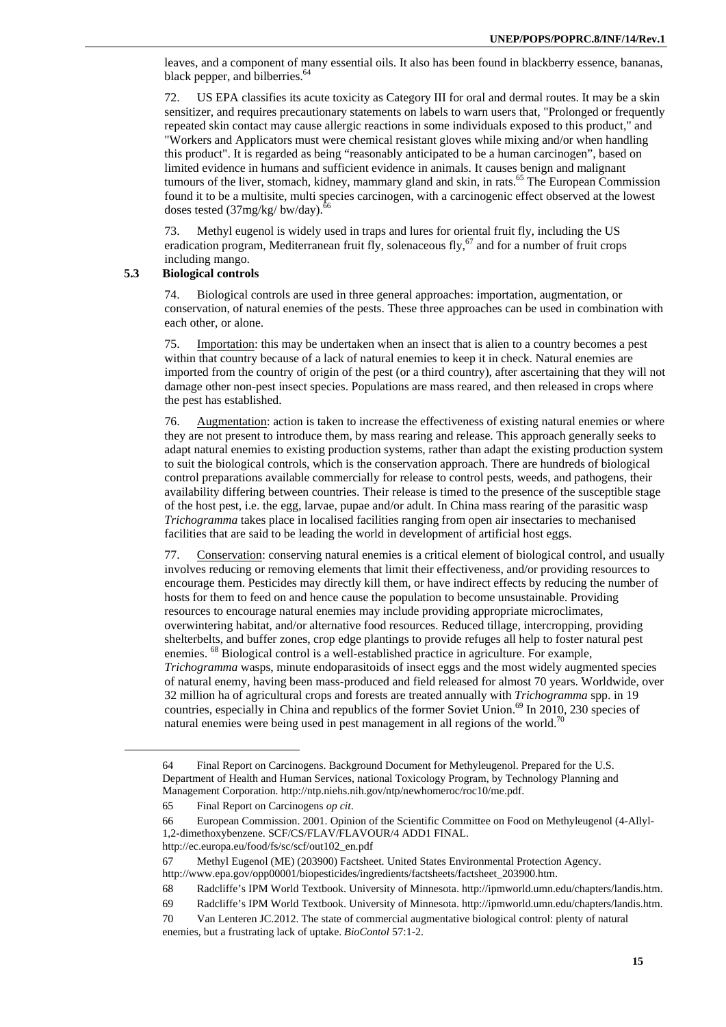leaves, and a component of many essential oils. It also has been found in blackberry essence, bananas, black pepper, and bilberries.<sup>64</sup>

72. US EPA classifies its acute toxicity as Category III for oral and dermal routes. It may be a skin sensitizer, and requires precautionary statements on labels to warn users that, "Prolonged or frequently repeated skin contact may cause allergic reactions in some individuals exposed to this product," and "Workers and Applicators must were chemical resistant gloves while mixing and/or when handling this product". It is regarded as being "reasonably anticipated to be a human carcinogen", based on limited evidence in humans and sufficient evidence in animals. It causes benign and malignant tumours of the liver, stomach, kidney, mammary gland and skin, in rats.<sup>65</sup> The European Commission found it to be a multisite, multi species carcinogen, with a carcinogenic effect observed at the lowest doses tested  $(37mg/kg/bw/day)$ .<sup>6</sup>

73. Methyl eugenol is widely used in traps and lures for oriental fruit fly, including the US eradication program, Mediterranean fruit fly, solenaceous fly, $67$  and for a number of fruit crops including mango.

### **5.3 Biological controls**

74. Biological controls are used in three general approaches: importation, augmentation, or conservation, of natural enemies of the pests. These three approaches can be used in combination with each other, or alone.

75. Importation: this may be undertaken when an insect that is alien to a country becomes a pest within that country because of a lack of natural enemies to keep it in check. Natural enemies are imported from the country of origin of the pest (or a third country), after ascertaining that they will not damage other non-pest insect species. Populations are mass reared, and then released in crops where the pest has established.

76. Augmentation: action is taken to increase the effectiveness of existing natural enemies or where they are not present to introduce them, by mass rearing and release. This approach generally seeks to adapt natural enemies to existing production systems, rather than adapt the existing production system to suit the biological controls, which is the conservation approach. There are hundreds of biological control preparations available commercially for release to control pests, weeds, and pathogens, their availability differing between countries. Their release is timed to the presence of the susceptible stage of the host pest, i.e. the egg, larvae, pupae and/or adult. In China mass rearing of the parasitic wasp *Trichogramma* takes place in localised facilities ranging from open air insectaries to mechanised facilities that are said to be leading the world in development of artificial host eggs.

77. Conservation: conserving natural enemies is a critical element of biological control, and usually involves reducing or removing elements that limit their effectiveness, and/or providing resources to encourage them. Pesticides may directly kill them, or have indirect effects by reducing the number of hosts for them to feed on and hence cause the population to become unsustainable. Providing resources to encourage natural enemies may include providing appropriate microclimates, overwintering habitat, and/or alternative food resources. Reduced tillage, intercropping, providing shelterbelts, and buffer zones, crop edge plantings to provide refuges all help to foster natural pest enemies. <sup>68</sup> Biological control is a well-established practice in agriculture. For example, *Trichogramma* wasps, minute endoparasitoids of insect eggs and the most widely augmented species of natural enemy, having been mass-produced and field released for almost 70 years. Worldwide, over 32 million ha of agricultural crops and forests are treated annually with *Trichogramma* spp. in 19 countries, especially in China and republics of the former Soviet Union.<sup>69</sup> In 2010, 230 species of natural enemies were being used in pest management in all regions of the world.<sup>70</sup>

<sup>64</sup> Final Report on Carcinogens. Background Document for Methyleugenol. Prepared for the U.S. Department of Health and Human Services, national Toxicology Program, by Technology Planning and Management Corporation. http://ntp.niehs.nih.gov/ntp/newhomeroc/roc10/me.pdf.

<sup>65</sup> Final Report on Carcinogens *op cit*.

<sup>66</sup> European Commission. 2001. Opinion of the Scientific Committee on Food on Methyleugenol (4-Allyl-1,2-dimethoxybenzene. SCF/CS/FLAV/FLAVOUR/4 ADD1 FINAL.

http://ec.europa.eu/food/fs/sc/scf/out102\_en.pdf

<sup>67</sup> Methyl Eugenol (ME) (203900) Factsheet. United States Environmental Protection Agency.

http://www.epa.gov/opp00001/biopesticides/ingredients/factsheets/factsheet\_203900.htm.

<sup>68</sup> Radcliffe's IPM World Textbook. University of Minnesota. http://ipmworld.umn.edu/chapters/landis.htm.

<sup>69</sup> Radcliffe's IPM World Textbook. University of Minnesota. http://ipmworld.umn.edu/chapters/landis.htm.

<sup>70</sup> Van Lenteren JC.2012. The state of commercial augmentative biological control: plenty of natural enemies, but a frustrating lack of uptake. *BioContol* 57:1-2.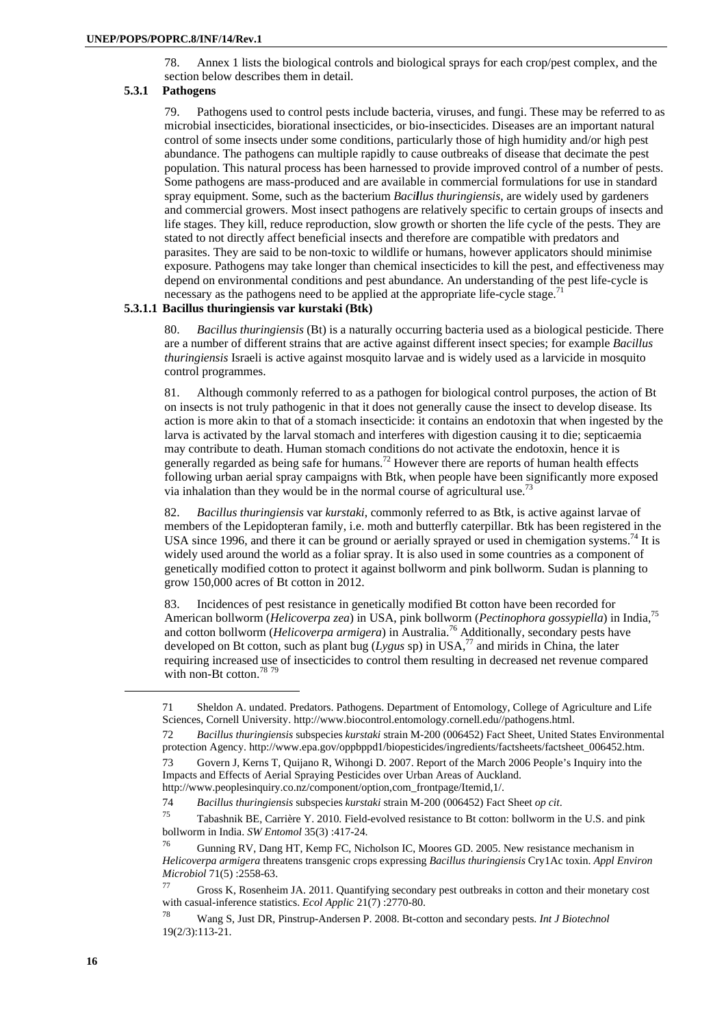78. Annex 1 lists the biological controls and biological sprays for each crop/pest complex, and the section below describes them in detail.

### **5.3.1 Pathogens**

79. Pathogens used to control pests include bacteria, viruses, and fungi. These may be referred to as microbial insecticides, biorational insecticides, or bio-insecticides. Diseases are an important natural control of some insects under some conditions, particularly those of high humidity and/or high pest abundance. The pathogens can multiple rapidly to cause outbreaks of disease that decimate the pest population. This natural process has been harnessed to provide improved control of a number of pests. Some pathogens are mass-produced and are available in commercial formulations for use in standard spray equipment. Some, such as the bacterium *Bacillus thuringiensis*, are widely used by gardeners and commercial growers. Most insect pathogens are relatively specific to certain groups of insects and life stages. They kill, reduce reproduction, slow growth or shorten the life cycle of the pests. They are stated to not directly affect beneficial insects and therefore are compatible with predators and parasites. They are said to be non-toxic to wildlife or humans, however applicators should minimise exposure. Pathogens may take longer than chemical insecticides to kill the pest, and effectiveness may depend on environmental conditions and pest abundance. An understanding of the pest life-cycle is necessary as the pathogens need to be applied at the appropriate life-cycle stage.<sup>71</sup>

# **5.3.1.1 Bacillus thuringiensis var kurstaki (Btk)**

80. *Bacillus thuringiensis* (Bt) is a naturally occurring bacteria used as a biological pesticide. There are a number of different strains that are active against different insect species; for example *Bacillus thuringiensis* Israeli is active against mosquito larvae and is widely used as a larvicide in mosquito control programmes.

81. Although commonly referred to as a pathogen for biological control purposes, the action of Bt on insects is not truly pathogenic in that it does not generally cause the insect to develop disease. Its action is more akin to that of a stomach insecticide: it contains an endotoxin that when ingested by the larva is activated by the larval stomach and interferes with digestion causing it to die; septicaemia may contribute to death. Human stomach conditions do not activate the endotoxin, hence it is generally regarded as being safe for humans.<sup>72</sup> However there are reports of human health effects following urban aerial spray campaigns with Btk, when people have been significantly more exposed via inhalation than they would be in the normal course of agricultural use.<sup>73</sup>

82. *Bacillus thuringiensis* var *kurstaki*, commonly referred to as Btk, is active against larvae of members of the Lepidopteran family, i.e. moth and butterfly caterpillar. Btk has been registered in the USA since 1996, and there it can be ground or aerially sprayed or used in chemigation systems.<sup>74</sup> It is widely used around the world as a foliar spray. It is also used in some countries as a component of genetically modified cotton to protect it against bollworm and pink bollworm. Sudan is planning to grow 150,000 acres of Bt cotton in 2012.

83. Incidences of pest resistance in genetically modified Bt cotton have been recorded for American bollworm (*Helicoverpa zea*) in USA, pink bollworm (*Pectinophora gossypiella*) in India,75 and cotton bollworm (*Helicoverpa armigera*) in Australia.76 Additionally, secondary pests have developed on Bt cotton, such as plant bug (*Lygus* sp) in USA,<sup>77</sup> and mirids in China, the later requiring increased use of insecticides to control them resulting in decreased net revenue compared with non-Bt cotton.<sup>78</sup> 79

<sup>71</sup> Sheldon A. undated. Predators. Pathogens. Department of Entomology, College of Agriculture and Life Sciences, Cornell University. http://www.biocontrol.entomology.cornell.edu//pathogens.html.

<sup>72</sup> *Bacillus thuringiensis* subspecies *kurstaki* strain M-200 (006452) Fact Sheet, United States Environmental protection Agency. http://www.epa.gov/oppbppd1/biopesticides/ingredients/factsheets/factsheet\_006452.htm.

<sup>73</sup> Govern J, Kerns T, Quijano R, Wihongi D. 2007. Report of the March 2006 People's Inquiry into the Impacts and Effects of Aerial Spraying Pesticides over Urban Areas of Auckland. http://www.peoplesinquiry.co.nz/component/option,com\_frontpage/Itemid,1/.

<sup>74</sup>*Bacillus thuringiensis* subspecies *kurstaki* strain M-200 (006452) Fact Sheet *op cit*. 75 Tabashnik BE, Carrière Y. 2010. Field-evolved resistance to Bt cotton: bollworm in the U.S. and pink

bollworm in India. *SW Entomol* 35(3) :417-24.<br><sup>76</sup> Gunning RV, Dang HT, Kemp FC, Nicholson IC, Moores GD. 2005. New resistance mechanism in

*Helicoverpa armigera* threatens transgenic crops expressing *Bacillus thuringiensis* Cry1Ac toxin. *Appl Environ Microbiol* 71(5) :2558-63.<br><sup>77</sup> Gross K, Rosenheim JA. 2011. Quantifying secondary pest outbreaks in cotton and their monetary cost

with casual-inference statistics. *Ecol Applic* 21(7) :2770-80.<br><sup>78</sup> Wang S, Just DR, Pinstrup-Andersen P. 2008. Bt-cotton and secondary pests. *Int J Biotechnol* 

<sup>19(2/3):113-21.</sup>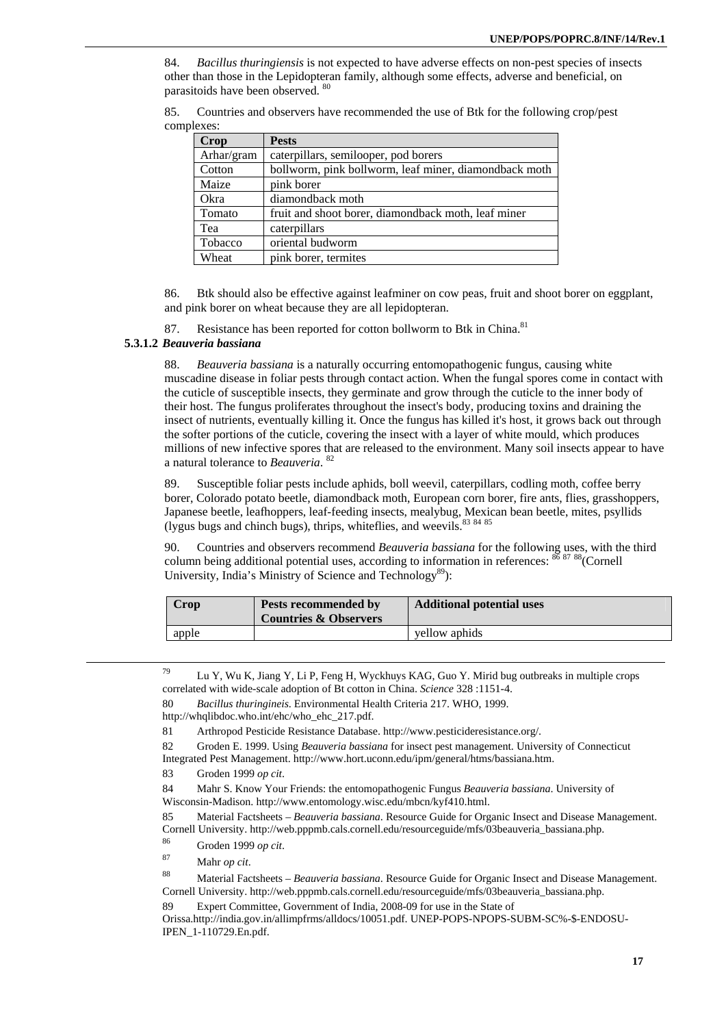84. *Bacillus thuringiensis* is not expected to have adverse effects on non-pest species of insects other than those in the Lepidopteran family, although some effects, adverse and beneficial, on parasitoids have been observed. 80

| 85. |            | Countries and observers have recommended the use of Btk for the following crop/pest |  |  |  |
|-----|------------|-------------------------------------------------------------------------------------|--|--|--|
|     | complexes: |                                                                                     |  |  |  |

| <b>Crop</b> | <b>Pests</b>                                          |
|-------------|-------------------------------------------------------|
| Arhar/gram  | caterpillars, semilooper, pod borers                  |
| Cotton      | bollworm, pink bollworm, leaf miner, diamondback moth |
| Maize       | pink borer                                            |
| Okra        | diamondback moth                                      |
| Tomato      | fruit and shoot borer, diamondback moth, leaf miner   |
| Tea         | caterpillars                                          |
| Tobacco     | oriental budworm                                      |
| Wheat       | pink borer, termites                                  |

86. Btk should also be effective against leafminer on cow peas, fruit and shoot borer on eggplant, and pink borer on wheat because they are all lepidopteran.

87. Resistance has been reported for cotton bollworm to Btk in China.<sup>81</sup>

### **5.3.1.2** *Beauveria bassiana*

88. *Beauveria bassiana* is a naturally occurring entomopathogenic fungus, causing white muscadine disease in foliar pests through contact action. When the fungal spores come in contact with the cuticle of susceptible insects, they germinate and grow through the cuticle to the inner body of their host. The fungus proliferates throughout the insect's body, producing toxins and draining the insect of nutrients, eventually killing it. Once the fungus has killed it's host, it grows back out through the softer portions of the cuticle, covering the insect with a layer of white mould, which produces millions of new infective spores that are released to the environment. Many soil insects appear to have a natural tolerance to *Beauveria*. 82

89. Susceptible foliar pests include aphids, boll weevil, caterpillars, codling moth, coffee berry borer, Colorado potato beetle, diamondback moth, European corn borer, fire ants, flies, grasshoppers, Japanese beetle, leafhoppers, leaf-feeding insects, mealybug, Mexican bean beetle, mites, psyllids (lygus bugs and chinch bugs), thrips, whiteflies, and weevils.<sup>83 84 85</sup>

90. Countries and observers recommend *Beauveria bassiana* for the following uses, with the third column being additional potential uses, according to information in references: 86 87 88 (Cornell University, India's Ministry of Science and Technology<sup>89</sup>):

| Crop  | Pests recommended by<br><b>Countries &amp; Observers</b> | <b>Additional potential uses</b> |
|-------|----------------------------------------------------------|----------------------------------|
| apple |                                                          | vellow aphids                    |

 <sup>79</sup> Lu Y, Wu K, Jiang Y, Li P, Feng H, Wyckhuys KAG, Guo Y. Mirid bug outbreaks in multiple crops correlated with wide-scale adoption of Bt cotton in China. *Science* 328 :1151-4.

80 *Bacillus thuringineis*. Environmental Health Criteria 217. WHO, 1999.

82 Groden E. 1999. Using *Beauveria bassiana* for insect pest management. University of Connecticut Integrated Pest Management. http://www.hort.uconn.edu/ipm/general/htms/bassiana.htm.

85 Material Factsheets – *Beauveria bassiana*. Resource Guide for Organic Insect and Disease Management. Cornell University. http://web.pppmb.cals.cornell.edu/resourceguide/mfs/03beauveria\_bassiana.php. 86 Groden 1999 *op cit*.

- 
- 87 Mahr *op cit*.

88 Material Factsheets – *Beauveria bassiana*. Resource Guide for Organic Insect and Disease Management. Cornell University. http://web.pppmb.cals.cornell.edu/resourceguide/mfs/03beauveria\_bassiana.php.

89 Expert Committee, Government of India, 2008-09 for use in the State of

Orissa.http://india.gov.in/allimpfrms/alldocs/10051.pdf. UNEP-POPS-NPOPS-SUBM-SC%-\$-ENDOSU-IPEN\_1-110729.En.pdf.

http://whqlibdoc.who.int/ehc/who\_ehc\_217.pdf.

<sup>81</sup> Arthropod Pesticide Resistance Database. http://www.pesticideresistance.org/.

<sup>83</sup> Groden 1999 *op cit*.

<sup>84</sup> Mahr S. Know Your Friends: the entomopathogenic Fungus *Beauveria bassiana*. University of Wisconsin-Madison. http://www.entomology.wisc.edu/mbcn/kyf410.html.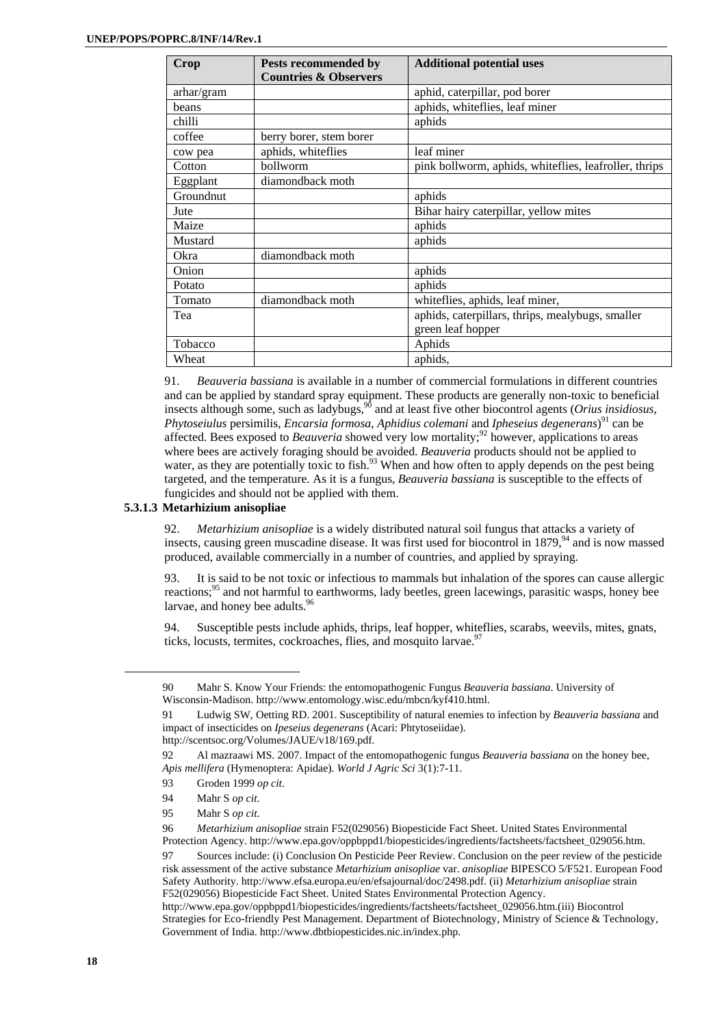| Crop       | Pests recommended by             | <b>Additional potential uses</b>                      |
|------------|----------------------------------|-------------------------------------------------------|
|            | <b>Countries &amp; Observers</b> |                                                       |
| arhar/gram |                                  | aphid, caterpillar, pod borer                         |
| beans      |                                  | aphids, whiteflies, leaf miner                        |
| chilli     |                                  | aphids                                                |
| coffee     | berry borer, stem borer          |                                                       |
| cow pea    | aphids, whiteflies               | leaf miner                                            |
| Cotton     | bollworm                         | pink bollworm, aphids, whiteflies, leafroller, thrips |
| Eggplant   | diamondback moth                 |                                                       |
| Groundnut  |                                  | aphids                                                |
| Jute       |                                  | Bihar hairy caterpillar, yellow mites                 |
| Maize      |                                  | aphids                                                |
| Mustard    |                                  | aphids                                                |
| Okra       | diamondback moth                 |                                                       |
| Onion      |                                  | aphids                                                |
| Potato     |                                  | aphids                                                |
| Tomato     | diamondback moth                 | white flies, aphids, leaf miner,                      |
| Tea        |                                  | aphids, caterpillars, thrips, mealybugs, smaller      |
|            |                                  | green leaf hopper                                     |
| Tobacco    |                                  | Aphids                                                |
| Wheat      |                                  | aphids,                                               |

91. *Beauveria bassiana* is available in a number of commercial formulations in different countries and can be applied by standard spray equipment. These products are generally non-toxic to beneficial insects although some, such as ladybugs,  $90$  and at least five other biocontrol agents (*Orius insidiosus*, *Phytoseiulus* persimilis, *Encarsia formosa*, *Aphidius colemani* and *Ipheseius degenerans*) 91 can be affected. Bees exposed to *Beauveria* showed very low mortality;<sup>92</sup> however, applications to areas where bees are actively foraging should be avoided. *Beauveria* products should not be applied to where sees the derivery rolliging should be avoided. Between products should not be applied to water, as they are potentially toxic to fish.<sup>93</sup> When and how often to apply depends on the pest being targeted, and the temperature. As it is a fungus, *Beauveria bassiana* is susceptible to the effects of fungicides and should not be applied with them.

### **5.3.1.3 Metarhizium anisopliae**

92. *Metarhizium anisopliae* is a widely distributed natural soil fungus that attacks a variety of insects, causing green muscadine disease. It was first used for biocontrol in 1879,<sup>94</sup> and is now massed produced, available commercially in a number of countries, and applied by spraying.

93. It is said to be not toxic or infectious to mammals but inhalation of the spores can cause allergic reactions;<sup>95</sup> and not harmful to earthworms, lady beetles, green lacewings, parasitic wasps, honey bee larvae, and honey bee adults.<sup>96</sup>

94. Susceptible pests include aphids, thrips, leaf hopper, whiteflies, scarabs, weevils, mites, gnats, ticks, locusts, termites, cockroaches, flies, and mosquito larvae.<sup>97</sup>

<sup>90</sup> Mahr S. Know Your Friends: the entomopathogenic Fungus *Beauveria bassiana*. University of Wisconsin-Madison. http://www.entomology.wisc.edu/mbcn/kyf410.html.

<sup>91</sup> Ludwig SW, Oetting RD. 2001. Susceptibility of natural enemies to infection by *Beauveria bassiana* and impact of insecticides on *Ipeseius degenerans* (Acari: Phtytoseiidae).

http://scentsoc.org/Volumes/JAUE/v18/169.pdf.

<sup>92</sup> Al mazraawi MS. 2007. Impact of the entomopathogenic fungus *Beauveria bassiana* on the honey bee, *Apis mellifera* (Hymenoptera: Apidae). *World J Agric Sci* 3(1):7-11.

<sup>93</sup> Groden 1999 *op cit*.

<sup>94</sup> Mahr S *op cit*.

<sup>95</sup> Mahr S *op cit*.

<sup>96</sup> *Metarhizium anisopliae* strain F52(029056) Biopesticide Fact Sheet. United States Environmental Protection Agency. http://www.epa.gov/oppbppd1/biopesticides/ingredients/factsheets/factsheet\_029056.htm.

<sup>97</sup> Sources include: (i) Conclusion On Pesticide Peer Review. Conclusion on the peer review of the pesticide risk assessment of the active substance *Metarhizium anisopliae* var. *anisopliae* BIPESCO 5/F521. European Food Safety Authority. http://www.efsa.europa.eu/en/efsajournal/doc/2498.pdf. (ii) *Metarhizium anisopliae* strain F52(029056) Biopesticide Fact Sheet. United States Environmental Protection Agency.

http://www.epa.gov/oppbppd1/biopesticides/ingredients/factsheets/factsheet\_029056.htm.(iii) Biocontrol Strategies for Eco-friendly Pest Management. Department of Biotechnology, Ministry of Science & Technology, Government of India. http://www.dbtbiopesticides.nic.in/index.php.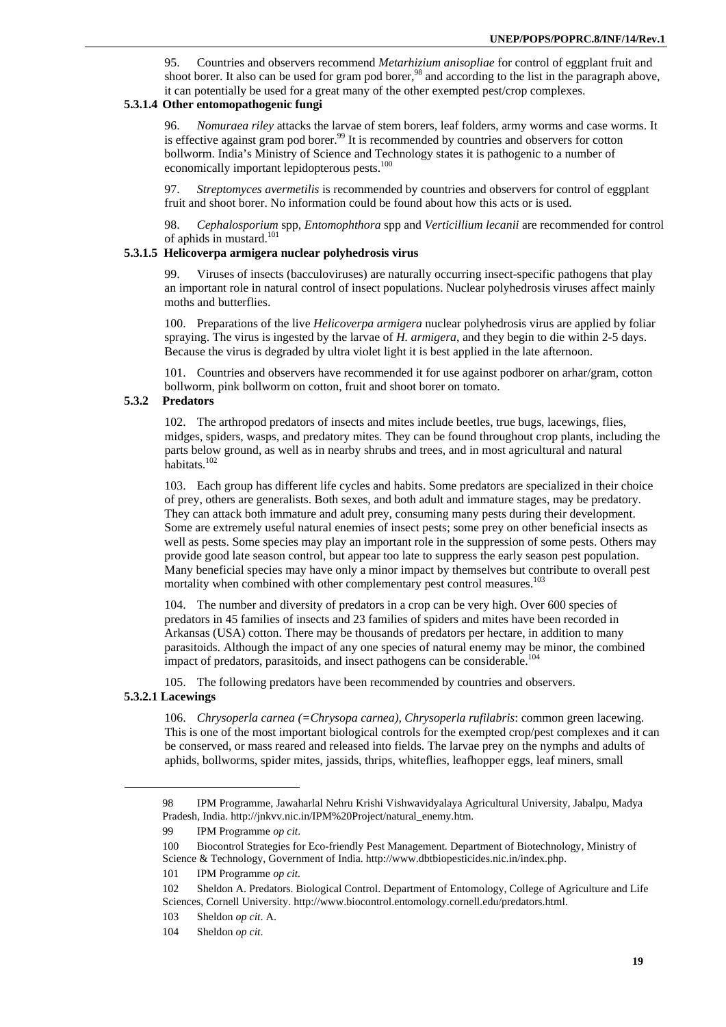95. Countries and observers recommend *Metarhizium anisopliae* for control of eggplant fruit and shoot borer. It also can be used for gram pod borer,<sup>98</sup> and according to the list in the paragraph above, it can potentially be used for a great many of the other exempted pest/crop complexes.

### **5.3.1.4 Other entomopathogenic fungi**

96. *Nomuraea riley* attacks the larvae of stem borers, leaf folders, army worms and case worms. It is effective against gram pod borer.<sup>99</sup> It is recommended by countries and observers for cotton bollworm. India's Ministry of Science and Technology states it is pathogenic to a number of economically important lepidopterous pests.<sup>100</sup>

97. *Streptomyces avermetilis* is recommended by countries and observers for control of eggplant fruit and shoot borer. No information could be found about how this acts or is used.

98. *Cephalosporium* spp, *Entomophthora* spp and *Verticillium lecanii* are recommended for control of aphids in mustard.<sup>101</sup>

### **5.3.1.5 Helicoverpa armigera nuclear polyhedrosis virus**

99. Viruses of insects (bacculoviruses) are naturally occurring insect-specific pathogens that play an important role in natural control of insect populations. Nuclear polyhedrosis viruses affect mainly moths and butterflies.

100. Preparations of the live *Helicoverpa armigera* nuclear polyhedrosis virus are applied by foliar spraying. The virus is ingested by the larvae of *H. armigera*, and they begin to die within 2-5 days. Because the virus is degraded by ultra violet light it is best applied in the late afternoon.

101. Countries and observers have recommended it for use against podborer on arhar/gram, cotton bollworm, pink bollworm on cotton, fruit and shoot borer on tomato.

### **5.3.2 Predators**

102. The arthropod predators of insects and mites include beetles, true bugs, lacewings, flies, midges, spiders, wasps, and predatory mites. They can be found throughout crop plants, including the parts below ground, as well as in nearby shrubs and trees, and in most agricultural and natural habitats.<sup>102</sup>

103. Each group has different life cycles and habits. Some predators are specialized in their choice of prey, others are generalists. Both sexes, and both adult and immature stages, may be predatory. They can attack both immature and adult prey, consuming many pests during their development. Some are extremely useful natural enemies of insect pests; some prey on other beneficial insects as well as pests. Some species may play an important role in the suppression of some pests. Others may provide good late season control, but appear too late to suppress the early season pest population. Many beneficial species may have only a minor impact by themselves but contribute to overall pest mortality when combined with other complementary pest control measures.<sup>103</sup>

104. The number and diversity of predators in a crop can be very high. Over 600 species of predators in 45 families of insects and 23 families of spiders and mites have been recorded in Arkansas (USA) cotton. There may be thousands of predators per hectare, in addition to many parasitoids. Although the impact of any one species of natural enemy may be minor, the combined impact of predators, parasitoids, and insect pathogens can be considerable.<sup>104</sup>

105. The following predators have been recommended by countries and observers.

# **5.3.2.1 Lacewings**

 $\overline{a}$ 

106. *Chrysoperla carnea (=Chrysopa carnea), Chrysoperla rufilabris*: common green lacewing. This is one of the most important biological controls for the exempted crop/pest complexes and it can be conserved, or mass reared and released into fields. The larvae prey on the nymphs and adults of aphids, bollworms, spider mites, jassids, thrips, whiteflies, leafhopper eggs, leaf miners, small

<sup>98</sup> IPM Programme, Jawaharlal Nehru Krishi Vishwavidyalaya Agricultural University, Jabalpu, Madya Pradesh, India. http://jnkvv.nic.in/IPM%20Project/natural\_enemy.htm.

<sup>99</sup> IPM Programme *op cit*.

<sup>100</sup> Biocontrol Strategies for Eco-friendly Pest Management. Department of Biotechnology, Ministry of Science & Technology, Government of India. http://www.dbtbiopesticides.nic.in/index.php.

<sup>101</sup> IPM Programme *op cit.*

<sup>102</sup> Sheldon A. Predators. Biological Control. Department of Entomology, College of Agriculture and Life Sciences, Cornell University. http://www.biocontrol.entomology.cornell.edu/predators.html.

<sup>103</sup> Sheldon *op cit*. A.

<sup>104</sup> Sheldon *op cit*.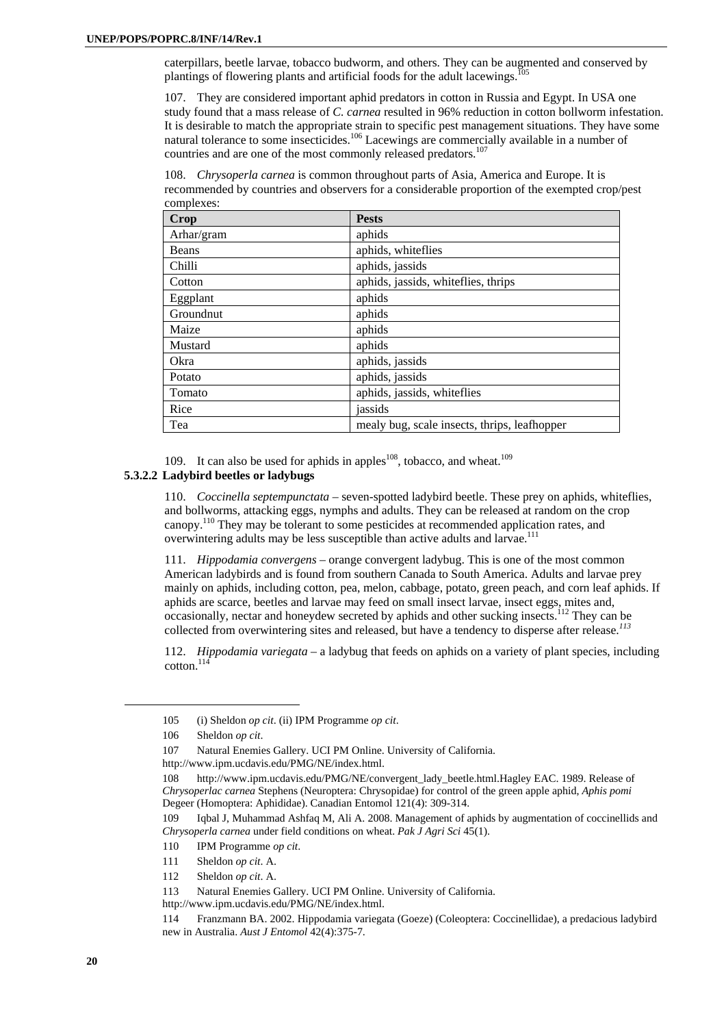caterpillars, beetle larvae, tobacco budworm, and others. They can be augmented and conserved by plantings of flowering plants and artificial foods for the adult lacewings.

107. They are considered important aphid predators in cotton in Russia and Egypt. In USA one study found that a mass release of *C. carnea* resulted in 96% reduction in cotton bollworm infestation. It is desirable to match the appropriate strain to specific pest management situations. They have some natural tolerance to some insecticides.<sup>106</sup> Lacewings are commercially available in a number of countries and are one of the most commonly released predators.<sup>107</sup>

108. *Chrysoperla carnea* is common throughout parts of Asia, America and Europe. It is recommended by countries and observers for a considerable proportion of the exempted crop/pest complexes:

| <b>Crop</b> | <b>Pests</b>                                 |
|-------------|----------------------------------------------|
| Arhar/gram  | aphids                                       |
| Beans       | aphids, whiteflies                           |
| Chilli      | aphids, jassids                              |
| Cotton      | aphids, jassids, whiteflies, thrips          |
| Eggplant    | aphids                                       |
| Groundnut   | aphids                                       |
| Maize       | aphids                                       |
| Mustard     | aphids                                       |
| Okra        | aphids, jassids                              |
| Potato      | aphids, jassids                              |
| Tomato      | aphids, jassids, whiteflies                  |
| Rice        | jassids                                      |
| Tea         | mealy bug, scale insects, thrips, leafhopper |

109. It can also be used for aphids in apples<sup>108</sup>, tobacco, and wheat.<sup>109</sup>

### **5.3.2.2 Ladybird beetles or ladybugs**

110. *Coccinella septempunctata* – seven-spotted ladybird beetle. These prey on aphids, whiteflies, and bollworms, attacking eggs, nymphs and adults. They can be released at random on the crop canopy.110 They may be tolerant to some pesticides at recommended application rates, and overwintering adults may be less susceptible than active adults and larvae.<sup>111</sup>

111. *Hippodamia convergens* – orange convergent ladybug. This is one of the most common American ladybirds and is found from southern Canada to South America. Adults and larvae prey mainly on aphids, including cotton, pea, melon, cabbage, potato, green peach, and corn leaf aphids. If aphids are scarce, beetles and larvae may feed on small insect larvae, insect eggs, mites and, occasionally, nectar and honeydew secreted by aphids and other sucking insects.<sup>112</sup> They can be collected from overwintering sites and released, but have a tendency to disperse after release.*<sup>113</sup>*

112. *Hippodamia variegata –* a ladybug that feeds on aphids on a variety of plant species, including  $\cot$ <sub>114</sub>

112 Sheldon *op cit*. A.

http://www.ipm.ucdavis.edu/PMG/NE/index.html.

<sup>105 (</sup>i) Sheldon *op cit*. (ii) IPM Programme *op cit*.

<sup>106</sup> Sheldon *op cit*.

<sup>107</sup> Natural Enemies Gallery. UCI PM Online. University of California.

http://www.ipm.ucdavis.edu/PMG/NE/index.html.

<sup>108</sup> http://www.ipm.ucdavis.edu/PMG/NE/convergent\_lady\_beetle.html.Hagley EAC. 1989. Release of *Chrysoperlac carnea* Stephens (Neuroptera: Chrysopidae) for control of the green apple aphid, *Aphis pomi* Degeer (Homoptera: Aphididae). Canadian Entomol 121(4): 309-314.

<sup>109</sup> Iqbal J, Muhammad Ashfaq M, Ali A. 2008. Management of aphids by augmentation of coccinellids and *Chrysoperla carnea* under field conditions on wheat. *Pak J Agri Sci* 45(1).

<sup>110</sup> IPM Programme *op cit*.

<sup>111</sup> Sheldon *op cit*. A.

<sup>113</sup> Natural Enemies Gallery. UCI PM Online. University of California.

<sup>114</sup> Franzmann BA. 2002. Hippodamia variegata (Goeze) (Coleoptera: Coccinellidae), a predacious ladybird new in Australia. *Aust J Entomol* 42(4):375-7.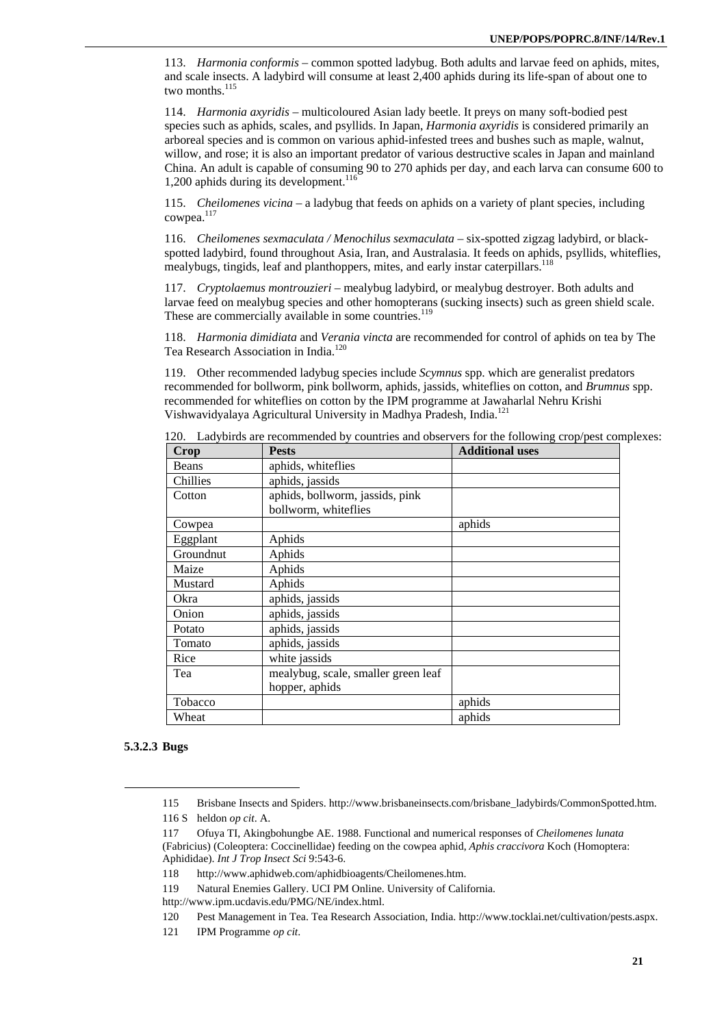113. *Harmonia conformis –* common spotted ladybug. Both adults and larvae feed on aphids, mites, and scale insects. A ladybird will consume at least 2,400 aphids during its life-span of about one to two months.<sup>115</sup>

114. *Harmonia axyridis* – multicoloured Asian lady beetle. It preys on many soft-bodied pest species such as aphids, scales, and psyllids. In Japan, *Harmonia axyridis* is considered primarily an arboreal species and is common on various aphid-infested trees and bushes such as maple, walnut, willow, and rose; it is also an important predator of various destructive scales in Japan and mainland China. An adult is capable of consuming 90 to 270 aphids per day, and each larva can consume 600 to 1,200 aphids during its development. $116$ 

115. *Cheilomenes vicina –* a ladybug that feeds on aphids on a variety of plant species, including cowpea.<sup>117</sup>

116. *Cheilomenes sexmaculata / Menochilus sexmaculata –* six-spotted zigzag ladybird, or blackspotted ladybird, found throughout Asia, Iran, and Australasia. It feeds on aphids, psyllids, whiteflies, mealybugs, tingids, leaf and planthoppers, mites, and early instar caterpillars.<sup>118</sup>

117. *Cryptolaemus montrouzieri* – mealybug ladybird, or mealybug destroyer. Both adults and larvae feed on mealybug species and other homopterans (sucking insects) such as green shield scale. These are commercially available in some countries.<sup>119</sup>

118. *Harmonia dimidiata* and *Verania vincta* are recommended for control of aphids on tea by The Tea Research Association in India.<sup>120</sup>

119. Other recommended ladybug species include *Scymnus* spp. which are generalist predators recommended for bollworm, pink bollworm, aphids, jassids, whiteflies on cotton, and *Brumnus* spp. recommended for whiteflies on cotton by the IPM programme at Jawaharlal Nehru Krishi Vishwavidyalaya Agricultural University in Madhya Pradesh, India.121

| <b>Crop</b>  | <b>Pests</b>                        | <b>Additional uses</b> |
|--------------|-------------------------------------|------------------------|
| <b>Beans</b> | aphids, whiteflies                  |                        |
| Chillies     | aphids, jassids                     |                        |
| Cotton       | aphids, bollworm, jassids, pink     |                        |
|              | bollworm, whiteflies                |                        |
| Cowpea       |                                     | aphids                 |
| Eggplant     | Aphids                              |                        |
| Groundnut    | Aphids                              |                        |
| Maize        | Aphids                              |                        |
| Mustard      | Aphids                              |                        |
| Okra         | aphids, jassids                     |                        |
| Onion        | aphids, jassids                     |                        |
| Potato       | aphids, jassids                     |                        |
| Tomato       | aphids, jassids                     |                        |
| Rice         | white jassids                       |                        |
| Tea          | mealybug, scale, smaller green leaf |                        |
|              | hopper, aphids                      |                        |
| Tobacco      |                                     | aphids                 |
| Wheat        |                                     | aphids                 |

120. Ladybirds are recommended by countries and observers for the following crop/pest complexes:

### **5.3.2.3 Bugs**

<sup>115</sup> Brisbane Insects and Spiders. http://www.brisbaneinsects.com/brisbane\_ladybirds/CommonSpotted.htm. 116 S heldon *op cit*. A.

<sup>117</sup> Ofuya TI, Akingbohungbe AE. 1988. Functional and numerical responses of *Cheilomenes lunata* (Fabricius) (Coleoptera: Coccinellidae) feeding on the cowpea aphid, *Aphis craccivora* Koch (Homoptera: Aphididae). *Int J Trop Insect Sci* 9:543-6.

<sup>118</sup> http://www.aphidweb.com/aphidbioagents/Cheilomenes.htm.

<sup>119</sup> Natural Enemies Gallery. UCI PM Online. University of California.

http://www.ipm.ucdavis.edu/PMG/NE/index.html.

<sup>120</sup> Pest Management in Tea. Tea Research Association, India. http://www.tocklai.net/cultivation/pests.aspx.

<sup>121</sup> IPM Programme *op cit*.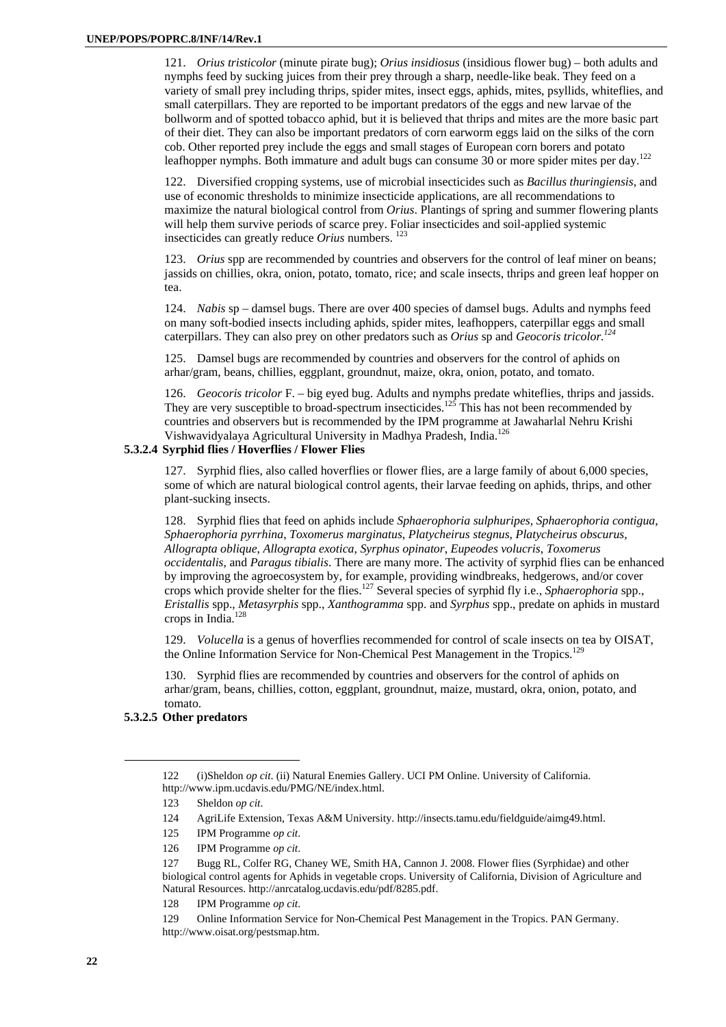121. *Orius tristicolor* (minute pirate bug); *Orius insidiosus* (insidious flower bug) – both adults and nymphs feed by sucking juices from their prey through a sharp, needle-like beak. They feed on a variety of small prey including thrips, spider mites, insect eggs, aphids, mites, psyllids, whiteflies, and small caterpillars. They are reported to be important predators of the eggs and new larvae of the bollworm and of spotted tobacco aphid, but it is believed that thrips and mites are the more basic part of their diet. They can also be important predators of corn earworm eggs laid on the silks of the corn cob. Other reported prey include the eggs and small stages of European corn borers and potato leafhopper nymphs. Both immature and adult bugs can consume 30 or more spider mites per day.<sup>122</sup>

122. Diversified cropping systems, use of microbial insecticides such as *Bacillus thuringiensis*, and use of economic thresholds to minimize insecticide applications, are all recommendations to maximize the natural biological control from *Orius*. Plantings of spring and summer flowering plants will help them survive periods of scarce prey. Foliar insecticides and soil-applied systemic insecticides can greatly reduce *Orius* numbers. 123

123. *Orius* spp are recommended by countries and observers for the control of leaf miner on beans; jassids on chillies, okra, onion, potato, tomato, rice; and scale insects, thrips and green leaf hopper on tea.

124. *Nabis* sp – damsel bugs. There are over 400 species of damsel bugs. Adults and nymphs feed on many soft-bodied insects including aphids, spider mites, leafhoppers, caterpillar eggs and small caterpillars. They can also prey on other predators such as *Orius* sp and *Geocoris tricolor.124*

125. Damsel bugs are recommended by countries and observers for the control of aphids on arhar/gram, beans, chillies, eggplant, groundnut, maize, okra, onion, potato, and tomato.

126. *Geocoris tricolor* F. – big eyed bug. Adults and nymphs predate whiteflies, thrips and jassids. They are very susceptible to broad-spectrum insecticides.<sup>125</sup> This has not been recommended by countries and observers but is recommended by the IPM programme at Jawaharlal Nehru Krishi Vishwavidyalaya Agricultural University in Madhya Pradesh, India.126

### **5.3.2.4 Syrphid flies / Hoverflies / Flower Flies**

127. Syrphid flies, also called hoverflies or flower flies, are a large family of about 6,000 species, some of which are natural biological control agents, their larvae feeding on aphids, thrips, and other plant-sucking insects.

128. Syrphid flies that feed on aphids include *Sphaerophoria sulphuripes*, *Sphaerophoria contigua*, *Sphaerophoria pyrrhina*, *Toxomerus marginatus*, *Platycheirus stegnus*, *Platycheirus obscurus*, *Allograpta oblique*, *Allograpta exotica*, *Syrphus opinator*, *Eupeodes volucris*, *Toxomerus occidentalis*, and *Paragus tibialis*. There are many more. The activity of syrphid flies can be enhanced by improving the agroecosystem by, for example, providing windbreaks, hedgerows, and/or cover crops which provide shelter for the flies.127 Several species of syrphid fly i.e., *Sphaerophoria* spp., *Eristallis* spp., *Metasyrphis* spp., *Xanthogramma* spp. and *Syrphus* spp., predate on aphids in mustard crops in India.<sup>128</sup>

129. *Volucella* is a genus of hoverflies recommended for control of scale insects on tea by OISAT, the Online Information Service for Non-Chemical Pest Management in the Tropics.<sup>129</sup>

130. Syrphid flies are recommended by countries and observers for the control of aphids on arhar/gram, beans, chillies, cotton, eggplant, groundnut, maize, mustard, okra, onion, potato, and tomato.

### **5.3.2.5 Other predators**

<sup>122 (</sup>i)Sheldon *op cit*. (ii) Natural Enemies Gallery. UCI PM Online. University of California. http://www.ipm.ucdavis.edu/PMG/NE/index.html.

<sup>123</sup> Sheldon *op cit*.

<sup>124</sup> AgriLife Extension, Texas A&M University. http://insects.tamu.edu/fieldguide/aimg49.html.

<sup>125</sup> IPM Programme *op cit*.

<sup>126</sup> IPM Programme *op cit*.

<sup>127</sup> Bugg RL, Colfer RG, Chaney WE, Smith HA, Cannon J. 2008. Flower flies (Syrphidae) and other biological control agents for Aphids in vegetable crops. University of California, Division of Agriculture and Natural Resources. http://anrcatalog.ucdavis.edu/pdf/8285.pdf.

<sup>128</sup> IPM Programme *op cit*.

<sup>129</sup> Online Information Service for Non-Chemical Pest Management in the Tropics. PAN Germany. http://www.oisat.org/pestsmap.htm.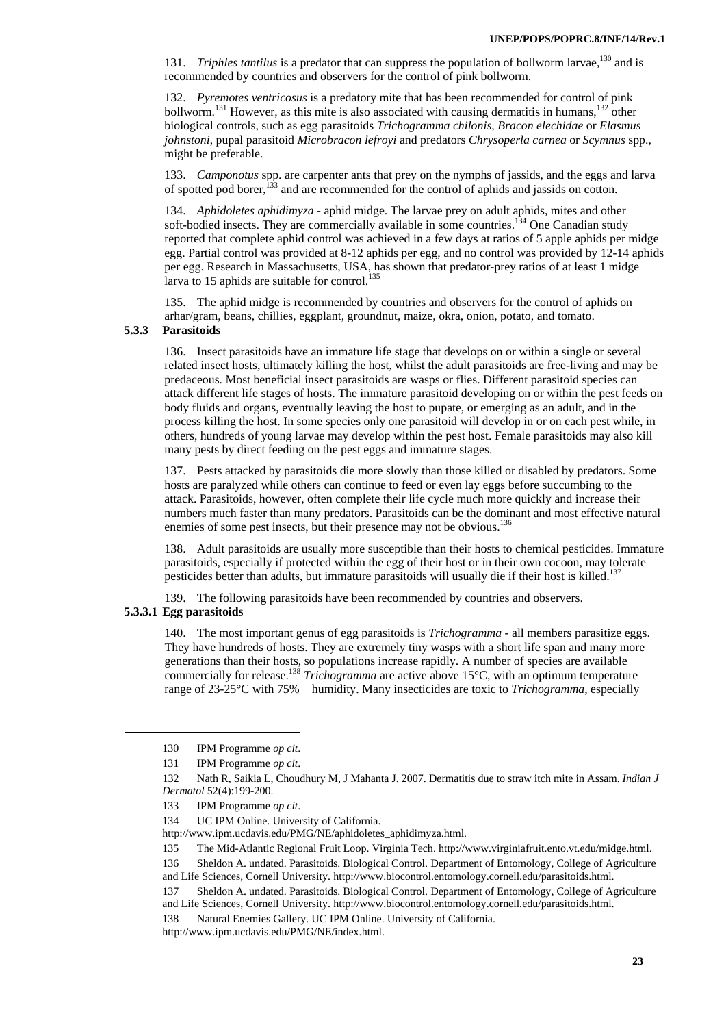131. *Triphles tantilus* is a predator that can suppress the population of bollworm larvae,<sup>130</sup> and is recommended by countries and observers for the control of pink bollworm.

132. *Pyremotes ventricosus* is a predatory mite that has been recommended for control of pink bollworm.<sup>131</sup> However, as this mite is also associated with causing dermatitis in humans,<sup>132</sup> other biological controls, such as egg parasitoids *Trichogramma chilonis*, *Bracon elechidae* or *Elasmus johnstoni*, pupal parasitoid *Microbracon lefroyi* and predators *Chrysoperla carnea* or *Scymnus* spp., might be preferable.

133. *Camponotus* spp. are carpenter ants that prey on the nymphs of jassids, and the eggs and larva of spotted pod borer,  $^{133}$  and are recommended for the control of aphids and jassids on cotton.

134. *Aphidoletes aphidimyza* - aphid midge. The larvae prey on adult aphids, mites and other soft-bodied insects. They are commercially available in some countries.<sup>134</sup> One Canadian study reported that complete aphid control was achieved in a few days at ratios of 5 apple aphids per midge egg. Partial control was provided at 8-12 aphids per egg, and no control was provided by 12-14 aphids per egg. Research in Massachusetts, USA, has shown that predator-prey ratios of at least 1 midge larva to 15 aphids are suitable for control. $^{135}$ 

135. The aphid midge is recommended by countries and observers for the control of aphids on arhar/gram, beans, chillies, eggplant, groundnut, maize, okra, onion, potato, and tomato.

### **5.3.3 Parasitoids**

136. Insect parasitoids have an immature life stage that develops on or within a single or several related insect hosts, ultimately killing the host, whilst the adult parasitoids are free-living and may be predaceous. Most beneficial insect parasitoids are wasps or flies. Different parasitoid species can attack different life stages of hosts. The immature parasitoid developing on or within the pest feeds on body fluids and organs, eventually leaving the host to pupate, or emerging as an adult, and in the process killing the host. In some species only one parasitoid will develop in or on each pest while, in others, hundreds of young larvae may develop within the pest host. Female parasitoids may also kill many pests by direct feeding on the pest eggs and immature stages.

137. Pests attacked by parasitoids die more slowly than those killed or disabled by predators. Some hosts are paralyzed while others can continue to feed or even lay eggs before succumbing to the attack. Parasitoids, however, often complete their life cycle much more quickly and increase their numbers much faster than many predators. Parasitoids can be the dominant and most effective natural enemies of some pest insects, but their presence may not be obvious.<sup>136</sup>

138. Adult parasitoids are usually more susceptible than their hosts to chemical pesticides. Immature parasitoids, especially if protected within the egg of their host or in their own cocoon, may tolerate pesticides better than adults, but immature parasitoids will usually die if their host is killed.<sup>13</sup>

139. The following parasitoids have been recommended by countries and observers.

### **5.3.3.1 Egg parasitoids**

 $\overline{a}$ 

140. The most important genus of egg parasitoids is *Trichogramma -* all members parasitize eggs. They have hundreds of hosts. They are extremely tiny wasps with a short life span and many more generations than their hosts, so populations increase rapidly. A number of species are available commercially for release.138 *Trichogramma* are active above 15°C, with an optimum temperature range of 23-25°C with 75% humidity. Many insecticides are toxic to *Trichogramma*, especially

<sup>130</sup> IPM Programme *op cit*.

<sup>131</sup> IPM Programme *op cit*.

<sup>132</sup> Nath R, Saikia L, Choudhury M, J Mahanta J. 2007. Dermatitis due to straw itch mite in Assam. *Indian J Dermatol* 52(4):199-200.

<sup>133</sup> IPM Programme *op cit*.

<sup>134</sup> UC IPM Online. University of California.

http://www.ipm.ucdavis.edu/PMG/NE/aphidoletes\_aphidimyza.html.

<sup>135</sup> The Mid-Atlantic Regional Fruit Loop. Virginia Tech. http://www.virginiafruit.ento.vt.edu/midge.html.

<sup>136</sup> Sheldon A. undated. Parasitoids. Biological Control. Department of Entomology, College of Agriculture and Life Sciences, Cornell University. http://www.biocontrol.entomology.cornell.edu/parasitoids.html.

<sup>137</sup> Sheldon A. undated. Parasitoids. Biological Control. Department of Entomology, College of Agriculture and Life Sciences, Cornell University. http://www.biocontrol.entomology.cornell.edu/parasitoids.html.

<sup>138</sup> Natural Enemies Gallery. UC IPM Online. University of California.

http://www.ipm.ucdavis.edu/PMG/NE/index.html.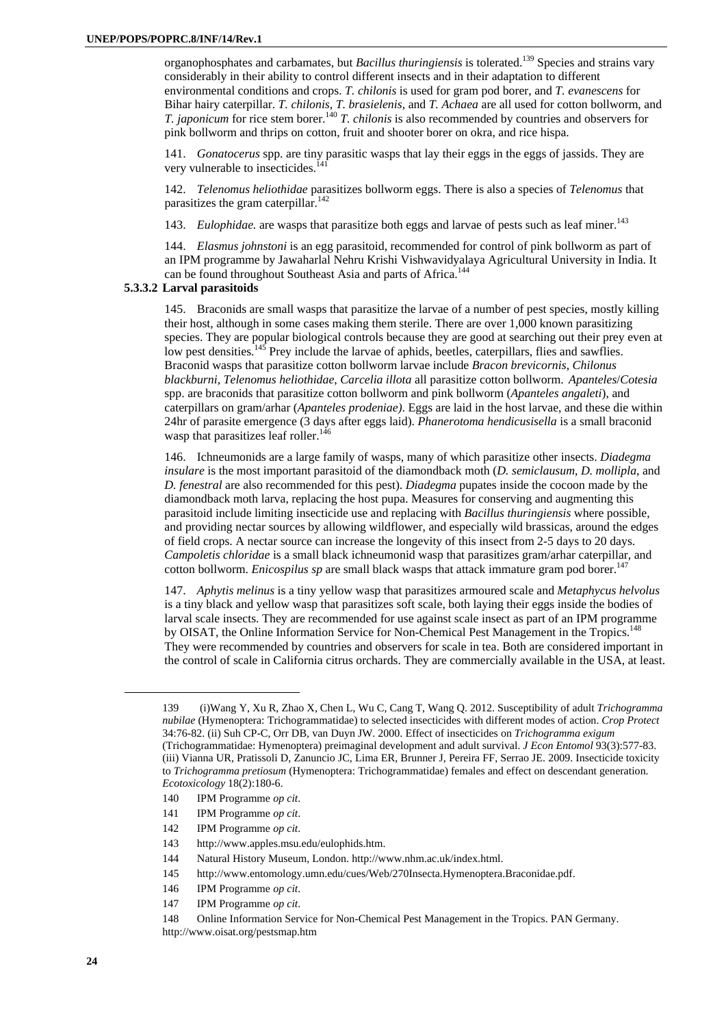organophosphates and carbamates, but *Bacillus thuringiensis* is tolerated.139 Species and strains vary considerably in their ability to control different insects and in their adaptation to different environmental conditions and crops. *T. chilonis* is used for gram pod borer, and *T. evanescens* for Bihar hairy caterpillar. *T. chilonis, T. brasielenis,* and *T. Achaea* are all used for cotton bollworm, and *T. japonicum* for rice stem borer.<sup>140</sup> *T. chilonis* is also recommended by countries and observers for pink bollworm and thrips on cotton, fruit and shooter borer on okra, and rice hispa.

141. *Gonatocerus* spp. are tiny parasitic wasps that lay their eggs in the eggs of jassids. They are very vulnerable to insecticides.<sup>14</sup>

142. *Telenomus heliothidae* parasitizes bollworm eggs. There is also a species of *Telenomus* that parasitizes the gram caterpillar.<sup>142</sup>

143. *Eulophidae*. are wasps that parasitize both eggs and larvae of pests such as leaf miner.<sup>143</sup>

144. *Elasmus johnstoni* is an egg parasitoid, recommended for control of pink bollworm as part of an IPM programme by Jawaharlal Nehru Krishi Vishwavidyalaya Agricultural University in India. It can be found throughout Southeast Asia and parts of Africa.<sup>144</sup>

### **5.3.3.2 Larval parasitoids**

145. Braconids are small wasps that parasitize the larvae of a number of pest species, mostly killing their host, although in some cases making them sterile. There are over 1,000 known parasitizing species. They are popular biological controls because they are good at searching out their prey even at low pest densities.<sup>145</sup> Prey include the larvae of aphids, beetles, caterpillars, flies and sawflies. Braconid wasps that parasitize cotton bollworm larvae include *Bracon brevicornis*, *Chilonus blackburni, Telenomus heliothidae*, *Carcelia illota* all parasitize cotton bollworm. *Apanteles*/*Cotesia* spp. are braconids that parasitize cotton bollworm and pink bollworm (*Apanteles angaleti*), and caterpillars on gram/arhar (*Apanteles prodeniae)*. Eggs are laid in the host larvae, and these die within 24hr of parasite emergence (3 days after eggs laid). *Phanerotoma hendicusisella* is a small braconid wasp that parasitizes leaf roller. $146$ 

146. Ichneumonids are a large family of wasps, many of which parasitize other insects. *Diadegma insulare* is the most important parasitoid of the diamondback moth (*D. semiclausum*, *D. mollipla*, and *D. fenestral* are also recommended for this pest). *Diadegma* pupates inside the cocoon made by the diamondback moth larva, replacing the host pupa. Measures for conserving and augmenting this parasitoid include limiting insecticide use and replacing with *Bacillus thuringiensis* where possible, and providing nectar sources by allowing wildflower, and especially wild brassicas, around the edges of field crops. A nectar source can increase the longevity of this insect from 2-5 days to 20 days. *Campoletis chloridae* is a small black ichneumonid wasp that parasitizes gram/arhar caterpillar, and cotton bollworm. *Enicospilus sp* are small black wasps that attack immature gram pod borer.<sup>14</sup>

147. *Aphytis melinus* is a tiny yellow wasp that parasitizes armoured scale and *Metaphycus helvolus* is a tiny black and yellow wasp that parasitizes soft scale, both laying their eggs inside the bodies of larval scale insects. They are recommended for use against scale insect as part of an IPM programme by OISAT, the Online Information Service for Non-Chemical Pest Management in the Tropics.<sup>148</sup> They were recommended by countries and observers for scale in tea. Both are considered important in the control of scale in California citrus orchards. They are commercially available in the USA, at least.

- 142 IPM Programme *op cit*.
- 143 http://www.apples.msu.edu/eulophids.htm.
- 144 Natural History Museum, London. http://www.nhm.ac.uk/index.html.

- 146 IPM Programme *op cit*.
- 147 IPM Programme *op cit*.

<sup>139 (</sup>i)Wang Y, Xu R, Zhao X, Chen L, Wu C, Cang T, Wang Q. 2012. Susceptibility of adult *Trichogramma nubilae* (Hymenoptera: Trichogrammatidae) to selected insecticides with different modes of action. *Crop Protect* 34:76-82. (ii) Suh CP-C, Orr DB, van Duyn JW. 2000. Effect of insecticides on *Trichogramma exigum* (Trichogrammatidae: Hymenoptera) preimaginal development and adult survival. *J Econ Entomol* 93(3):577-83. (iii) Vianna UR, Pratissoli D, Zanuncio JC, Lima ER, Brunner J, Pereira FF, Serrao JE. 2009. Insecticide toxicity to *Trichogramma pretiosum* (Hymenoptera: Trichogrammatidae) females and effect on descendant generation. *Ecotoxicology* 18(2):180-6.

<sup>140</sup> IPM Programme *op cit*.

<sup>141</sup> IPM Programme *op cit*.

<sup>145</sup> http://www.entomology.umn.edu/cues/Web/270Insecta.Hymenoptera.Braconidae.pdf.

<sup>148</sup> Online Information Service for Non-Chemical Pest Management in the Tropics. PAN Germany. http://www.oisat.org/pestsmap.htm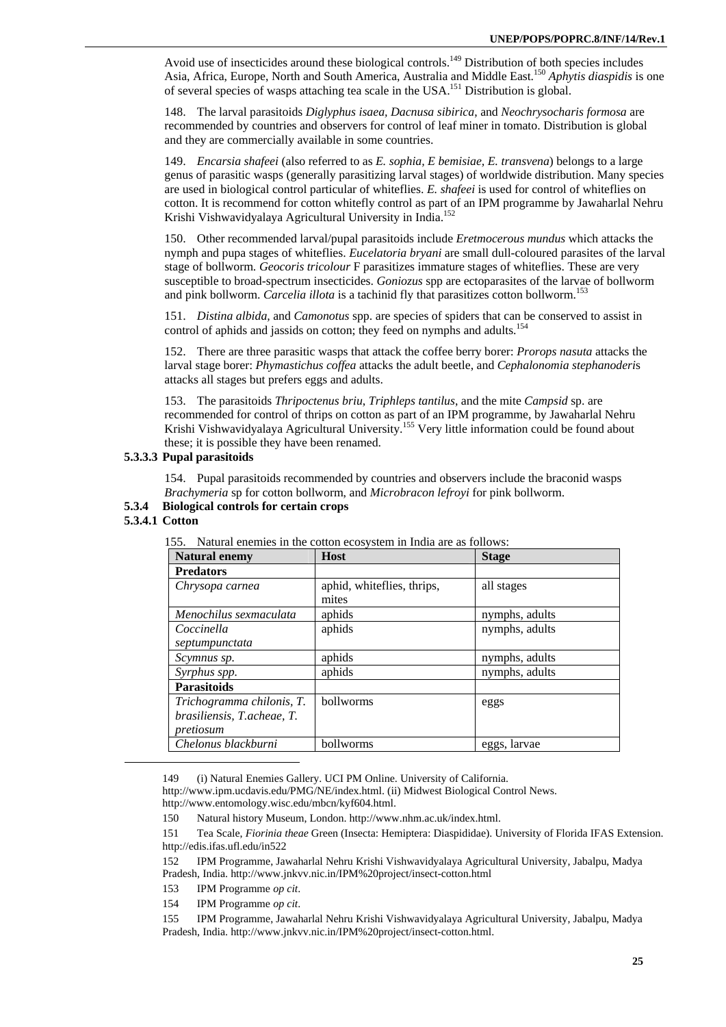Avoid use of insecticides around these biological controls.<sup>149</sup> Distribution of both species includes Asia, Africa, Europe, North and South America, Australia and Middle East.150 *Aphytis diaspidis* is one of several species of wasps attaching tea scale in the USA.151 Distribution is global.

148. The larval parasitoids *Diglyphus isaea, Dacnusa sibirica*, and *Neochrysocharis formosa* are recommended by countries and observers for control of leaf miner in tomato. Distribution is global and they are commercially available in some countries.

149. *Encarsia shafeei* (also referred to as *E. sophia, E bemisiae, E. transvena*) belongs to a large genus of parasitic wasps (generally parasitizing larval stages) of worldwide distribution. Many species are used in biological control particular of whiteflies. *E. shafeei* is used for control of whiteflies on cotton. It is recommend for cotton whitefly control as part of an IPM programme by Jawaharlal Nehru Krishi Vishwavidyalaya Agricultural University in India.<sup>152</sup>

150. Other recommended larval/pupal parasitoids include *Eretmocerous mundus* which attacks the nymph and pupa stages of whiteflies. *Eucelatoria bryani* are small dull-coloured parasites of the larval stage of bollworm. *Geocoris tricolour* F parasitizes immature stages of whiteflies. These are very susceptible to broad-spectrum insecticides. *Goniozus* spp are ectoparasites of the larvae of bollworm and pink bollworm. *Carcelia illota* is a tachinid fly that parasitizes cotton bollworm.<sup>153</sup>

151. *Distina albida,* and *Camonotus* spp. are species of spiders that can be conserved to assist in control of aphids and jassids on cotton; they feed on nymphs and adults.<sup>154</sup>

152. There are three parasitic wasps that attack the coffee berry borer: *Prorops nasuta* attacks the larval stage borer: *Phymastichus coffea* attacks the adult beetle, and *Cephalonomia stephanoderi*s attacks all stages but prefers eggs and adults.

153. The parasitoids *Thripoctenus briu*, *Triphleps tantilus*, and the mite *Campsid* sp. are recommended for control of thrips on cotton as part of an IPM programme, by Jawaharlal Nehru Krishi Vishwavidyalaya Agricultural University.<sup>155</sup> Very little information could be found about these; it is possible they have been renamed.

### **5.3.3.3 Pupal parasitoids**

154. Pupal parasitoids recommended by countries and observers include the braconid wasps *Brachymeria* sp for cotton bollworm, and *Microbracon lefroyi* for pink bollworm.

### **5.3.4 Biological controls for certain crops**

### **5.3.4.1 Cotton**

 $\overline{a}$ 

| <b>Natural enemy</b>       | Host                                | <b>Stage</b>   |
|----------------------------|-------------------------------------|----------------|
| <b>Predators</b>           |                                     |                |
| Chrysopa carnea            | aphid, whiteflies, thrips,<br>mites | all stages     |
| Menochilus sexmaculata     | aphids                              | nymphs, adults |
| Coccinella                 | aphids                              | nymphs, adults |
| septumpunctata             |                                     |                |
| Scymnus sp.                | aphids                              | nymphs, adults |
| Syrphus spp.               | aphids                              | nymphs, adults |
| <b>Parasitoids</b>         |                                     |                |
| Trichogramma chilonis, T.  | bollworms                           | eggs           |
| brasiliensis, T.acheae, T. |                                     |                |
| pretiosum                  |                                     |                |
| Chelonus blackburni        | bollworms                           | eggs, larvae   |

155. Natural enemies in the cotton ecosystem in India are as follows:

149 (i) Natural Enemies Gallery. UCI PM Online. University of California.

http://www.ipm.ucdavis.edu/PMG/NE/index.html. (ii) Midwest Biological Control News. http://www.entomology.wisc.edu/mbcn/kyf604.html.

150 Natural history Museum, London. http://www.nhm.ac.uk/index.html.

151 Tea Scale, *Fiorinia theae* Green (Insecta: Hemiptera: Diaspididae). University of Florida IFAS Extension. http://edis.ifas.ufl.edu/in522

152 IPM Programme, Jawaharlal Nehru Krishi Vishwavidyalaya Agricultural University, Jabalpu, Madya Pradesh, India. http://www.jnkvv.nic.in/IPM%20project/insect-cotton.html

153 IPM Programme *op cit*.

154 IPM Programme *op cit*.

155 IPM Programme, Jawaharlal Nehru Krishi Vishwavidyalaya Agricultural University, Jabalpu, Madya Pradesh, India. http://www.jnkvv.nic.in/IPM%20project/insect-cotton.html.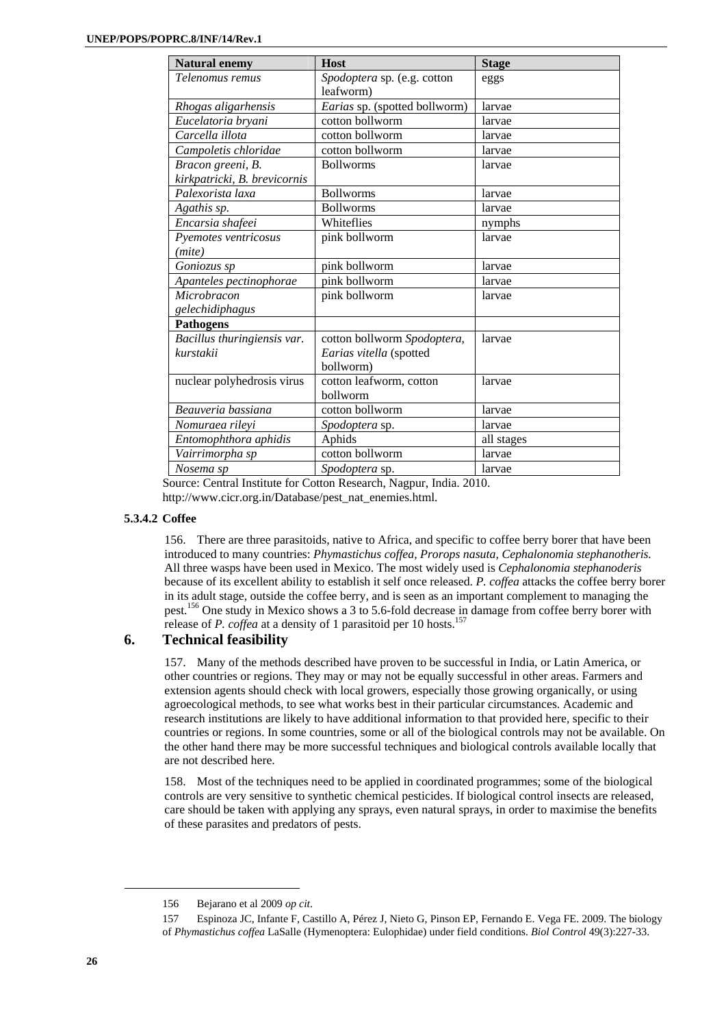| <b>Natural enemy</b>         | <b>Host</b>                              | <b>Stage</b> |
|------------------------------|------------------------------------------|--------------|
| Telenomus remus              | Spodoptera sp. (e.g. cotton<br>leafworm) | eggs         |
| Rhogas aligarhensis          | Earias sp. (spotted bollworm)            | larvae       |
| Eucelatoria bryani           | cotton bollworm                          | larvae       |
| Carcella illota              | cotton bollworm                          | larvae       |
| Campoletis chloridae         | cotton bollworm                          | larvae       |
| Bracon greeni, B.            | <b>Bollworms</b>                         | larvae       |
| kirkpatricki, B. brevicornis |                                          |              |
| Palexorista laxa             | <b>Bollworms</b>                         | larvae       |
| Agathis sp.                  | <b>Bollworms</b>                         | larvae       |
| Encarsia shafeei             | Whiteflies                               | nymphs       |
| Pyemotes ventricosus         | pink bollworm                            | larvae       |
| (mite)                       |                                          |              |
| Goniozus sp                  | pink bollworm                            | larvae       |
| Apanteles pectinophorae      | pink bollworm                            | larvae       |
| Microbracon                  | pink bollworm                            | larvae       |
| gelechidiphagus              |                                          |              |
| <b>Pathogens</b>             |                                          |              |
| Bacillus thuringiensis var.  | cotton bollworm Spodoptera,              | larvae       |
| kurstakii                    | Earias vitella (spotted                  |              |
|                              | bollworm)                                |              |
| nuclear polyhedrosis virus   | cotton leafworm, cotton                  | larvae       |
|                              | bollworm                                 |              |
| Beauveria bassiana           | cotton bollworm                          | larvae       |
| Nomuraea rileyi              | <i>Spodoptera</i> sp.                    | larvae       |
| Entomophthora aphidis        | Aphids                                   | all stages   |
| Vairrimorpha sp              | cotton bollworm                          | larvae       |
| Nosema sp                    | Spodoptera sp.                           | larvae       |

Source: Central Institute for Cotton Research, Nagpur, India. 2010. http://www.cicr.org.in/Database/pest\_nat\_enemies.html.

### **5.3.4.2 Coffee**

156. There are three parasitoids, native to Africa, and specific to coffee berry borer that have been introduced to many countries: *Phymastichus coffea, Prorops nasuta, Cephalonomia stephanotheris.* All three wasps have been used in Mexico. The most widely used is *Cephalonomia stephanoderis* because of its excellent ability to establish it self once released. *P. coffea* attacks the coffee berry borer in its adult stage, outside the coffee berry, and is seen as an important complement to managing the pest.156 One study in Mexico shows a 3 to 5.6-fold decrease in damage from coffee berry borer with release of *P. coffea* at a density of 1 parasitoid per 10 hosts.<sup>15</sup>

# **6. Technical feasibility**

157. Many of the methods described have proven to be successful in India, or Latin America, or other countries or regions. They may or may not be equally successful in other areas. Farmers and extension agents should check with local growers, especially those growing organically, or using agroecological methods, to see what works best in their particular circumstances. Academic and research institutions are likely to have additional information to that provided here, specific to their countries or regions. In some countries, some or all of the biological controls may not be available. On the other hand there may be more successful techniques and biological controls available locally that are not described here.

158. Most of the techniques need to be applied in coordinated programmes; some of the biological controls are very sensitive to synthetic chemical pesticides. If biological control insects are released, care should be taken with applying any sprays, even natural sprays, in order to maximise the benefits of these parasites and predators of pests.

<sup>156</sup> Bejarano et al 2009 *op cit*.

<sup>157</sup> Espinoza JC, Infante F, Castillo A, Pérez J, Nieto G, Pinson EP, Fernando E. Vega FE. 2009. The biology of *Phymastichus coffea* LaSalle (Hymenoptera: Eulophidae) under field conditions. *Biol Control* 49(3):227-33.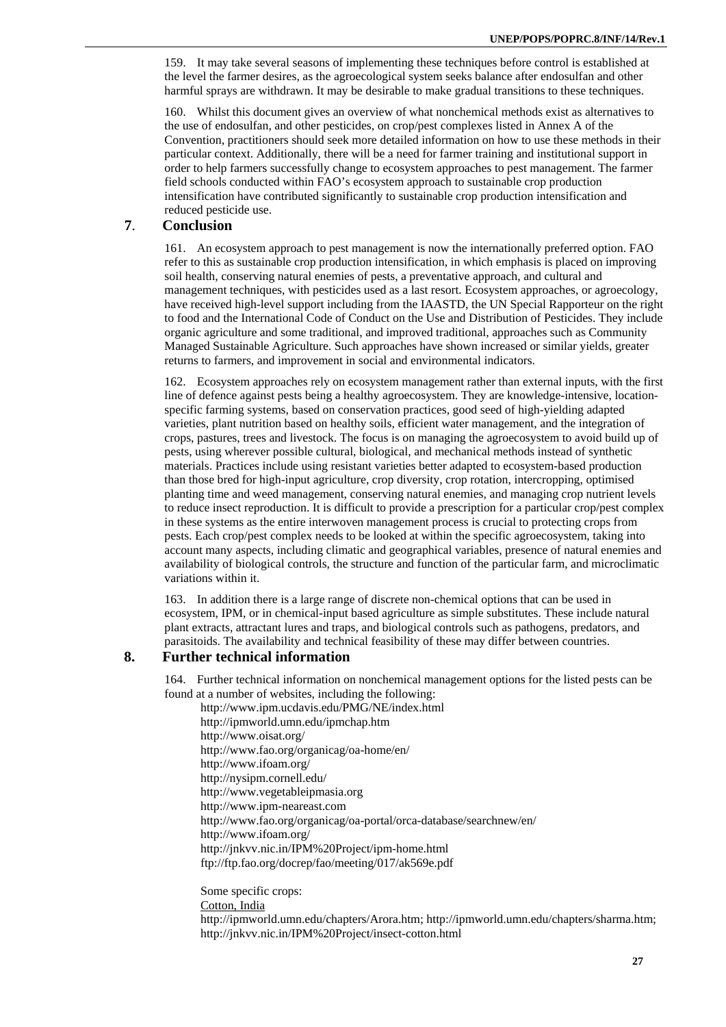159. It may take several seasons of implementing these techniques before control is established at the level the farmer desires, as the agroecological system seeks balance after endosulfan and other harmful sprays are withdrawn. It may be desirable to make gradual transitions to these techniques.

160. Whilst this document gives an overview of what nonchemical methods exist as alternatives to the use of endosulfan, and other pesticides, on crop/pest complexes listed in Annex A of the Convention, practitioners should seek more detailed information on how to use these methods in their particular context. Additionally, there will be a need for farmer training and institutional support in order to help farmers successfully change to ecosystem approaches to pest management. The farmer field schools conducted within FAO's ecosystem approach to sustainable crop production intensification have contributed significantly to sustainable crop production intensification and reduced pesticide use.

# **7**. **Conclusion**

161. An ecosystem approach to pest management is now the internationally preferred option. FAO refer to this as sustainable crop production intensification, in which emphasis is placed on improving soil health, conserving natural enemies of pests, a preventative approach, and cultural and management techniques, with pesticides used as a last resort. Ecosystem approaches, or agroecology, have received high-level support including from the IAASTD, the UN Special Rapporteur on the right to food and the International Code of Conduct on the Use and Distribution of Pesticides. They include organic agriculture and some traditional, and improved traditional, approaches such as Community Managed Sustainable Agriculture. Such approaches have shown increased or similar yields, greater returns to farmers, and improvement in social and environmental indicators.

162. Ecosystem approaches rely on ecosystem management rather than external inputs, with the first line of defence against pests being a healthy agroecosystem. They are knowledge-intensive, locationspecific farming systems, based on conservation practices, good seed of high-yielding adapted varieties, plant nutrition based on healthy soils, efficient water management, and the integration of crops, pastures, trees and livestock. The focus is on managing the agroecosystem to avoid build up of pests, using wherever possible cultural, biological, and mechanical methods instead of synthetic materials. Practices include using resistant varieties better adapted to ecosystem-based production than those bred for high-input agriculture, crop diversity, crop rotation, intercropping, optimised planting time and weed management, conserving natural enemies, and managing crop nutrient levels to reduce insect reproduction. It is difficult to provide a prescription for a particular crop/pest complex in these systems as the entire interwoven management process is crucial to protecting crops from pests. Each crop/pest complex needs to be looked at within the specific agroecosystem, taking into account many aspects, including climatic and geographical variables, presence of natural enemies and availability of biological controls, the structure and function of the particular farm, and microclimatic variations within it.

163. In addition there is a large range of discrete non-chemical options that can be used in ecosystem, IPM, or in chemical-input based agriculture as simple substitutes. These include natural plant extracts, attractant lures and traps, and biological controls such as pathogens, predators, and parasitoids. The availability and technical feasibility of these may differ between countries.

# **8. Further technical information**

164. Further technical information on nonchemical management options for the listed pests can be found at a number of websites, including the following:

http://www.ipm.ucdavis.edu/PMG/NE/index.html http://ipmworld.umn.edu/ipmchap.htm http://www.oisat.org/ http://www.fao.org/organicag/oa-home/en/ http://www.ifoam.org/ http://nysipm.cornell.edu/ http://www.vegetableipmasia.org http://www.ipm-neareast.com http://www.fao.org/organicag/oa-portal/orca-database/searchnew/en/ http://www.ifoam.org/ http://jnkvv.nic.in/IPM%20Project/ipm-home.html ftp://ftp.fao.org/docrep/fao/meeting/017/ak569e.pdf

Some specific crops: Cotton, India http://ipmworld.umn.edu/chapters/Arora.htm; http://ipmworld.umn.edu/chapters/sharma.htm; http://jnkvv.nic.in/IPM%20Project/insect-cotton.html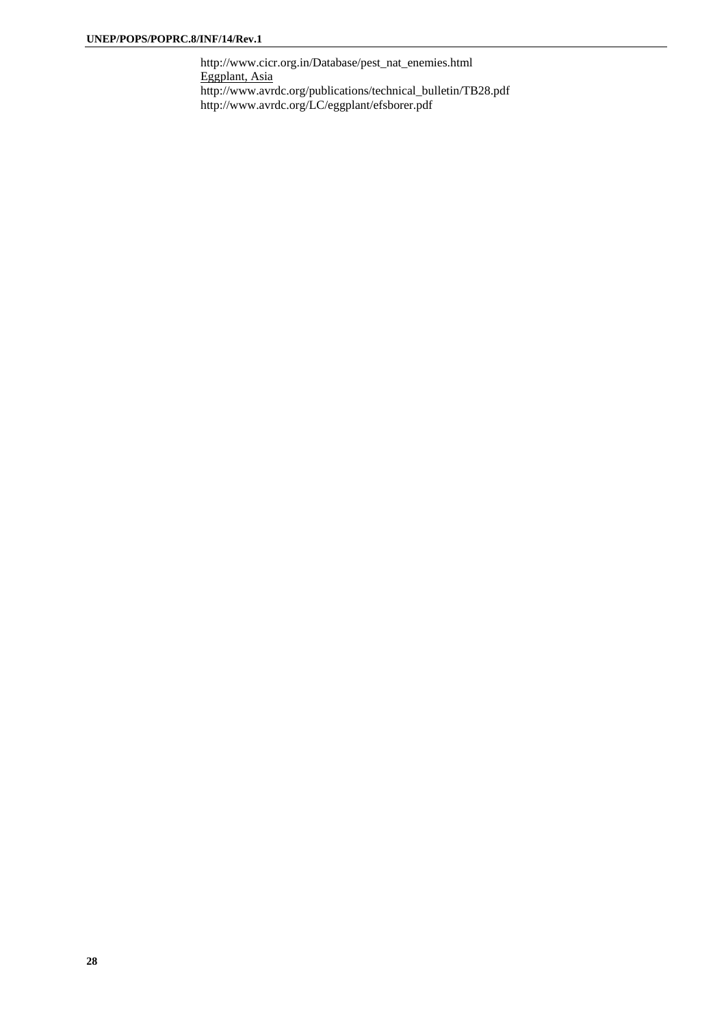http://www.cicr.org.in/Database/pest\_nat\_enemies.html Eggplant, Asia http://www.avrdc.org/publications/technical\_bulletin/TB28.pdf http://www.avrdc.org/LC/eggplant/efsborer.pdf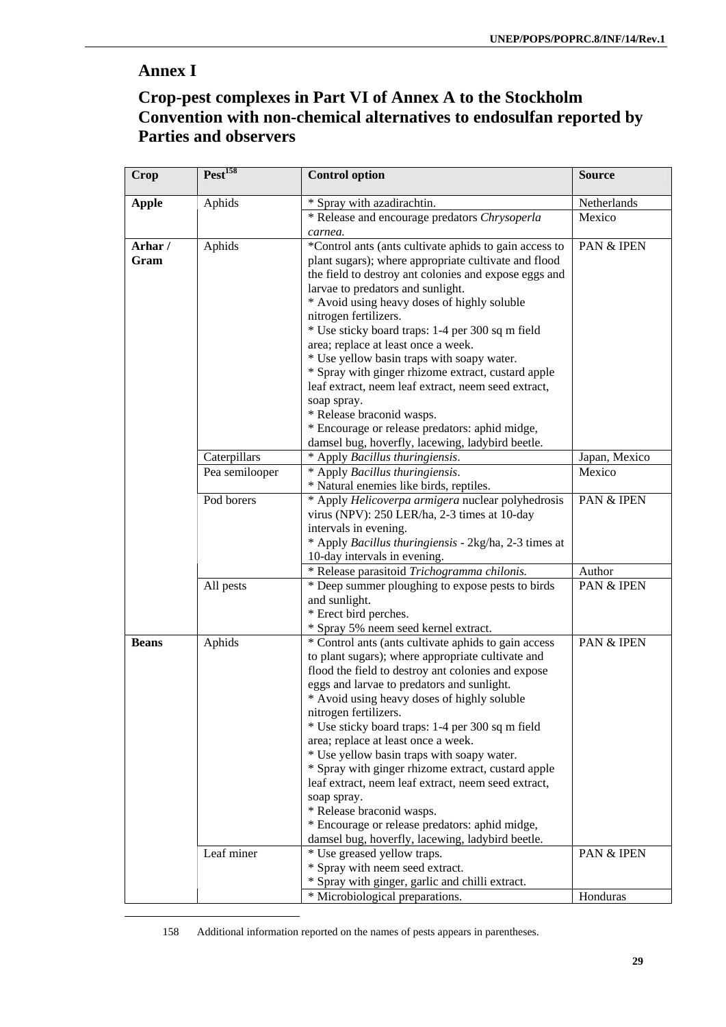# **Annex I**

 $\overline{a}$ 

# **Crop-pest complexes in Part VI of Annex A to the Stockholm Convention with non-chemical alternatives to endosulfan reported by Parties and observers**

| <b>Crop</b>  | Pest <sup>158</sup> | <b>Control option</b>                                                          | <b>Source</b> |
|--------------|---------------------|--------------------------------------------------------------------------------|---------------|
| <b>Apple</b> | Aphids              | * Spray with azadirachtin.                                                     | Netherlands   |
|              |                     | * Release and encourage predators Chrysoperla                                  | Mexico        |
|              |                     | carnea.                                                                        |               |
| Arhar/       | Aphids              | *Control ants (ants cultivate aphids to gain access to                         | PAN & IPEN    |
| Gram         |                     | plant sugars); where appropriate cultivate and flood                           |               |
|              |                     | the field to destroy ant colonies and expose eggs and                          |               |
|              |                     | larvae to predators and sunlight.                                              |               |
|              |                     | * Avoid using heavy doses of highly soluble<br>nitrogen fertilizers.           |               |
|              |                     | * Use sticky board traps: 1-4 per 300 sq m field                               |               |
|              |                     | area; replace at least once a week.                                            |               |
|              |                     | * Use yellow basin traps with soapy water.                                     |               |
|              |                     | * Spray with ginger rhizome extract, custard apple                             |               |
|              |                     | leaf extract, neem leaf extract, neem seed extract,                            |               |
|              |                     | soap spray.                                                                    |               |
|              |                     | * Release braconid wasps.                                                      |               |
|              |                     | * Encourage or release predators: aphid midge,                                 |               |
|              |                     | damsel bug, hoverfly, lacewing, ladybird beetle.                               |               |
|              | Caterpillars        | * Apply Bacillus thuringiensis.                                                | Japan, Mexico |
|              | Pea semilooper      | * Apply Bacillus thuringiensis.                                                | Mexico        |
|              |                     | * Natural enemies like birds, reptiles.                                        |               |
|              | Pod borers          | * Apply Helicoverpa armigera nuclear polyhedrosis                              | PAN & IPEN    |
|              |                     | virus (NPV): 250 LER/ha, 2-3 times at 10-day                                   |               |
|              |                     | intervals in evening.<br>* Apply Bacillus thuringiensis - 2kg/ha, 2-3 times at |               |
|              |                     | 10-day intervals in evening.                                                   |               |
|              |                     | * Release parasitoid Trichogramma chilonis.                                    | Author        |
|              | All pests           | * Deep summer ploughing to expose pests to birds                               | PAN & IPEN    |
|              |                     | and sunlight.                                                                  |               |
|              |                     | * Erect bird perches.                                                          |               |
|              |                     | * Spray 5% neem seed kernel extract.                                           |               |
| <b>Beans</b> | Aphids              | * Control ants (ants cultivate aphids to gain access                           | PAN & IPEN    |
|              |                     | to plant sugars); where appropriate cultivate and                              |               |
|              |                     | flood the field to destroy ant colonies and expose                             |               |
|              |                     | eggs and larvae to predators and sunlight.                                     |               |
|              |                     | * Avoid using heavy doses of highly soluble                                    |               |
|              |                     | nitrogen fertilizers.<br>* Use sticky board traps: 1-4 per 300 sq m field      |               |
|              |                     | area; replace at least once a week.                                            |               |
|              |                     | * Use yellow basin traps with soapy water.                                     |               |
|              |                     | * Spray with ginger rhizome extract, custard apple                             |               |
|              |                     | leaf extract, neem leaf extract, neem seed extract,                            |               |
|              |                     | soap spray.                                                                    |               |
|              |                     | * Release braconid wasps.                                                      |               |
|              |                     | * Encourage or release predators: aphid midge,                                 |               |
|              |                     | damsel bug, hoverfly, lacewing, ladybird beetle.                               |               |
|              | Leaf miner          | * Use greased yellow traps.                                                    | PAN & IPEN    |
|              |                     | * Spray with neem seed extract.                                                |               |
|              |                     | * Spray with ginger, garlic and chilli extract.                                |               |
|              |                     | * Microbiological preparations.                                                | Honduras      |

158 Additional information reported on the names of pests appears in parentheses.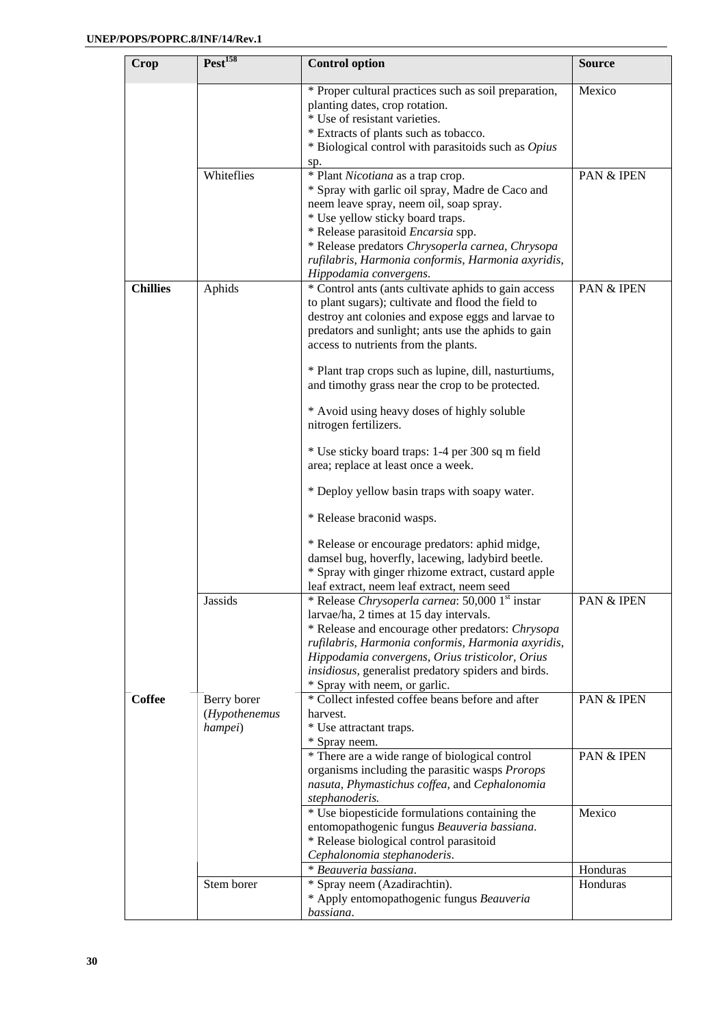| Crop            | Pest <sup>158</sup>                     | <b>Control option</b>                                                                                                                                                                                                                                                                                                              | <b>Source</b>         |
|-----------------|-----------------------------------------|------------------------------------------------------------------------------------------------------------------------------------------------------------------------------------------------------------------------------------------------------------------------------------------------------------------------------------|-----------------------|
|                 |                                         | * Proper cultural practices such as soil preparation,<br>planting dates, crop rotation.<br>* Use of resistant varieties.<br>* Extracts of plants such as tobacco.                                                                                                                                                                  | Mexico                |
|                 |                                         | * Biological control with parasitoids such as Opius                                                                                                                                                                                                                                                                                |                       |
|                 | Whiteflies                              | sp.<br>* Plant Nicotiana as a trap crop.<br>* Spray with garlic oil spray, Madre de Caco and<br>neem leave spray, neem oil, soap spray.<br>* Use yellow sticky board traps.<br>* Release parasitoid <i>Encarsia</i> spp.<br>* Release predators Chrysoperla carnea, Chrysopa<br>rufilabris, Harmonia conformis, Harmonia axyridis, | PAN & IPEN            |
| <b>Chillies</b> | Aphids                                  | Hippodamia convergens.<br>* Control ants (ants cultivate aphids to gain access<br>to plant sugars); cultivate and flood the field to<br>destroy ant colonies and expose eggs and larvae to<br>predators and sunlight; ants use the aphids to gain<br>access to nutrients from the plants.                                          | PAN & IPEN            |
|                 |                                         | * Plant trap crops such as lupine, dill, nasturtiums,<br>and timothy grass near the crop to be protected.                                                                                                                                                                                                                          |                       |
|                 |                                         | * Avoid using heavy doses of highly soluble<br>nitrogen fertilizers.                                                                                                                                                                                                                                                               |                       |
|                 |                                         | * Use sticky board traps: 1-4 per 300 sq m field<br>area; replace at least once a week.                                                                                                                                                                                                                                            |                       |
|                 |                                         | * Deploy yellow basin traps with soapy water.                                                                                                                                                                                                                                                                                      |                       |
|                 |                                         | * Release braconid wasps.                                                                                                                                                                                                                                                                                                          |                       |
|                 |                                         | * Release or encourage predators: aphid midge,<br>damsel bug, hoverfly, lacewing, ladybird beetle.<br>* Spray with ginger rhizome extract, custard apple<br>leaf extract, neem leaf extract, neem seed                                                                                                                             |                       |
|                 | Jassids                                 | * Release Chrysoperla carnea: 50,000 1 <sup>st</sup> instar<br>larvae/ha, 2 times at 15 day intervals.<br>* Release and encourage other predators: Chrysopa<br>rufilabris, Harmonia conformis, Harmonia axyridis,<br>Hippodamia convergens, Orius tristicolor, Orius                                                               | <b>PAN &amp; IPEN</b> |
|                 |                                         | insidiosus, generalist predatory spiders and birds.<br>* Spray with neem, or garlic.                                                                                                                                                                                                                                               |                       |
| <b>Coffee</b>   | Berry borer<br>(Hypothenemus<br>hampei) | * Collect infested coffee beans before and after<br>harvest.<br>* Use attractant traps.<br>* Spray neem.                                                                                                                                                                                                                           | PAN & IPEN            |
|                 |                                         | * There are a wide range of biological control<br>organisms including the parasitic wasps Prorops<br>nasuta, Phymastichus coffea, and Cephalonomia<br>stephanoderis.                                                                                                                                                               | PAN & IPEN            |
|                 |                                         | * Use biopesticide formulations containing the<br>entomopathogenic fungus Beauveria bassiana.<br>* Release biological control parasitoid<br>Cephalonomia stephanoderis.                                                                                                                                                            | Mexico                |
|                 |                                         | * Beauveria bassiana.                                                                                                                                                                                                                                                                                                              | Honduras              |
|                 | Stem borer                              | * Spray neem (Azadirachtin).<br>* Apply entomopathogenic fungus Beauveria<br>bassiana.                                                                                                                                                                                                                                             | Honduras              |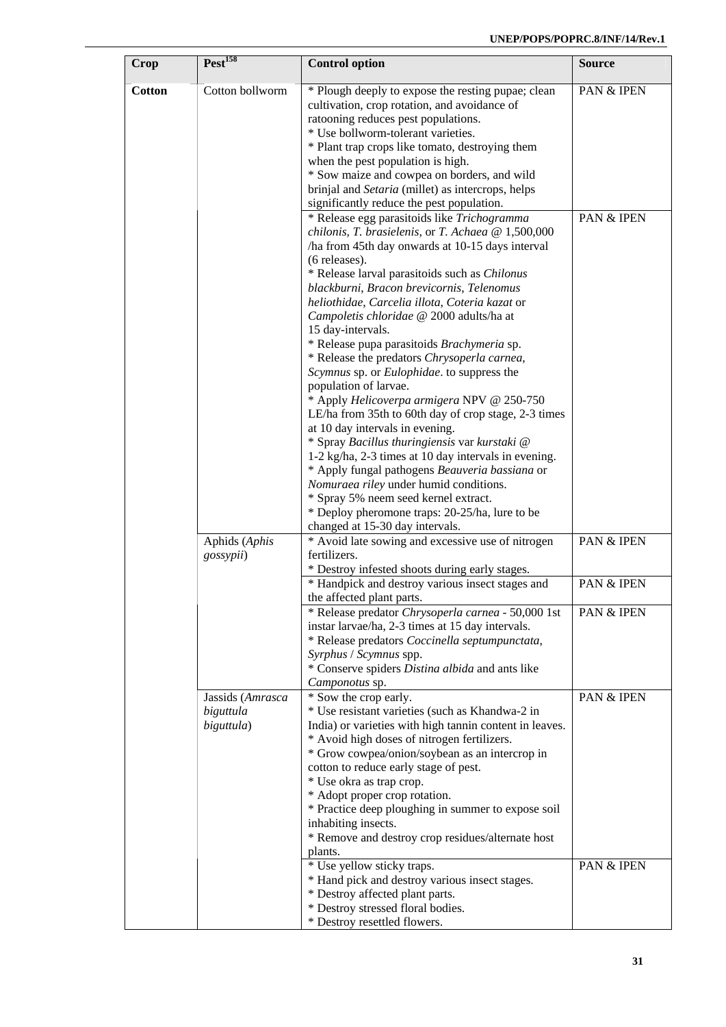| Crop          | Test <sup>158</sup>                         | <b>Control option</b>                                                                                                                                                                                                                                                                                                                                                                                                                                                                                                              | <b>Source</b> |
|---------------|---------------------------------------------|------------------------------------------------------------------------------------------------------------------------------------------------------------------------------------------------------------------------------------------------------------------------------------------------------------------------------------------------------------------------------------------------------------------------------------------------------------------------------------------------------------------------------------|---------------|
| <b>Cotton</b> | Cotton bollworm                             | * Plough deeply to expose the resting pupae; clean<br>cultivation, crop rotation, and avoidance of<br>ratooning reduces pest populations.<br>* Use bollworm-tolerant varieties.<br>* Plant trap crops like tomato, destroying them                                                                                                                                                                                                                                                                                                 | PAN & IPEN    |
|               |                                             | when the pest population is high.<br>* Sow maize and cowpea on borders, and wild<br>brinjal and Setaria (millet) as intercrops, helps<br>significantly reduce the pest population.                                                                                                                                                                                                                                                                                                                                                 |               |
|               |                                             | * Release egg parasitoids like Trichogramma<br>chilonis, T. brasielenis, or T. Achaea @ 1,500,000<br>/ha from 45th day onwards at 10-15 days interval<br>(6 releases).<br>* Release larval parasitoids such as Chilonus<br>blackburni, Bracon brevicornis, Telenomus<br>heliothidae, Carcelia illota, Coteria kazat or<br>Campoletis chloridae @ 2000 adults/ha at<br>15 day-intervals.<br>* Release pupa parasitoids Brachymeria sp.<br>* Release the predators Chrysoperla carnea,<br>Scymnus sp. or Eulophidae. to suppress the | PAN & IPEN    |
|               |                                             | population of larvae.<br>* Apply Helicoverpa armigera NPV @ 250-750<br>LE/ha from 35th to 60th day of crop stage, 2-3 times<br>at 10 day intervals in evening.<br>* Spray Bacillus thuringiensis var kurstaki @<br>1-2 kg/ha, 2-3 times at 10 day intervals in evening.<br>* Apply fungal pathogens Beauveria bassiana or<br>Nomuraea riley under humid conditions.<br>* Spray 5% neem seed kernel extract.<br>* Deploy pheromone traps: 20-25/ha, lure to be<br>changed at 15-30 day intervals.                                   |               |
|               | Aphids (Aphis<br>gossypii)                  | * Avoid late sowing and excessive use of nitrogen<br>fertilizers.<br>* Destroy infested shoots during early stages.                                                                                                                                                                                                                                                                                                                                                                                                                | PAN & IPEN    |
|               |                                             | * Handpick and destroy various insect stages and<br>the affected plant parts.                                                                                                                                                                                                                                                                                                                                                                                                                                                      | PAN & IPEN    |
|               |                                             | * Release predator Chrysoperla carnea - 50,000 1st<br>instar larvae/ha, 2-3 times at 15 day intervals.<br>* Release predators Coccinella septumpunctata,<br>Syrphus / Scymnus spp.<br>* Conserve spiders Distina albida and ants like<br>Camponotus sp.                                                                                                                                                                                                                                                                            | PAN & IPEN    |
|               | Jassids (Amrasca<br>biguttula<br>biguttula) | * Sow the crop early.<br>* Use resistant varieties (such as Khandwa-2 in<br>India) or varieties with high tannin content in leaves.<br>* Avoid high doses of nitrogen fertilizers.<br>* Grow cowpea/onion/soybean as an intercrop in<br>cotton to reduce early stage of pest.<br>* Use okra as trap crop.<br>* Adopt proper crop rotation.<br>* Practice deep ploughing in summer to expose soil<br>inhabiting insects.<br>* Remove and destroy crop residues/alternate host<br>plants.                                            | PAN & IPEN    |
|               |                                             | * Use yellow sticky traps.<br>* Hand pick and destroy various insect stages.<br>* Destroy affected plant parts.<br>* Destroy stressed floral bodies.<br>* Destroy resettled flowers.                                                                                                                                                                                                                                                                                                                                               | PAN & IPEN    |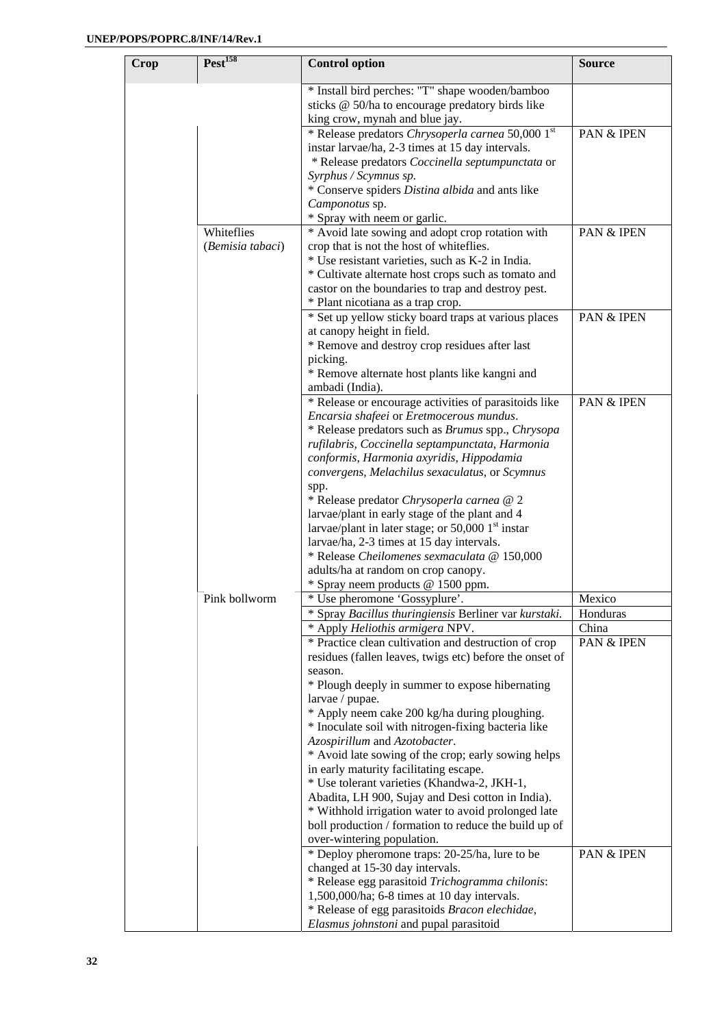| Pest <sup>158</sup><br>Crop    | <b>Control option</b>                                                                                                                                                                                                                                                                                                                                                                                                                                                                                                                                                             | <b>Source</b>       |
|--------------------------------|-----------------------------------------------------------------------------------------------------------------------------------------------------------------------------------------------------------------------------------------------------------------------------------------------------------------------------------------------------------------------------------------------------------------------------------------------------------------------------------------------------------------------------------------------------------------------------------|---------------------|
|                                | * Install bird perches: "T" shape wooden/bamboo<br>sticks @ 50/ha to encourage predatory birds like<br>king crow, mynah and blue jay.                                                                                                                                                                                                                                                                                                                                                                                                                                             |                     |
|                                | * Release predators Chrysoperla carnea 50,000 1st<br>instar larvae/ha, 2-3 times at 15 day intervals.<br>* Release predators Coccinella septumpunctata or<br>Syrphus / Scymnus sp.<br>* Conserve spiders Distina albida and ants like<br>Camponotus sp.                                                                                                                                                                                                                                                                                                                           | PAN & IPEN          |
| Whiteflies<br>(Bemisia tabaci) | * Spray with neem or garlic.<br>* Avoid late sowing and adopt crop rotation with<br>crop that is not the host of whiteflies.                                                                                                                                                                                                                                                                                                                                                                                                                                                      | PAN & IPEN          |
|                                | * Use resistant varieties, such as K-2 in India.<br>* Cultivate alternate host crops such as tomato and<br>castor on the boundaries to trap and destroy pest.<br>* Plant nicotiana as a trap crop.                                                                                                                                                                                                                                                                                                                                                                                |                     |
|                                | * Set up yellow sticky board traps at various places<br>at canopy height in field.<br>* Remove and destroy crop residues after last<br>picking.<br>* Remove alternate host plants like kangni and<br>ambadi (India).                                                                                                                                                                                                                                                                                                                                                              | PAN & IPEN          |
|                                | * Release or encourage activities of parasitoids like<br>Encarsia shafeei or Eretmocerous mundus.<br>* Release predators such as Brumus spp., Chrysopa<br>rufilabris, Coccinella septampunctata, Harmonia<br>conformis, Harmonia axyridis, Hippodamia<br>convergens, Melachilus sexaculatus, or Scymnus<br>spp.                                                                                                                                                                                                                                                                   | PAN & IPEN          |
|                                | * Release predator Chrysoperla carnea @ 2<br>larvae/plant in early stage of the plant and 4<br>larvae/plant in later stage; or $50,0001$ <sup>st</sup> instar<br>larvae/ha, 2-3 times at 15 day intervals.<br>* Release Cheilomenes sexmaculata @ 150,000<br>adults/ha at random on crop canopy.<br>* Spray neem products @ 1500 ppm.                                                                                                                                                                                                                                             |                     |
| Pink bollworm                  | * Use pheromone 'Gossyplure'.                                                                                                                                                                                                                                                                                                                                                                                                                                                                                                                                                     | Mexico              |
|                                | * Spray Bacillus thuringiensis Berliner var kurstaki.                                                                                                                                                                                                                                                                                                                                                                                                                                                                                                                             | Honduras            |
|                                | * Apply Heliothis armigera NPV.<br>* Practice clean cultivation and destruction of crop<br>residues (fallen leaves, twigs etc) before the onset of<br>season.<br>* Plough deeply in summer to expose hibernating<br>larvae / pupae.<br>* Apply neem cake 200 kg/ha during ploughing.<br>* Inoculate soil with nitrogen-fixing bacteria like<br>Azospirillum and Azotobacter.<br>* Avoid late sowing of the crop; early sowing helps<br>in early maturity facilitating escape.<br>* Use tolerant varieties (Khandwa-2, JKH-1,<br>Abadita, LH 900, Sujay and Desi cotton in India). | China<br>PAN & IPEN |
|                                | * Withhold irrigation water to avoid prolonged late<br>boll production / formation to reduce the build up of<br>over-wintering population.<br>* Deploy pheromone traps: 20-25/ha, lure to be<br>changed at 15-30 day intervals.<br>* Release egg parasitoid Trichogramma chilonis:<br>1,500,000/ha; 6-8 times at 10 day intervals.<br>* Release of egg parasitoids Bracon elechidae,<br>Elasmus johnstoni and pupal parasitoid                                                                                                                                                    | PAN & IPEN          |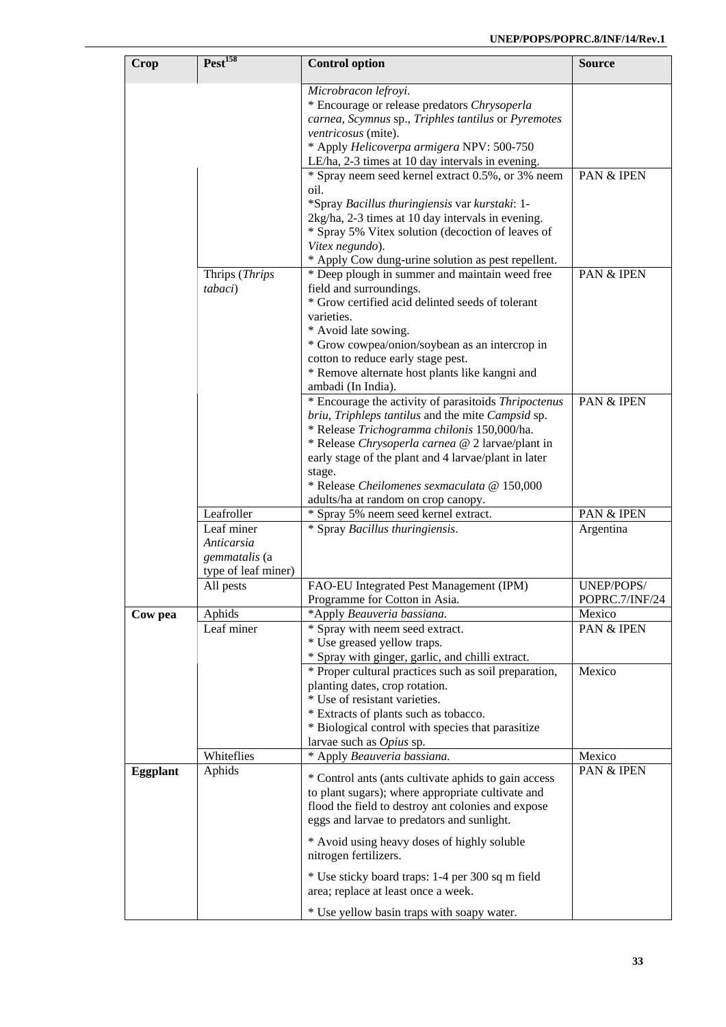| Crop            | Test <sup>158</sup>                                              | <b>Control option</b>                                                                                                                                                                                                                                                                                                                                                | <b>Source</b>                |
|-----------------|------------------------------------------------------------------|----------------------------------------------------------------------------------------------------------------------------------------------------------------------------------------------------------------------------------------------------------------------------------------------------------------------------------------------------------------------|------------------------------|
|                 |                                                                  | Microbracon lefroyi.<br>* Encourage or release predators Chrysoperla<br>carnea, Scymnus sp., Triphles tantilus or Pyremotes<br>ventricosus (mite).<br>* Apply Helicoverpa armigera NPV: 500-750<br>LE/ha, 2-3 times at 10 day intervals in evening.                                                                                                                  |                              |
|                 |                                                                  | * Spray neem seed kernel extract 0.5%, or 3% neem<br>oil.<br>*Spray Bacillus thuringiensis var kurstaki: 1-                                                                                                                                                                                                                                                          | PAN & IPEN                   |
|                 |                                                                  | 2kg/ha, 2-3 times at 10 day intervals in evening.<br>* Spray 5% Vitex solution (decoction of leaves of<br>Vitex negundo).<br>* Apply Cow dung-urine solution as pest repellent.                                                                                                                                                                                      |                              |
|                 | Thrips (Thrips<br>tabaci)                                        | * Deep plough in summer and maintain weed free<br>field and surroundings.<br>* Grow certified acid delinted seeds of tolerant<br>varieties.<br>* Avoid late sowing.<br>* Grow cowpea/onion/soybean as an intercrop in<br>cotton to reduce early stage pest.<br>* Remove alternate host plants like kangni and<br>ambadi (In India).                                  | PAN & IPEN                   |
|                 |                                                                  | * Encourage the activity of parasitoids Thripoctenus<br>briu, Triphleps tantilus and the mite Campsid sp.<br>* Release Trichogramma chilonis 150,000/ha.<br>* Release Chrysoperla carnea @ 2 larvae/plant in<br>early stage of the plant and 4 larvae/plant in later<br>stage.<br>* Release Cheilomenes sexmaculata @ 150,000<br>adults/ha at random on crop canopy. | PAN & IPEN                   |
|                 | Leafroller                                                       | * Spray 5% neem seed kernel extract.                                                                                                                                                                                                                                                                                                                                 | PAN & IPEN                   |
|                 | Leaf miner<br>Anticarsia<br>gemmatalis (a<br>type of leaf miner) | * Spray Bacillus thuringiensis.                                                                                                                                                                                                                                                                                                                                      | Argentina                    |
|                 | All pests                                                        | FAO-EU Integrated Pest Management (IPM)<br>Programme for Cotton in Asia.                                                                                                                                                                                                                                                                                             | UNEP/POPS/<br>POPRC.7/INF/24 |
| Cow pea         | Aphids<br>Leaf miner                                             | *Apply Beauveria bassiana.<br>* Spray with neem seed extract.<br>* Use greased yellow traps.<br>* Spray with ginger, garlic, and chilli extract.                                                                                                                                                                                                                     | Mexico<br>PAN & IPEN         |
|                 |                                                                  | * Proper cultural practices such as soil preparation,<br>planting dates, crop rotation.<br>* Use of resistant varieties.<br>* Extracts of plants such as tobacco.<br>* Biological control with species that parasitize<br>larvae such as Opius sp.                                                                                                                   | Mexico                       |
|                 | Whiteflies                                                       | * Apply Beauveria bassiana.                                                                                                                                                                                                                                                                                                                                          | Mexico                       |
| <b>Eggplant</b> | Aphids                                                           | * Control ants (ants cultivate aphids to gain access<br>to plant sugars); where appropriate cultivate and<br>flood the field to destroy ant colonies and expose<br>eggs and larvae to predators and sunlight.                                                                                                                                                        | PAN & IPEN                   |
|                 |                                                                  | * Avoid using heavy doses of highly soluble<br>nitrogen fertilizers.                                                                                                                                                                                                                                                                                                 |                              |
|                 |                                                                  | * Use sticky board traps: 1-4 per 300 sq m field<br>area; replace at least once a week.                                                                                                                                                                                                                                                                              |                              |
|                 |                                                                  | * Use yellow basin traps with soapy water.                                                                                                                                                                                                                                                                                                                           |                              |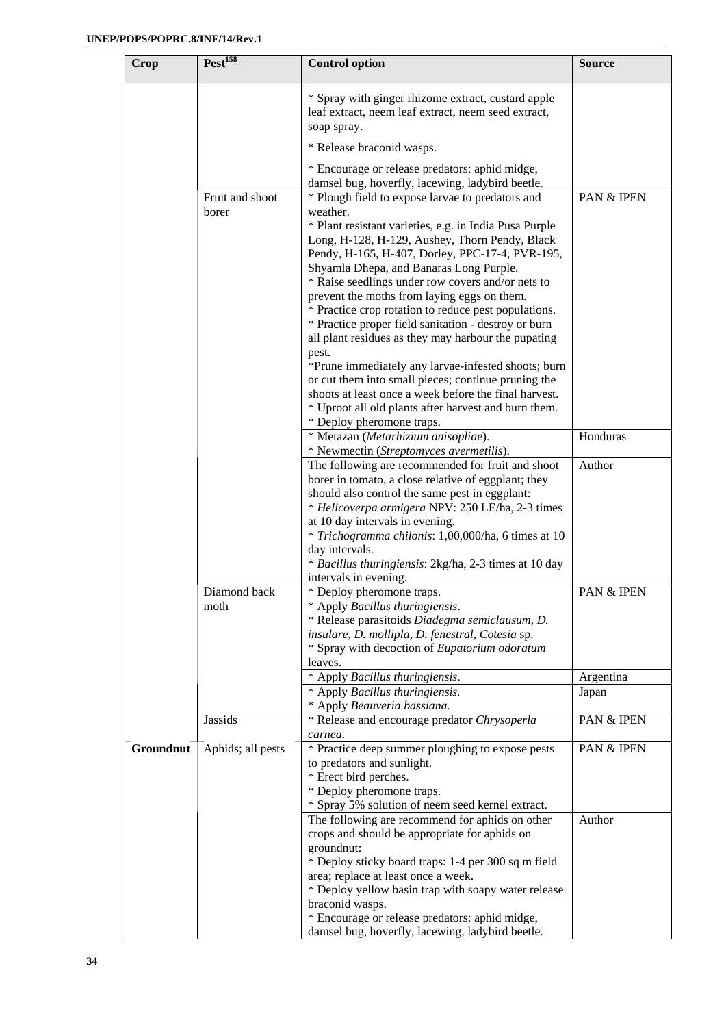| Crop      | Test <sup>158</sup> | <b>Control option</b>                                                                                                    | <b>Source</b>         |
|-----------|---------------------|--------------------------------------------------------------------------------------------------------------------------|-----------------------|
|           |                     | * Spray with ginger rhizome extract, custard apple<br>leaf extract, neem leaf extract, neem seed extract,<br>soap spray. |                       |
|           |                     | * Release braconid wasps.                                                                                                |                       |
|           |                     | * Encourage or release predators: aphid midge,<br>damsel bug, hoverfly, lacewing, ladybird beetle.                       |                       |
|           | Fruit and shoot     | * Plough field to expose larvae to predators and                                                                         | PAN & IPEN            |
|           | borer               | weather.<br>* Plant resistant varieties, e.g. in India Pusa Purple                                                       |                       |
|           |                     | Long, H-128, H-129, Aushey, Thorn Pendy, Black<br>Pendy, H-165, H-407, Dorley, PPC-17-4, PVR-195,                        |                       |
|           |                     | Shyamla Dhepa, and Banaras Long Purple.                                                                                  |                       |
|           |                     | * Raise seedlings under row covers and/or nets to                                                                        |                       |
|           |                     | prevent the moths from laying eggs on them.<br>* Practice crop rotation to reduce pest populations.                      |                       |
|           |                     | * Practice proper field sanitation - destroy or burn                                                                     |                       |
|           |                     | all plant residues as they may harbour the pupating                                                                      |                       |
|           |                     | pest.                                                                                                                    |                       |
|           |                     | *Prune immediately any larvae-infested shoots; burn<br>or cut them into small pieces; continue pruning the               |                       |
|           |                     | shoots at least once a week before the final harvest.                                                                    |                       |
|           |                     | * Uproot all old plants after harvest and burn them.                                                                     |                       |
|           |                     | * Deploy pheromone traps.                                                                                                |                       |
|           |                     | * Metazan (Metarhizium anisopliae).<br>* Newmectin (Streptomyces avermetilis).                                           | Honduras              |
|           |                     | The following are recommended for fruit and shoot                                                                        | Author                |
|           |                     | borer in tomato, a close relative of eggplant; they                                                                      |                       |
|           |                     | should also control the same pest in eggplant:                                                                           |                       |
|           |                     | * Helicoverpa armigera NPV: 250 LE/ha, 2-3 times<br>at 10 day intervals in evening.                                      |                       |
|           |                     | * Trichogramma chilonis: 1,00,000/ha, 6 times at 10                                                                      |                       |
|           |                     | day intervals.                                                                                                           |                       |
|           |                     | * Bacillus thuringiensis: 2kg/ha, 2-3 times at 10 day                                                                    |                       |
|           | Diamond back        | intervals in evening.                                                                                                    | <b>PAN &amp; IPEN</b> |
|           | moth                | * Deploy pheromone traps.<br>* Apply Bacillus thuringiensis.                                                             |                       |
|           |                     | * Release parasitoids Diadegma semiclausum, D.                                                                           |                       |
|           |                     | insulare, D. mollipla, D. fenestral, Cotesia sp.                                                                         |                       |
|           |                     | * Spray with decoction of Eupatorium odoratum<br>leaves.                                                                 |                       |
|           |                     | * Apply Bacillus thuringiensis.                                                                                          | Argentina             |
|           |                     | * Apply Bacillus thuringiensis.                                                                                          | Japan                 |
|           |                     | * Apply Beauveria bassiana.                                                                                              |                       |
|           | Jassids             | * Release and encourage predator Chrysoperla                                                                             | PAN & IPEN            |
| Groundnut | Aphids; all pests   | carnea.<br>* Practice deep summer ploughing to expose pests                                                              | PAN & IPEN            |
|           |                     | to predators and sunlight.                                                                                               |                       |
|           |                     | * Erect bird perches.                                                                                                    |                       |
|           |                     | * Deploy pheromone traps.<br>* Spray 5% solution of neem seed kernel extract.                                            |                       |
|           |                     | The following are recommend for aphids on other                                                                          | Author                |
|           |                     | crops and should be appropriate for aphids on                                                                            |                       |
|           |                     | groundnut:                                                                                                               |                       |
|           |                     | * Deploy sticky board traps: 1-4 per 300 sq m field                                                                      |                       |
|           |                     | area; replace at least once a week.<br>* Deploy yellow basin trap with soapy water release                               |                       |
|           |                     | braconid wasps.                                                                                                          |                       |
|           |                     | * Encourage or release predators: aphid midge,                                                                           |                       |
|           |                     | damsel bug, hoverfly, lacewing, ladybird beetle.                                                                         |                       |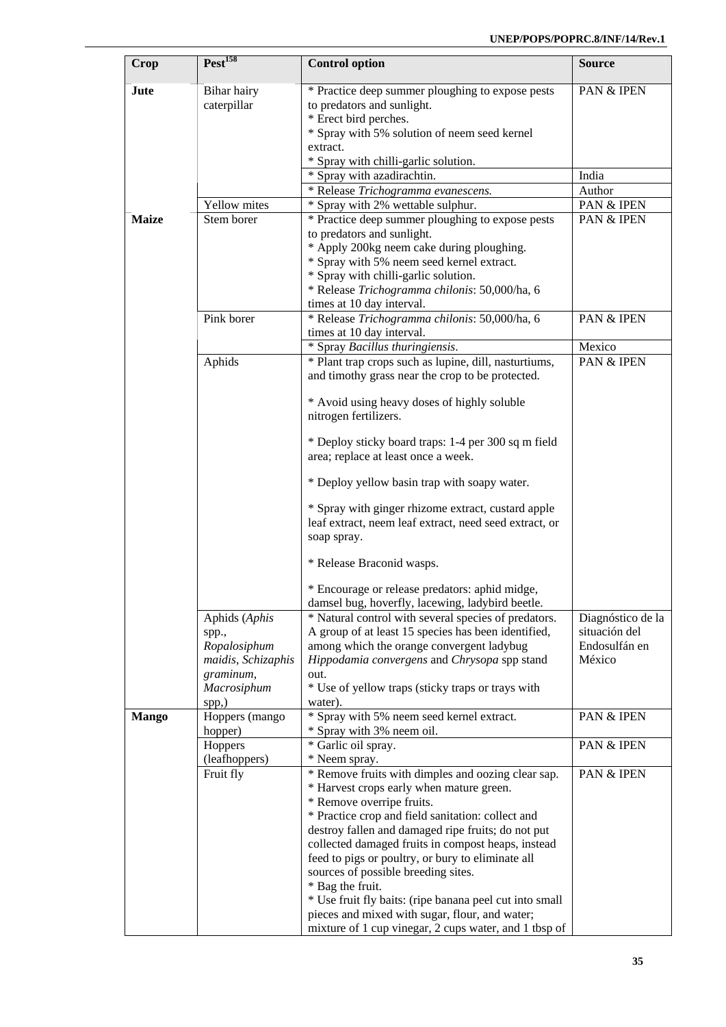| <b>Crop</b>  | Pest <sup>158</sup>                                                                      | <b>Control option</b>                                                                                                                                                                                                                                                                                                                                                                                                                                                                                                                                                              | <b>Source</b>                                                 |
|--------------|------------------------------------------------------------------------------------------|------------------------------------------------------------------------------------------------------------------------------------------------------------------------------------------------------------------------------------------------------------------------------------------------------------------------------------------------------------------------------------------------------------------------------------------------------------------------------------------------------------------------------------------------------------------------------------|---------------------------------------------------------------|
| Jute         | Bihar hairy<br>caterpillar                                                               | * Practice deep summer ploughing to expose pests<br>to predators and sunlight.<br>* Erect bird perches.<br>* Spray with 5% solution of neem seed kernel<br>extract.                                                                                                                                                                                                                                                                                                                                                                                                                | PAN & IPEN                                                    |
|              |                                                                                          | * Spray with chilli-garlic solution.                                                                                                                                                                                                                                                                                                                                                                                                                                                                                                                                               |                                                               |
|              |                                                                                          | * Spray with azadirachtin.                                                                                                                                                                                                                                                                                                                                                                                                                                                                                                                                                         | India                                                         |
|              |                                                                                          | * Release Trichogramma evanescens.                                                                                                                                                                                                                                                                                                                                                                                                                                                                                                                                                 | Author                                                        |
|              | Yellow mites                                                                             | * Spray with 2% wettable sulphur.                                                                                                                                                                                                                                                                                                                                                                                                                                                                                                                                                  | PAN & IPEN                                                    |
| <b>Maize</b> | Stem borer                                                                               | * Practice deep summer ploughing to expose pests<br>to predators and sunlight.<br>* Apply 200kg neem cake during ploughing.<br>* Spray with 5% neem seed kernel extract.<br>* Spray with chilli-garlic solution.<br>* Release Trichogramma chilonis: 50,000/ha, 6<br>times at 10 day interval.                                                                                                                                                                                                                                                                                     | PAN & IPEN                                                    |
|              | Pink borer                                                                               | * Release Trichogramma chilonis: 50,000/ha, 6<br>times at 10 day interval.                                                                                                                                                                                                                                                                                                                                                                                                                                                                                                         | PAN & IPEN                                                    |
|              |                                                                                          | * Spray Bacillus thuringiensis.                                                                                                                                                                                                                                                                                                                                                                                                                                                                                                                                                    | Mexico                                                        |
|              | Aphids                                                                                   | * Plant trap crops such as lupine, dill, nasturtiums,<br>and timothy grass near the crop to be protected.                                                                                                                                                                                                                                                                                                                                                                                                                                                                          | PAN & IPEN                                                    |
|              |                                                                                          | * Avoid using heavy doses of highly soluble<br>nitrogen fertilizers.                                                                                                                                                                                                                                                                                                                                                                                                                                                                                                               |                                                               |
|              |                                                                                          | * Deploy sticky board traps: 1-4 per 300 sq m field<br>area; replace at least once a week.                                                                                                                                                                                                                                                                                                                                                                                                                                                                                         |                                                               |
|              |                                                                                          | * Deploy yellow basin trap with soapy water.                                                                                                                                                                                                                                                                                                                                                                                                                                                                                                                                       |                                                               |
|              |                                                                                          | * Spray with ginger rhizome extract, custard apple<br>leaf extract, neem leaf extract, need seed extract, or<br>soap spray.                                                                                                                                                                                                                                                                                                                                                                                                                                                        |                                                               |
|              |                                                                                          | * Release Braconid wasps.                                                                                                                                                                                                                                                                                                                                                                                                                                                                                                                                                          |                                                               |
|              |                                                                                          | * Encourage or release predators: aphid midge,<br>damsel bug, hoverfly, lacewing, ladybird beetle.                                                                                                                                                                                                                                                                                                                                                                                                                                                                                 |                                                               |
|              | Aphids (Aphis<br>spp.,<br>Ropalosiphum<br>maidis, Schizaphis<br>graminum,<br>Macrosiphum | * Natural control with several species of predators.<br>A group of at least 15 species has been identified,<br>among which the orange convergent ladybug<br>Hippodamia convergens and Chrysopa spp stand<br>out.<br>* Use of yellow traps (sticky traps or trays with                                                                                                                                                                                                                                                                                                              | Diagnóstico de la<br>situación del<br>Endosulfán en<br>México |
| <b>Mango</b> | spp,)<br>Hoppers (mango<br>hopper)                                                       | water).<br>* Spray with 5% neem seed kernel extract.<br>* Spray with 3% neem oil.                                                                                                                                                                                                                                                                                                                                                                                                                                                                                                  | PAN & IPEN                                                    |
|              | Hoppers<br>(leafhoppers)                                                                 | * Garlic oil spray.<br>* Neem spray.                                                                                                                                                                                                                                                                                                                                                                                                                                                                                                                                               | PAN & IPEN                                                    |
|              | Fruit fly                                                                                | * Remove fruits with dimples and oozing clear sap.<br>* Harvest crops early when mature green.<br>* Remove overripe fruits.<br>* Practice crop and field sanitation: collect and<br>destroy fallen and damaged ripe fruits; do not put<br>collected damaged fruits in compost heaps, instead<br>feed to pigs or poultry, or bury to eliminate all<br>sources of possible breeding sites.<br>* Bag the fruit.<br>* Use fruit fly baits: (ripe banana peel cut into small<br>pieces and mixed with sugar, flour, and water;<br>mixture of 1 cup vinegar, 2 cups water, and 1 tbsp of | PAN & IPEN                                                    |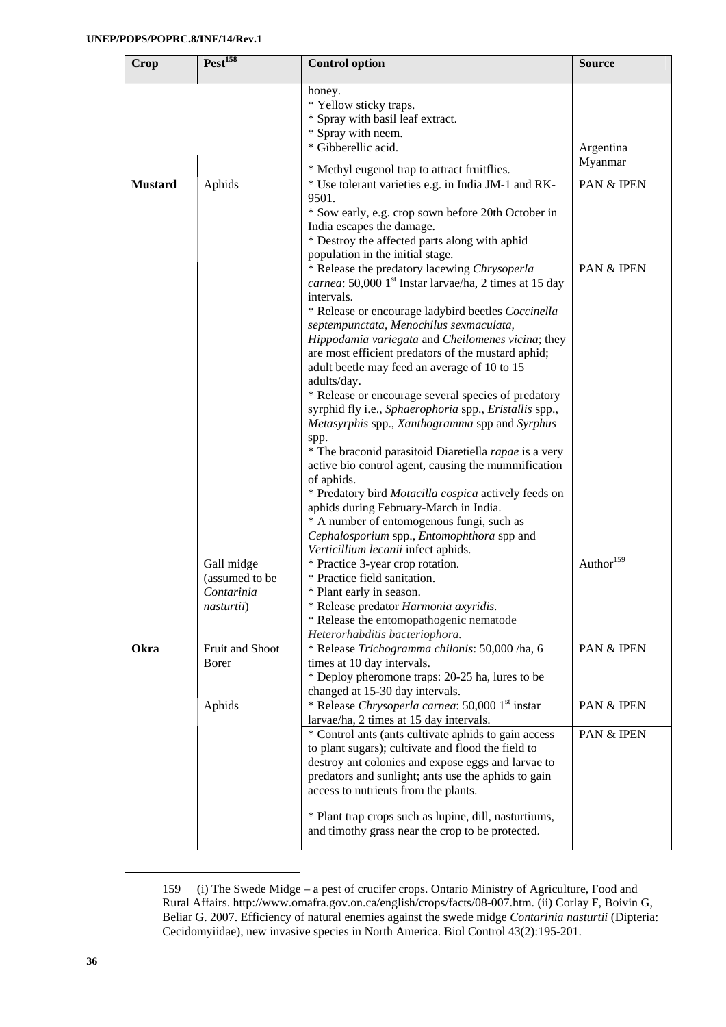| <b>Crop</b>    | Test <sup>158</sup>                                      | <b>Control option</b>                                                                                                                                                                                                                                                                                                                                                                                                                                                                                                                                                                                                                                                                                                                                                                                                                                                                                                                                    | <b>Source</b>         |
|----------------|----------------------------------------------------------|----------------------------------------------------------------------------------------------------------------------------------------------------------------------------------------------------------------------------------------------------------------------------------------------------------------------------------------------------------------------------------------------------------------------------------------------------------------------------------------------------------------------------------------------------------------------------------------------------------------------------------------------------------------------------------------------------------------------------------------------------------------------------------------------------------------------------------------------------------------------------------------------------------------------------------------------------------|-----------------------|
|                |                                                          | honey.<br>* Yellow sticky traps.<br>* Spray with basil leaf extract.<br>* Spray with neem.<br>* Gibberellic acid.                                                                                                                                                                                                                                                                                                                                                                                                                                                                                                                                                                                                                                                                                                                                                                                                                                        | Argentina             |
|                |                                                          | * Methyl eugenol trap to attract fruitflies.                                                                                                                                                                                                                                                                                                                                                                                                                                                                                                                                                                                                                                                                                                                                                                                                                                                                                                             | Myanmar               |
| <b>Mustard</b> | Aphids                                                   | * Use tolerant varieties e.g. in India JM-1 and RK-<br>9501.<br>* Sow early, e.g. crop sown before 20th October in<br>India escapes the damage.<br>* Destroy the affected parts along with aphid<br>population in the initial stage.                                                                                                                                                                                                                                                                                                                                                                                                                                                                                                                                                                                                                                                                                                                     | PAN & IPEN            |
|                |                                                          | * Release the predatory lacewing Chrysoperla<br>carnea: 50,000 1 <sup>st</sup> Instar larvae/ha, 2 times at 15 day<br>intervals.<br>* Release or encourage ladybird beetles Coccinella<br>septempunctata, Menochilus sexmaculata,<br>Hippodamia variegata and Cheilomenes vicina; they<br>are most efficient predators of the mustard aphid;<br>adult beetle may feed an average of 10 to 15<br>adults/day.<br>* Release or encourage several species of predatory<br>syrphid fly i.e., Sphaerophoria spp., Eristallis spp.,<br>Metasyrphis spp., Xanthogramma spp and Syrphus<br>spp.<br>* The braconid parasitoid Diaretiella rapae is a very<br>active bio control agent, causing the mummification<br>of aphids.<br>* Predatory bird Motacilla cospica actively feeds on<br>aphids during February-March in India.<br>* A number of entomogenous fungi, such as<br>Cephalosporium spp., Entomophthora spp and<br>Verticillium lecanii infect aphids. | PAN & IPEN            |
|                | Gall midge<br>(assumed to be<br>Contarinia<br>nasturtii) | * Practice 3-year crop rotation.<br>* Practice field sanitation.<br>* Plant early in season.<br>* Release predator Harmonia axyridis.<br>* Release the entomopathogenic nematode<br>Heterorhabditis bacteriophora.                                                                                                                                                                                                                                                                                                                                                                                                                                                                                                                                                                                                                                                                                                                                       | Author <sup>159</sup> |
| Okra           | Fruit and Shoot<br>Borer                                 | * Release Trichogramma chilonis: 50,000 /ha, 6<br>times at 10 day intervals.<br>* Deploy pheromone traps: 20-25 ha, lures to be<br>changed at 15-30 day intervals.                                                                                                                                                                                                                                                                                                                                                                                                                                                                                                                                                                                                                                                                                                                                                                                       | PAN & IPEN            |
|                | Aphids                                                   | * Release Chrysoperla carnea: 50,000 1st instar<br>larvae/ha, 2 times at 15 day intervals.                                                                                                                                                                                                                                                                                                                                                                                                                                                                                                                                                                                                                                                                                                                                                                                                                                                               | PAN & IPEN            |
|                |                                                          | * Control ants (ants cultivate aphids to gain access<br>to plant sugars); cultivate and flood the field to<br>destroy ant colonies and expose eggs and larvae to<br>predators and sunlight; ants use the aphids to gain<br>access to nutrients from the plants.<br>* Plant trap crops such as lupine, dill, nasturtiums,<br>and timothy grass near the crop to be protected.                                                                                                                                                                                                                                                                                                                                                                                                                                                                                                                                                                             | PAN & IPEN            |

<sup>159 (</sup>i) The Swede Midge – a pest of crucifer crops. Ontario Ministry of Agriculture, Food and Rural Affairs. http://www.omafra.gov.on.ca/english/crops/facts/08-007.htm. (ii) Corlay F, Boivin G, Beliar G. 2007. Efficiency of natural enemies against the swede midge *Contarinia nasturtii* (Dipteria: Cecidomyiidae), new invasive species in North America. Biol Control 43(2):195-201.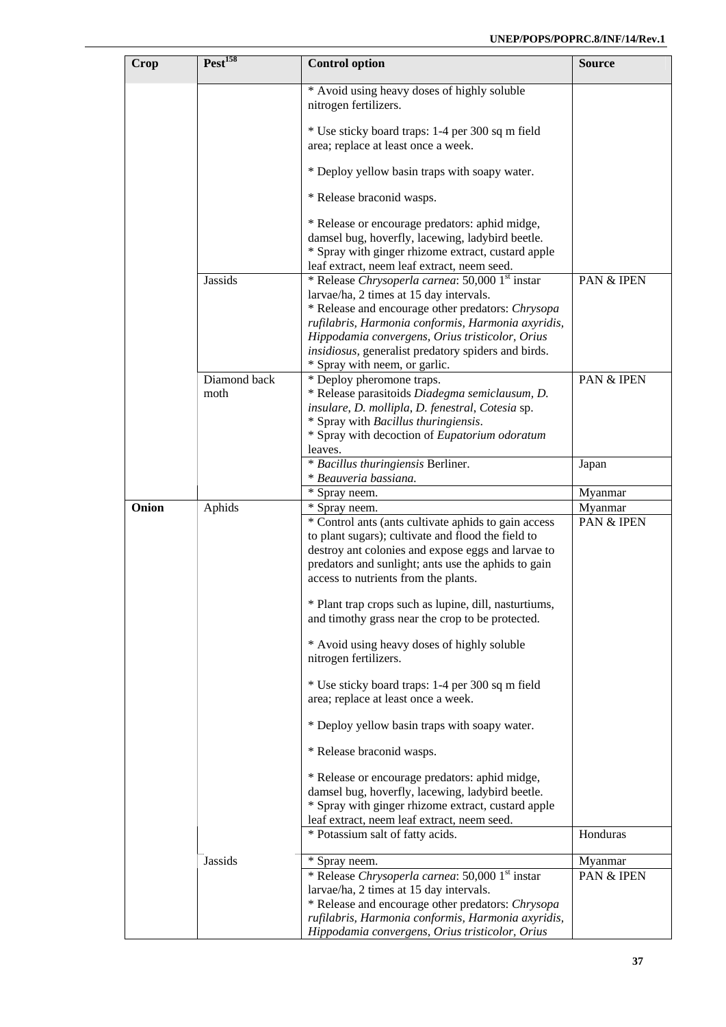| Crop  | Pest <sup>158</sup> | <b>Control option</b>                                                                                                                                                                                                                                           | <b>Source</b> |
|-------|---------------------|-----------------------------------------------------------------------------------------------------------------------------------------------------------------------------------------------------------------------------------------------------------------|---------------|
|       |                     | * Avoid using heavy doses of highly soluble<br>nitrogen fertilizers.                                                                                                                                                                                            |               |
|       |                     | * Use sticky board traps: 1-4 per 300 sq m field<br>area; replace at least once a week.                                                                                                                                                                         |               |
|       |                     | * Deploy yellow basin traps with soapy water.                                                                                                                                                                                                                   |               |
|       |                     | * Release braconid wasps.                                                                                                                                                                                                                                       |               |
|       |                     | * Release or encourage predators: aphid midge,<br>damsel bug, hoverfly, lacewing, ladybird beetle.<br>* Spray with ginger rhizome extract, custard apple                                                                                                        |               |
|       | <b>Jassids</b>      | leaf extract, neem leaf extract, neem seed.<br>* Release Chrysoperla carnea: 50,000 1 <sup>st</sup> instar                                                                                                                                                      | PAN & IPEN    |
|       |                     | larvae/ha, 2 times at 15 day intervals.<br>* Release and encourage other predators: Chrysopa<br>rufilabris, Harmonia conformis, Harmonia axyridis,                                                                                                              |               |
|       |                     | Hippodamia convergens, Orius tristicolor, Orius<br>insidiosus, generalist predatory spiders and birds.                                                                                                                                                          |               |
|       | Diamond back        | * Spray with neem, or garlic.<br>* Deploy pheromone traps.                                                                                                                                                                                                      | PAN & IPEN    |
|       | moth                | * Release parasitoids Diadegma semiclausum, D.<br>insulare, D. mollipla, D. fenestral, Cotesia sp.<br>* Spray with Bacillus thuringiensis.                                                                                                                      |               |
|       |                     | * Spray with decoction of Eupatorium odoratum<br>leaves.                                                                                                                                                                                                        |               |
|       |                     | * Bacillus thuringiensis Berliner.<br>* Beauveria bassiana.                                                                                                                                                                                                     | Japan         |
|       |                     | * Spray neem.                                                                                                                                                                                                                                                   | Myanmar       |
| Onion | Aphids              | * Spray neem.                                                                                                                                                                                                                                                   | Myanmar       |
|       |                     | * Control ants (ants cultivate aphids to gain access<br>to plant sugars); cultivate and flood the field to<br>destroy ant colonies and expose eggs and larvae to<br>predators and sunlight; ants use the aphids to gain<br>access to nutrients from the plants. | PAN & IPEN    |
|       |                     | * Plant trap crops such as lupine, dill, nasturtiums,<br>and timothy grass near the crop to be protected.                                                                                                                                                       |               |
|       |                     | * Avoid using heavy doses of highly soluble<br>nitrogen fertilizers.                                                                                                                                                                                            |               |
|       |                     | * Use sticky board traps: 1-4 per 300 sq m field<br>area; replace at least once a week.                                                                                                                                                                         |               |
|       |                     | * Deploy yellow basin traps with soapy water.                                                                                                                                                                                                                   |               |
|       |                     | * Release braconid wasps.                                                                                                                                                                                                                                       |               |
|       |                     | * Release or encourage predators: aphid midge,<br>damsel bug, hoverfly, lacewing, ladybird beetle.<br>* Spray with ginger rhizome extract, custard apple<br>leaf extract, neem leaf extract, neem seed.                                                         |               |
|       |                     | * Potassium salt of fatty acids.                                                                                                                                                                                                                                | Honduras      |
|       | <b>Jassids</b>      | * Spray neem.                                                                                                                                                                                                                                                   | Myanmar       |
|       |                     | * Release Chrysoperla carnea: 50,000 1st instar<br>larvae/ha, 2 times at 15 day intervals.<br>* Release and encourage other predators: Chrysopa<br>rufilabris, Harmonia conformis, Harmonia axyridis,                                                           | PAN & IPEN    |
|       |                     | Hippodamia convergens, Orius tristicolor, Orius                                                                                                                                                                                                                 |               |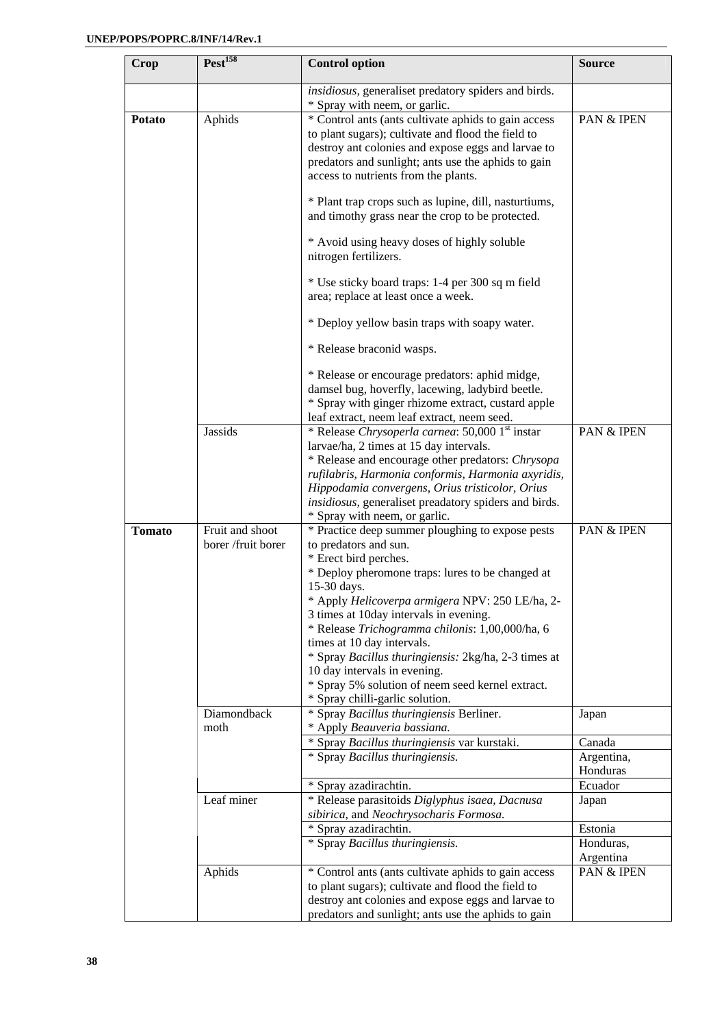| Crop          | $Pest$ <sup>158</sup>                     | <b>Control option</b>                                                                                                                                                                                                                                                                                                                                                                                                                                                                                                                                     | <b>Source</b>                     |
|---------------|-------------------------------------------|-----------------------------------------------------------------------------------------------------------------------------------------------------------------------------------------------------------------------------------------------------------------------------------------------------------------------------------------------------------------------------------------------------------------------------------------------------------------------------------------------------------------------------------------------------------|-----------------------------------|
|               |                                           | insidiosus, generaliset predatory spiders and birds.<br>* Spray with neem, or garlic.                                                                                                                                                                                                                                                                                                                                                                                                                                                                     |                                   |
| <b>Potato</b> | Aphids                                    | * Control ants (ants cultivate aphids to gain access<br>to plant sugars); cultivate and flood the field to<br>destroy ant colonies and expose eggs and larvae to<br>predators and sunlight; ants use the aphids to gain<br>access to nutrients from the plants.                                                                                                                                                                                                                                                                                           | PAN & IPEN                        |
|               |                                           | * Plant trap crops such as lupine, dill, nasturtiums,<br>and timothy grass near the crop to be protected.                                                                                                                                                                                                                                                                                                                                                                                                                                                 |                                   |
|               |                                           | * Avoid using heavy doses of highly soluble<br>nitrogen fertilizers.                                                                                                                                                                                                                                                                                                                                                                                                                                                                                      |                                   |
|               |                                           | * Use sticky board traps: 1-4 per 300 sq m field<br>area; replace at least once a week.                                                                                                                                                                                                                                                                                                                                                                                                                                                                   |                                   |
|               |                                           | * Deploy yellow basin traps with soapy water.                                                                                                                                                                                                                                                                                                                                                                                                                                                                                                             |                                   |
|               |                                           | * Release braconid wasps.                                                                                                                                                                                                                                                                                                                                                                                                                                                                                                                                 |                                   |
|               |                                           | * Release or encourage predators: aphid midge,<br>damsel bug, hoverfly, lacewing, ladybird beetle.<br>* Spray with ginger rhizome extract, custard apple<br>leaf extract, neem leaf extract, neem seed.                                                                                                                                                                                                                                                                                                                                                   |                                   |
|               | Jassids                                   | * Release Chrysoperla carnea: 50,000 1st instar                                                                                                                                                                                                                                                                                                                                                                                                                                                                                                           | PAN & IPEN                        |
|               |                                           | larvae/ha, 2 times at 15 day intervals.<br>* Release and encourage other predators: Chrysopa<br>rufilabris, Harmonia conformis, Harmonia axyridis,<br>Hippodamia convergens, Orius tristicolor, Orius<br>insidiosus, generaliset preadatory spiders and birds.                                                                                                                                                                                                                                                                                            |                                   |
| <b>Tomato</b> | Fruit and shoot                           | * Spray with neem, or garlic.<br>* Practice deep summer ploughing to expose pests                                                                                                                                                                                                                                                                                                                                                                                                                                                                         | PAN & IPEN                        |
|               | borer /fruit borer<br>Diamondback<br>moth | to predators and sun.<br>* Erect bird perches.<br>* Deploy pheromone traps: lures to be changed at<br>15-30 days.<br>* Apply Helicoverpa armigera NPV: 250 LE/ha, 2-<br>3 times at 10day intervals in evening.<br>* Release Trichogramma chilonis: 1,00,000/ha, 6<br>times at 10 day intervals.<br>* Spray Bacillus thuringiensis: 2kg/ha, 2-3 times at<br>10 day intervals in evening.<br>* Spray 5% solution of neem seed kernel extract.<br>* Spray chilli-garlic solution.<br>* Spray Bacillus thuringiensis Berliner.<br>* Apply Beauveria bassiana. | Japan                             |
|               |                                           | * Spray Bacillus thuringiensis var kurstaki.                                                                                                                                                                                                                                                                                                                                                                                                                                                                                                              | Canada                            |
|               |                                           | * Spray Bacillus thuringiensis.<br>* Spray azadirachtin.                                                                                                                                                                                                                                                                                                                                                                                                                                                                                                  | Argentina,<br>Honduras<br>Ecuador |
|               | Leaf miner                                | * Release parasitoids Diglyphus isaea, Dacnusa<br>sibirica, and Neochrysocharis Formosa.                                                                                                                                                                                                                                                                                                                                                                                                                                                                  | Japan                             |
|               |                                           | * Spray azadirachtin.<br>* Spray Bacillus thuringiensis.                                                                                                                                                                                                                                                                                                                                                                                                                                                                                                  | Estonia<br>Honduras,<br>Argentina |
|               | Aphids                                    | * Control ants (ants cultivate aphids to gain access<br>to plant sugars); cultivate and flood the field to<br>destroy ant colonies and expose eggs and larvae to<br>predators and sunlight; ants use the aphids to gain                                                                                                                                                                                                                                                                                                                                   | PAN & IPEN                        |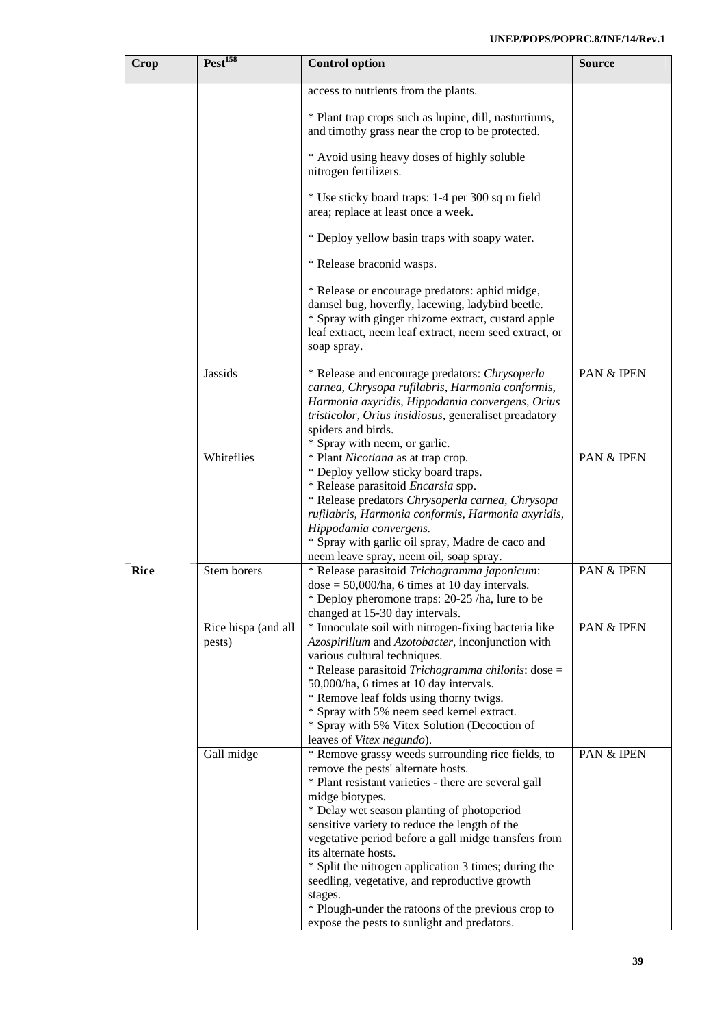| Crop        | Pest <sup>158</sup>           | <b>Control option</b>                                                                                                                                                                                                                                                                                                                                                                                                                                                                                                                                                      | <b>Source</b> |
|-------------|-------------------------------|----------------------------------------------------------------------------------------------------------------------------------------------------------------------------------------------------------------------------------------------------------------------------------------------------------------------------------------------------------------------------------------------------------------------------------------------------------------------------------------------------------------------------------------------------------------------------|---------------|
|             |                               | access to nutrients from the plants.                                                                                                                                                                                                                                                                                                                                                                                                                                                                                                                                       |               |
|             |                               | * Plant trap crops such as lupine, dill, nasturtiums,<br>and timothy grass near the crop to be protected.                                                                                                                                                                                                                                                                                                                                                                                                                                                                  |               |
|             |                               | * Avoid using heavy doses of highly soluble<br>nitrogen fertilizers.                                                                                                                                                                                                                                                                                                                                                                                                                                                                                                       |               |
|             |                               | * Use sticky board traps: 1-4 per 300 sq m field<br>area; replace at least once a week.                                                                                                                                                                                                                                                                                                                                                                                                                                                                                    |               |
|             |                               | * Deploy yellow basin traps with soapy water.                                                                                                                                                                                                                                                                                                                                                                                                                                                                                                                              |               |
|             |                               | * Release braconid wasps.                                                                                                                                                                                                                                                                                                                                                                                                                                                                                                                                                  |               |
|             |                               | * Release or encourage predators: aphid midge,<br>damsel bug, hoverfly, lacewing, ladybird beetle.<br>* Spray with ginger rhizome extract, custard apple<br>leaf extract, neem leaf extract, neem seed extract, or<br>soap spray.                                                                                                                                                                                                                                                                                                                                          |               |
|             | <b>Jassids</b>                | * Release and encourage predators: Chrysoperla<br>carnea, Chrysopa rufilabris, Harmonia conformis,<br>Harmonia axyridis, Hippodamia convergens, Orius<br>tristicolor, Orius insidiosus, generaliset preadatory<br>spiders and birds.<br>* Spray with neem, or garlic.                                                                                                                                                                                                                                                                                                      | PAN & IPEN    |
|             | Whiteflies                    | * Plant Nicotiana as at trap crop.<br>* Deploy yellow sticky board traps.<br>* Release parasitoid Encarsia spp.<br>* Release predators Chrysoperla carnea, Chrysopa<br>rufilabris, Harmonia conformis, Harmonia axyridis,<br>Hippodamia convergens.<br>* Spray with garlic oil spray, Madre de caco and<br>neem leave spray, neem oil, soap spray.                                                                                                                                                                                                                         | PAN & IPEN    |
| <b>Rice</b> | Stem borers                   | * Release parasitoid Trichogramma japonicum:<br>$dose = 50,000/ha$ , 6 times at 10 day intervals.<br>* Deploy pheromone traps: 20-25 /ha, lure to be<br>changed at 15-30 day intervals.                                                                                                                                                                                                                                                                                                                                                                                    | PAN & IPEN    |
|             | Rice hispa (and all<br>pests) | * Innoculate soil with nitrogen-fixing bacteria like<br>Azospirillum and Azotobacter, inconjunction with<br>various cultural techniques.<br>* Release parasitoid Trichogramma chilonis: dose =<br>50,000/ha, 6 times at 10 day intervals.<br>* Remove leaf folds using thorny twigs.<br>* Spray with 5% neem seed kernel extract.<br>* Spray with 5% Vitex Solution (Decoction of<br>leaves of Vitex negundo).                                                                                                                                                             | PAN & IPEN    |
|             | Gall midge                    | * Remove grassy weeds surrounding rice fields, to<br>remove the pests' alternate hosts.<br>* Plant resistant varieties - there are several gall<br>midge biotypes.<br>* Delay wet season planting of photoperiod<br>sensitive variety to reduce the length of the<br>vegetative period before a gall midge transfers from<br>its alternate hosts.<br>* Split the nitrogen application 3 times; during the<br>seedling, vegetative, and reproductive growth<br>stages.<br>* Plough-under the ratoons of the previous crop to<br>expose the pests to sunlight and predators. | PAN & IPEN    |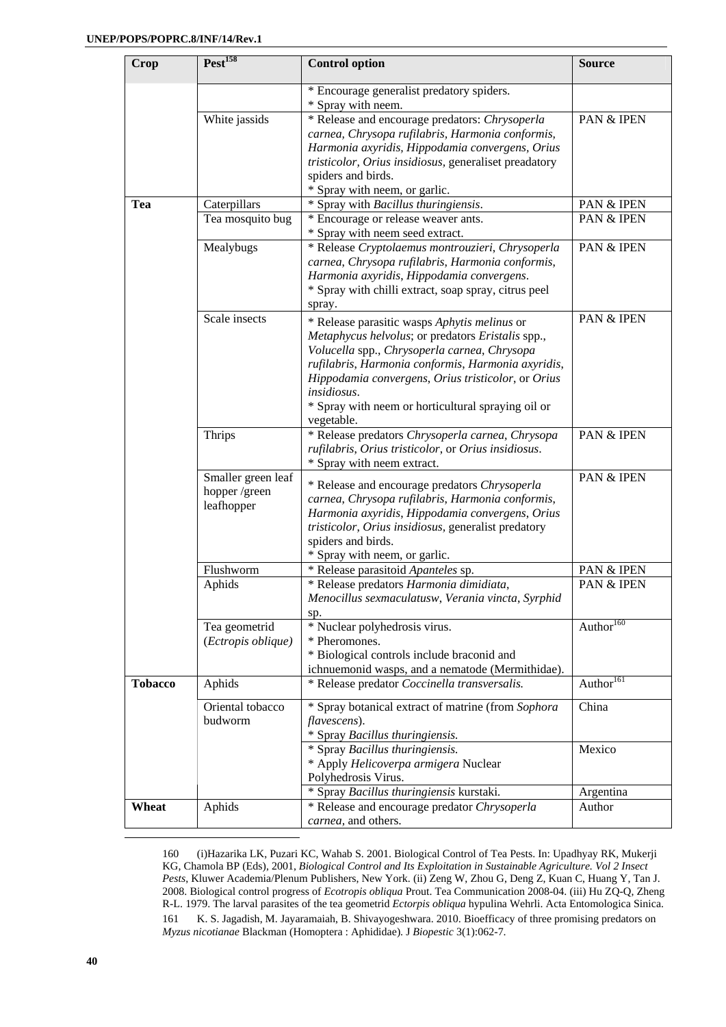| <b>Crop</b>    | Pest <sup>158</sup>                               | <b>Control option</b>                                                                                                                                                                                                                                                                                                                            | <b>Source</b>         |
|----------------|---------------------------------------------------|--------------------------------------------------------------------------------------------------------------------------------------------------------------------------------------------------------------------------------------------------------------------------------------------------------------------------------------------------|-----------------------|
|                |                                                   | * Encourage generalist predatory spiders.<br>* Spray with neem.                                                                                                                                                                                                                                                                                  |                       |
|                | White jassids                                     | * Release and encourage predators: Chrysoperla<br>carnea, Chrysopa rufilabris, Harmonia conformis,<br>Harmonia axyridis, Hippodamia convergens, Orius<br>tristicolor, Orius insidiosus, generaliset preadatory<br>spiders and birds.<br>* Spray with neem, or garlic.                                                                            | PAN & IPEN            |
| Tea            | Caterpillars                                      | * Spray with Bacillus thuringiensis.                                                                                                                                                                                                                                                                                                             | PAN & IPEN            |
|                | Tea mosquito bug                                  | * Encourage or release weaver ants.<br>* Spray with neem seed extract.                                                                                                                                                                                                                                                                           | PAN & IPEN            |
|                | Mealybugs                                         | * Release Cryptolaemus montrouzieri, Chrysoperla<br>carnea, Chrysopa rufilabris, Harmonia conformis,<br>Harmonia axyridis, Hippodamia convergens.<br>* Spray with chilli extract, soap spray, citrus peel<br>spray.                                                                                                                              | PAN & IPEN            |
|                | Scale insects                                     | * Release parasitic wasps Aphytis melinus or<br>Metaphycus helvolus; or predators Eristalis spp.,<br>Volucella spp., Chrysoperla carnea, Chrysopa<br>rufilabris, Harmonia conformis, Harmonia axyridis,<br>Hippodamia convergens, Orius tristicolor, or Orius<br>insidiosus.<br>* Spray with neem or horticultural spraying oil or<br>vegetable. | <b>PAN &amp; IPEN</b> |
|                | <b>Thrips</b>                                     | * Release predators Chrysoperla carnea, Chrysopa<br>rufilabris, Orius tristicolor, or Orius insidiosus.<br>* Spray with neem extract.                                                                                                                                                                                                            | PAN & IPEN            |
|                | Smaller green leaf<br>hopper /green<br>leafhopper | * Release and encourage predators Chrysoperla<br>carnea, Chrysopa rufilabris, Harmonia conformis,<br>Harmonia axyridis, Hippodamia convergens, Orius<br>tristicolor, Orius insidiosus, generalist predatory<br>spiders and birds.<br>* Spray with neem, or garlic.                                                                               | PAN & IPEN            |
|                | Flushworm                                         | * Release parasitoid Apanteles sp.                                                                                                                                                                                                                                                                                                               | PAN & IPEN            |
|                | Aphids                                            | * Release predators Harmonia dimidiata,<br>Menocillus sexmaculatusw, Verania vincta, Syrphid<br>sp.                                                                                                                                                                                                                                              | PAN & IPEN            |
|                | Tea geometrid<br>(Ectropis oblique)               | * Nuclear polyhedrosis virus.<br>* Pheromones.<br>* Biological controls include braconid and<br>ichnuemonid wasps, and a nematode (Mermithidae).                                                                                                                                                                                                 | Author <sup>160</sup> |
| <b>Tobacco</b> | Aphids                                            | * Release predator Coccinella transversalis.                                                                                                                                                                                                                                                                                                     | Author <sup>161</sup> |
|                | Oriental tobacco<br>budworm                       | * Spray botanical extract of matrine (from Sophora<br>flavescens).<br>* Spray Bacillus thuringiensis.<br>* Spray Bacillus thuringiensis.                                                                                                                                                                                                         | China<br>Mexico       |
|                |                                                   | * Apply Helicoverpa armigera Nuclear<br>Polyhedrosis Virus.                                                                                                                                                                                                                                                                                      |                       |
|                |                                                   | * Spray Bacillus thuringiensis kurstaki.                                                                                                                                                                                                                                                                                                         | Argentina             |
| Wheat          | Aphids                                            | * Release and encourage predator Chrysoperla<br>carnea, and others.                                                                                                                                                                                                                                                                              | Author                |

160 (i)Hazarika LK, Puzari KC, Wahab S. 2001. Biological Control of Tea Pests. In: Upadhyay RK, Mukerji KG, Chamola BP (Eds), 2001, *Biological Control and Its Exploitation in Sustainable Agriculture. Vol 2 Insect Pests*, Kluwer Academia/Plenum Publishers, New York. (ii) Zeng W, Zhou G, Deng Z, Kuan C, Huang Y, Tan J. 2008. Biological control progress of *Ecotropis obliqua* Prout. Tea Communication 2008-04. (iii) Hu ZQ-Q, Zheng R-L. 1979. The larval parasites of the tea geometrid *Ectorpis obliqua* hypulina Wehrli. Acta Entomologica Sinica. 161 K. S. Jagadish, M. Jayaramaiah, B. Shivayogeshwara. 2010. Bioefficacy of three promising predators on *Myzus nicotianae* Blackman (Homoptera : Aphididae). J *Biopestic* 3(1):062-7.